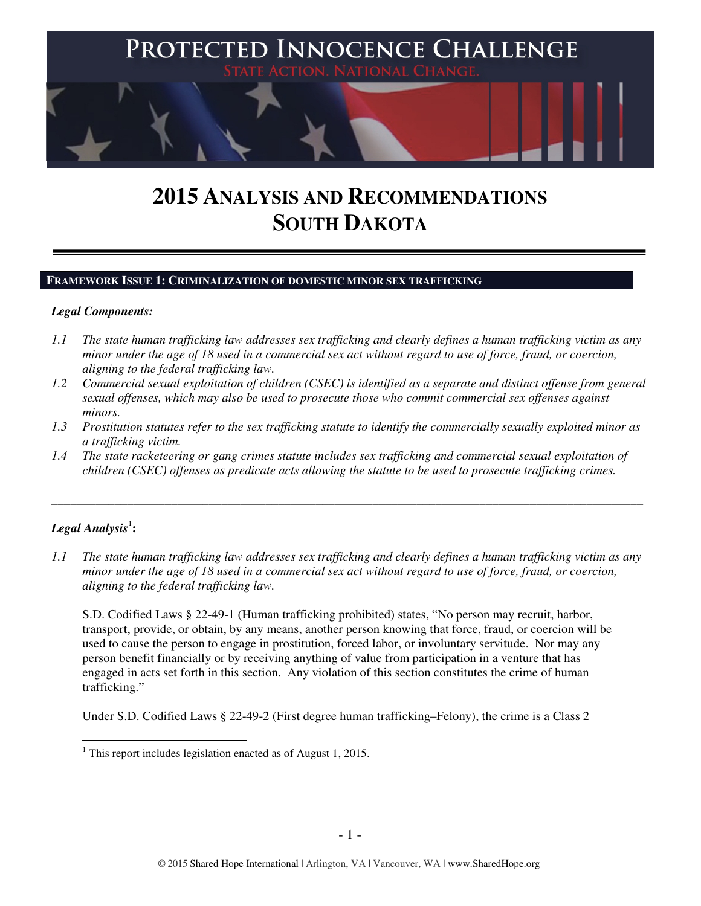

# **2015 ANALYSIS AND RECOMMENDATIONS SOUTH DAKOTA**

#### **FRAMEWORK ISSUE 1: CRIMINALIZATION OF DOMESTIC MINOR SEX TRAFFICKING**

#### *Legal Components:*

- *1.1 The state human trafficking law addresses sex trafficking and clearly defines a human trafficking victim as any minor under the age of 18 used in a commercial sex act without regard to use of force, fraud, or coercion, aligning to the federal trafficking law.*
- *1.2 Commercial sexual exploitation of children (CSEC) is identified as a separate and distinct offense from general sexual offenses, which may also be used to prosecute those who commit commercial sex offenses against minors.*
- *1.3 Prostitution statutes refer to the sex trafficking statute to identify the commercially sexually exploited minor as a trafficking victim.*
- *1.4 The state racketeering or gang crimes statute includes sex trafficking and commercial sexual exploitation of children (CSEC) offenses as predicate acts allowing the statute to be used to prosecute trafficking crimes.*

\_\_\_\_\_\_\_\_\_\_\_\_\_\_\_\_\_\_\_\_\_\_\_\_\_\_\_\_\_\_\_\_\_\_\_\_\_\_\_\_\_\_\_\_\_\_\_\_\_\_\_\_\_\_\_\_\_\_\_\_\_\_\_\_\_\_\_\_\_\_\_\_\_\_\_\_\_\_\_\_\_\_\_\_\_\_\_\_\_\_\_\_\_\_

## $\boldsymbol{Legal}$  Analysis<sup>1</sup>:

 $\overline{a}$ 

*1.1 The state human trafficking law addresses sex trafficking and clearly defines a human trafficking victim as any minor under the age of 18 used in a commercial sex act without regard to use of force, fraud, or coercion, aligning to the federal trafficking law.*

S.D. Codified Laws § 22-49-1 (Human trafficking prohibited) states, "No person may recruit, harbor, transport, provide, or obtain, by any means, another person knowing that force, fraud, or coercion will be used to cause the person to engage in prostitution, forced labor, or involuntary servitude. Nor may any person benefit financially or by receiving anything of value from participation in a venture that has engaged in acts set forth in this section. Any violation of this section constitutes the crime of human trafficking."

Under S.D. Codified Laws § 22-49-2 (First degree human trafficking–Felony), the crime is a Class 2

<sup>&</sup>lt;sup>1</sup> This report includes legislation enacted as of August 1, 2015.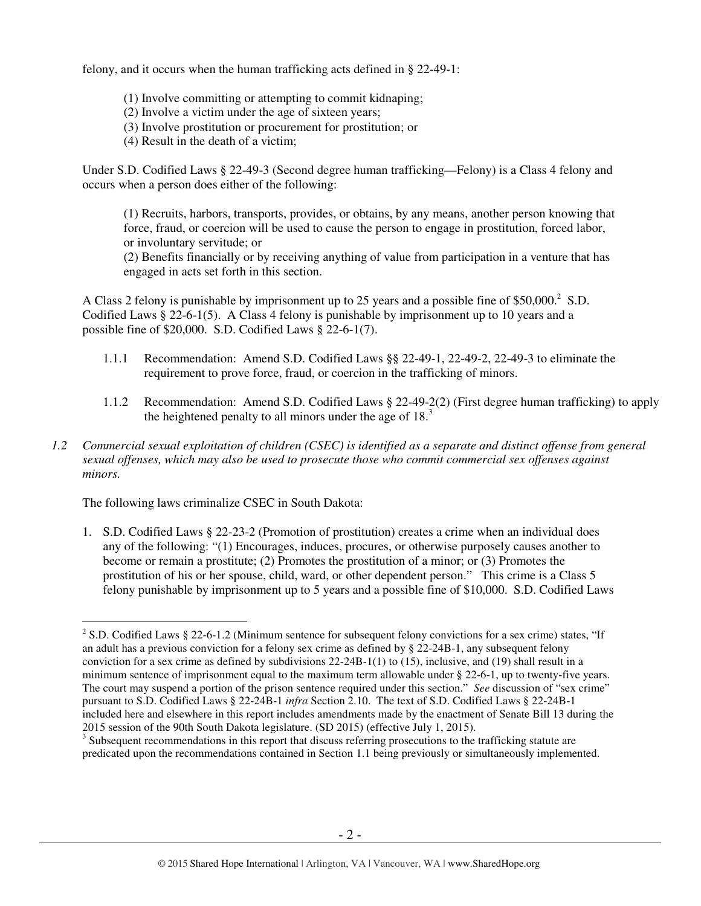felony, and it occurs when the human trafficking acts defined in § 22-49-1:

- (1) Involve committing or attempting to commit kidnaping;
- (2) Involve a victim under the age of sixteen years;
- (3) Involve prostitution or procurement for prostitution; or
- (4) Result in the death of a victim;

Under S.D. Codified Laws § 22-49-3 (Second degree human trafficking—Felony) is a Class 4 felony and occurs when a person does either of the following:

(1) Recruits, harbors, transports, provides, or obtains, by any means, another person knowing that force, fraud, or coercion will be used to cause the person to engage in prostitution, forced labor, or involuntary servitude; or

(2) Benefits financially or by receiving anything of value from participation in a venture that has engaged in acts set forth in this section.

A Class 2 felony is punishable by imprisonment up to 25 years and a possible fine of  $$50,000$ <sup>2</sup> S.D. Codified Laws § 22-6-1(5). A Class 4 felony is punishable by imprisonment up to 10 years and a possible fine of \$20,000. S.D. Codified Laws § 22-6-1(7).

- 1.1.1 Recommendation: Amend S.D. Codified Laws §§ 22-49-1, 22-49-2, 22-49-3 to eliminate the requirement to prove force, fraud, or coercion in the trafficking of minors.
- 1.1.2 Recommendation: Amend S.D. Codified Laws § 22-49-2(2) (First degree human trafficking) to apply the heightened penalty to all minors under the age of 18.<sup>3</sup>
- *1.2 Commercial sexual exploitation of children (CSEC) is identified as a separate and distinct offense from general sexual offenses, which may also be used to prosecute those who commit commercial sex offenses against minors.*

The following laws criminalize CSEC in South Dakota:

1. S.D. Codified Laws § 22-23-2 (Promotion of prostitution) creates a crime when an individual does any of the following: "(1) Encourages, induces, procures, or otherwise purposely causes another to become or remain a prostitute; (2) Promotes the prostitution of a minor; or (3) Promotes the prostitution of his or her spouse, child, ward, or other dependent person." This crime is a Class 5 felony punishable by imprisonment up to 5 years and a possible fine of \$10,000. S.D. Codified Laws

l <sup>2</sup> S.D. Codified Laws § 22-6-1.2 (Minimum sentence for subsequent felony convictions for a sex crime) states, "If an adult has a previous conviction for a felony sex crime as defined by § 22-24B-1, any subsequent felony conviction for a sex crime as defined by subdivisions 22-24B-1(1) to (15), inclusive, and (19) shall result in a minimum sentence of imprisonment equal to the maximum term allowable under § 22-6-1, up to twenty-five years. The court may suspend a portion of the prison sentence required under this section." *See* discussion of "sex crime" pursuant to S.D. Codified Laws § 22-24B-1 *infra* Section 2.10. The text of S.D. Codified Laws § 22-24B-1 included here and elsewhere in this report includes amendments made by the enactment of Senate Bill 13 during the 2015 session of the 90th South Dakota legislature. (SD 2015) (effective July 1, 2015).

 $3$  Subsequent recommendations in this report that discuss referring prosecutions to the trafficking statute are predicated upon the recommendations contained in Section 1.1 being previously or simultaneously implemented.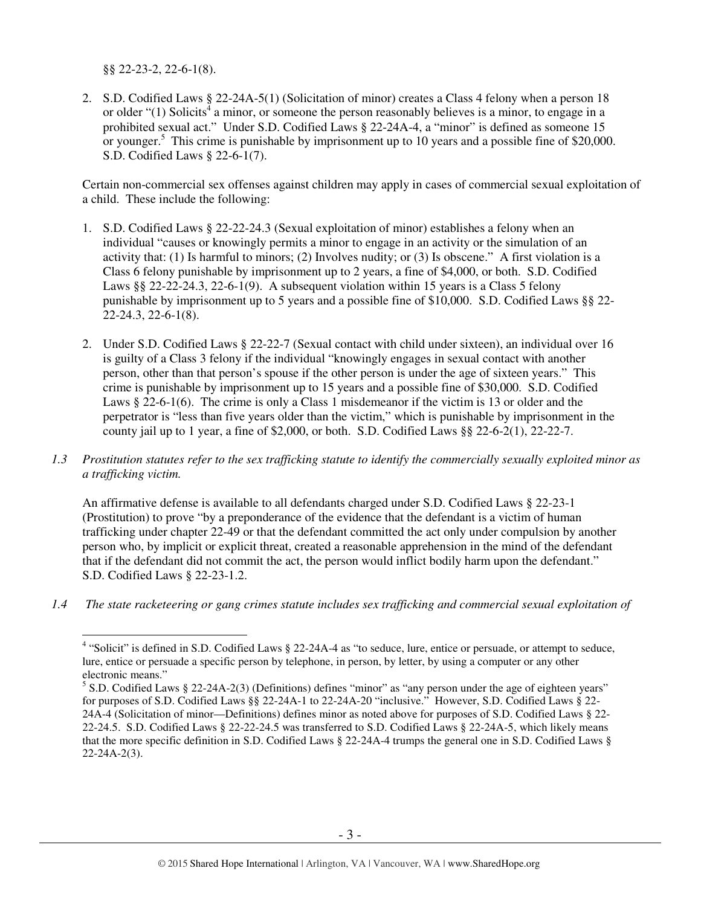§§ 22-23-2, 22-6-1(8).

2. S.D. Codified Laws § 22-24A-5(1) (Solicitation of minor) creates a Class 4 felony when a person 18 or older " $(1)$  Solicits<sup>4</sup> a minor, or someone the person reasonably believes is a minor, to engage in a prohibited sexual act." Under S.D. Codified Laws § 22-24A-4, a "minor" is defined as someone 15 or younger.<sup>5</sup> This crime is punishable by imprisonment up to 10 years and a possible fine of \$20,000. S.D. Codified Laws § 22-6-1(7).

Certain non-commercial sex offenses against children may apply in cases of commercial sexual exploitation of a child. These include the following:

- 1. S.D. Codified Laws § 22-22-24.3 (Sexual exploitation of minor) establishes a felony when an individual "causes or knowingly permits a minor to engage in an activity or the simulation of an activity that: (1) Is harmful to minors; (2) Involves nudity; or (3) Is obscene." A first violation is a Class 6 felony punishable by imprisonment up to 2 years, a fine of \$4,000, or both. S.D. Codified Laws  $\S$ § 22-22-24.3, 22-6-1(9). A subsequent violation within 15 years is a Class 5 felony punishable by imprisonment up to 5 years and a possible fine of \$10,000. S.D. Codified Laws §§ 22- 22-24.3, 22-6-1(8).
- 2. Under S.D. Codified Laws § 22-22-7 (Sexual contact with child under sixteen), an individual over 16 is guilty of a Class 3 felony if the individual "knowingly engages in sexual contact with another person, other than that person's spouse if the other person is under the age of sixteen years." This crime is punishable by imprisonment up to 15 years and a possible fine of \$30,000. S.D. Codified Laws § 22-6-1(6). The crime is only a Class 1 misdemeanor if the victim is 13 or older and the perpetrator is "less than five years older than the victim," which is punishable by imprisonment in the county jail up to 1 year, a fine of \$2,000, or both. S.D. Codified Laws  $\S$  22-6-2(1), 22-22-7.
- *1.3 Prostitution statutes refer to the sex trafficking statute to identify the commercially sexually exploited minor as a trafficking victim.*

An affirmative defense is available to all defendants charged under S.D. Codified Laws § 22-23-1 (Prostitution) to prove "by a preponderance of the evidence that the defendant is a victim of human trafficking under chapter 22-49 or that the defendant committed the act only under compulsion by another person who, by implicit or explicit threat, created a reasonable apprehension in the mind of the defendant that if the defendant did not commit the act, the person would inflict bodily harm upon the defendant." S.D. Codified Laws § 22-23-1.2.

*1.4 The state racketeering or gang crimes statute includes sex trafficking and commercial sexual exploitation of* 

 4 "Solicit" is defined in S.D. Codified Laws § 22-24A-4 as "to seduce, lure, entice or persuade, or attempt to seduce, lure, entice or persuade a specific person by telephone, in person, by letter, by using a computer or any other electronic means."

<sup>&</sup>lt;sup>5</sup> S.D. Codified Laws § 22-24A-2(3) (Definitions) defines "minor" as "any person under the age of eighteen years" for purposes of S.D. Codified Laws §§ 22-24A-1 to 22-24A-20 "inclusive." However, S.D. Codified Laws § 22- 24A-4 (Solicitation of minor—Definitions) defines minor as noted above for purposes of S.D. Codified Laws § 22- 22-24.5. S.D. Codified Laws § 22-22-24.5 was transferred to S.D. Codified Laws § 22-24A-5, which likely means that the more specific definition in S.D. Codified Laws § 22-24A-4 trumps the general one in S.D. Codified Laws § 22-24A-2(3).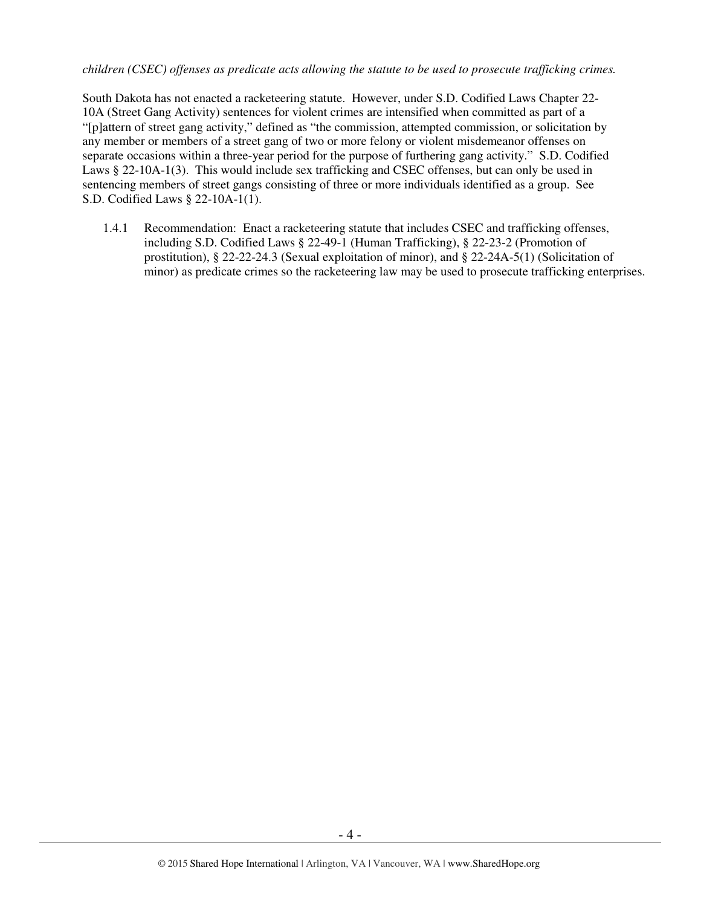#### *children (CSEC) offenses as predicate acts allowing the statute to be used to prosecute trafficking crimes.*

South Dakota has not enacted a racketeering statute. However, under S.D. Codified Laws Chapter 22- 10A (Street Gang Activity) sentences for violent crimes are intensified when committed as part of a "[p]attern of street gang activity," defined as "the commission, attempted commission, or solicitation by any member or members of a street gang of two or more felony or violent misdemeanor offenses on separate occasions within a three-year period for the purpose of furthering gang activity." S.D. Codified Laws § 22-10A-1(3). This would include sex trafficking and CSEC offenses, but can only be used in sentencing members of street gangs consisting of three or more individuals identified as a group. See S.D. Codified Laws § 22-10A-1(1).

1.4.1 Recommendation: Enact a racketeering statute that includes CSEC and trafficking offenses, including S.D. Codified Laws § 22-49-1 (Human Trafficking), § 22-23-2 (Promotion of prostitution), § 22-22-24.3 (Sexual exploitation of minor), and § 22-24A-5(1) (Solicitation of minor) as predicate crimes so the racketeering law may be used to prosecute trafficking enterprises.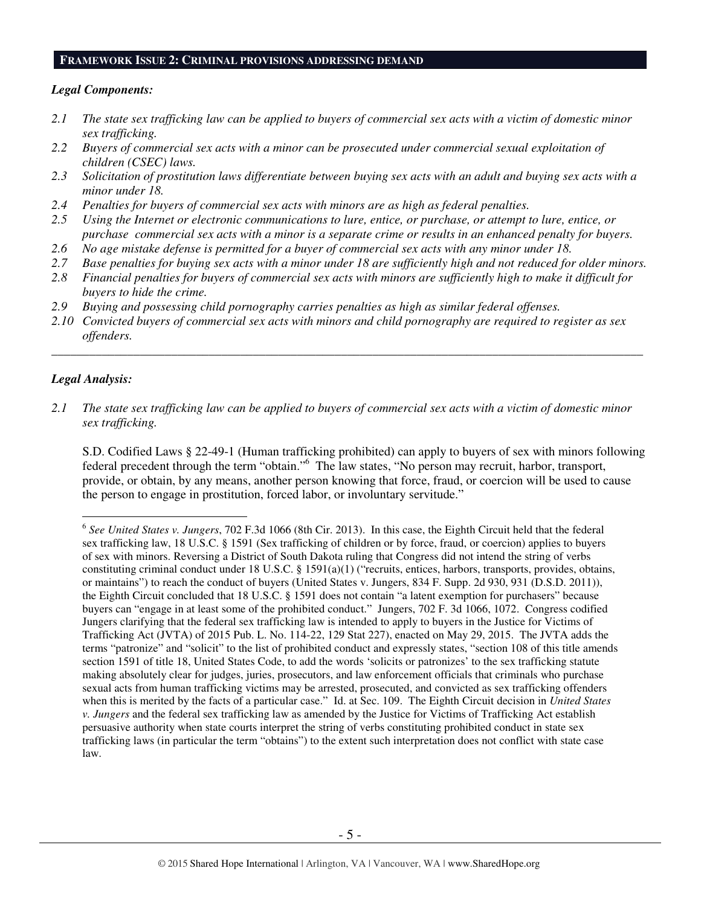#### **FRAMEWORK ISSUE 2: CRIMINAL PROVISIONS ADDRESSING DEMAND**

#### *Legal Components:*

- *2.1 The state sex trafficking law can be applied to buyers of commercial sex acts with a victim of domestic minor sex trafficking.*
- *2.2 Buyers of commercial sex acts with a minor can be prosecuted under commercial sexual exploitation of children (CSEC) laws.*
- *2.3 Solicitation of prostitution laws differentiate between buying sex acts with an adult and buying sex acts with a minor under 18.*
- *2.4 Penalties for buyers of commercial sex acts with minors are as high as federal penalties.*
- *2.5 Using the Internet or electronic communications to lure, entice, or purchase, or attempt to lure, entice, or purchase commercial sex acts with a minor is a separate crime or results in an enhanced penalty for buyers.*
- *2.6 No age mistake defense is permitted for a buyer of commercial sex acts with any minor under 18.*
- *2.7 Base penalties for buying sex acts with a minor under 18 are sufficiently high and not reduced for older minors.*
- *2.8 Financial penalties for buyers of commercial sex acts with minors are sufficiently high to make it difficult for buyers to hide the crime.*
- *2.9 Buying and possessing child pornography carries penalties as high as similar federal offenses.*
- *2.10 Convicted buyers of commercial sex acts with minors and child pornography are required to register as sex offenders.*

\_\_\_\_\_\_\_\_\_\_\_\_\_\_\_\_\_\_\_\_\_\_\_\_\_\_\_\_\_\_\_\_\_\_\_\_\_\_\_\_\_\_\_\_\_\_\_\_\_\_\_\_\_\_\_\_\_\_\_\_\_\_\_\_\_\_\_\_\_\_\_\_\_\_\_\_\_\_\_\_\_\_\_\_\_\_\_\_\_\_\_\_\_\_

#### *Legal Analysis:*

 $\overline{a}$ 

*2.1 The state sex trafficking law can be applied to buyers of commercial sex acts with a victim of domestic minor sex trafficking.* 

S.D. Codified Laws § 22-49-1 (Human trafficking prohibited) can apply to buyers of sex with minors following federal precedent through the term "obtain."<sup>6</sup> The law states, "No person may recruit, harbor, transport, provide, or obtain, by any means, another person knowing that force, fraud, or coercion will be used to cause the person to engage in prostitution, forced labor, or involuntary servitude."

<sup>6</sup> *See United States v. Jungers*, 702 F.3d 1066 (8th Cir. 2013). In this case, the Eighth Circuit held that the federal sex trafficking law, 18 U.S.C. § 1591 (Sex trafficking of children or by force, fraud, or coercion) applies to buyers of sex with minors. Reversing a District of South Dakota ruling that Congress did not intend the string of verbs constituting criminal conduct under 18 U.S.C. § 1591(a)(1) ("recruits, entices, harbors, transports, provides, obtains, or maintains") to reach the conduct of buyers (United States v. Jungers, 834 F. Supp. 2d 930, 931 (D.S.D. 2011)), the Eighth Circuit concluded that 18 U.S.C. § 1591 does not contain "a latent exemption for purchasers" because buyers can "engage in at least some of the prohibited conduct." Jungers, 702 F. 3d 1066, 1072. Congress codified Jungers clarifying that the federal sex trafficking law is intended to apply to buyers in the Justice for Victims of Trafficking Act (JVTA) of 2015 Pub. L. No. 114-22, 129 Stat 227), enacted on May 29, 2015. The JVTA adds the terms "patronize" and "solicit" to the list of prohibited conduct and expressly states, "section 108 of this title amends section 1591 of title 18, United States Code, to add the words 'solicits or patronizes' to the sex trafficking statute making absolutely clear for judges, juries, prosecutors, and law enforcement officials that criminals who purchase sexual acts from human trafficking victims may be arrested, prosecuted, and convicted as sex trafficking offenders when this is merited by the facts of a particular case." Id. at Sec. 109. The Eighth Circuit decision in *United States v. Jungers* and the federal sex trafficking law as amended by the Justice for Victims of Trafficking Act establish persuasive authority when state courts interpret the string of verbs constituting prohibited conduct in state sex trafficking laws (in particular the term "obtains") to the extent such interpretation does not conflict with state case law.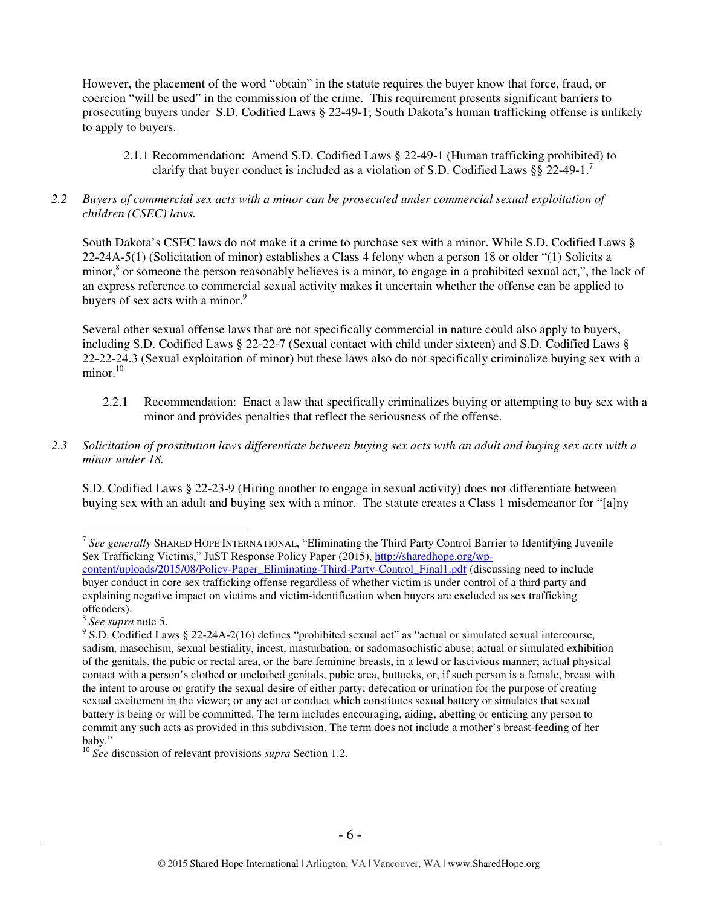However, the placement of the word "obtain" in the statute requires the buyer know that force, fraud, or coercion "will be used" in the commission of the crime. This requirement presents significant barriers to prosecuting buyers under S.D. Codified Laws § 22-49-1; South Dakota's human trafficking offense is unlikely to apply to buyers.

- 2.1.1 Recommendation: Amend S.D. Codified Laws § 22-49-1 (Human trafficking prohibited) to clarify that buyer conduct is included as a violation of S.D. Codified Laws §§ 22-49-1.<sup>7</sup>
- *2.2 Buyers of commercial sex acts with a minor can be prosecuted under commercial sexual exploitation of children (CSEC) laws.*

South Dakota's CSEC laws do not make it a crime to purchase sex with a minor. While S.D. Codified Laws § 22-24A-5(1) (Solicitation of minor) establishes a Class 4 felony when a person 18 or older "(1) Solicits a minor,<sup>8</sup> or someone the person reasonably believes is a minor, to engage in a prohibited sexual act,", the lack of an express reference to commercial sexual activity makes it uncertain whether the offense can be applied to buyers of sex acts with a minor.<sup>9</sup>

Several other sexual offense laws that are not specifically commercial in nature could also apply to buyers, including S.D. Codified Laws § 22-22-7 (Sexual contact with child under sixteen) and S.D. Codified Laws § 22-22-24.3 (Sexual exploitation of minor) but these laws also do not specifically criminalize buying sex with a minor.<sup>10</sup>

- 2.2.1 Recommendation: Enact a law that specifically criminalizes buying or attempting to buy sex with a minor and provides penalties that reflect the seriousness of the offense.
- *2.3 Solicitation of prostitution laws differentiate between buying sex acts with an adult and buying sex acts with a minor under 18.*

S.D. Codified Laws § 22-23-9 (Hiring another to engage in sexual activity) does not differentiate between buying sex with an adult and buying sex with a minor. The statute creates a Class 1 misdemeanor for "[a]ny

 $\overline{a}$ 7 *See generally* SHARED HOPE INTERNATIONAL, "Eliminating the Third Party Control Barrier to Identifying Juvenile Sex Trafficking Victims," JuST Response Policy Paper (2015), http://sharedhope.org/wp-

content/uploads/2015/08/Policy-Paper\_Eliminating-Third-Party-Control\_Final1.pdf (discussing need to include buyer conduct in core sex trafficking offense regardless of whether victim is under control of a third party and explaining negative impact on victims and victim-identification when buyers are excluded as sex trafficking offenders).

<sup>8</sup> *See supra* note 5.

<sup>&</sup>lt;sup>9</sup> S.D. Codified Laws § 22-24A-2(16) defines "prohibited sexual act" as "actual or simulated sexual intercourse, sadism, masochism, sexual bestiality, incest, masturbation, or sadomasochistic abuse; actual or simulated exhibition of the genitals, the pubic or rectal area, or the bare feminine breasts, in a lewd or lascivious manner; actual physical contact with a person's clothed or unclothed genitals, pubic area, buttocks, or, if such person is a female, breast with the intent to arouse or gratify the sexual desire of either party; defecation or urination for the purpose of creating sexual excitement in the viewer; or any act or conduct which constitutes sexual battery or simulates that sexual battery is being or will be committed. The term includes encouraging, aiding, abetting or enticing any person to commit any such acts as provided in this subdivision. The term does not include a mother's breast-feeding of her baby."

<sup>10</sup> *See* discussion of relevant provisions *supra* Section 1.2.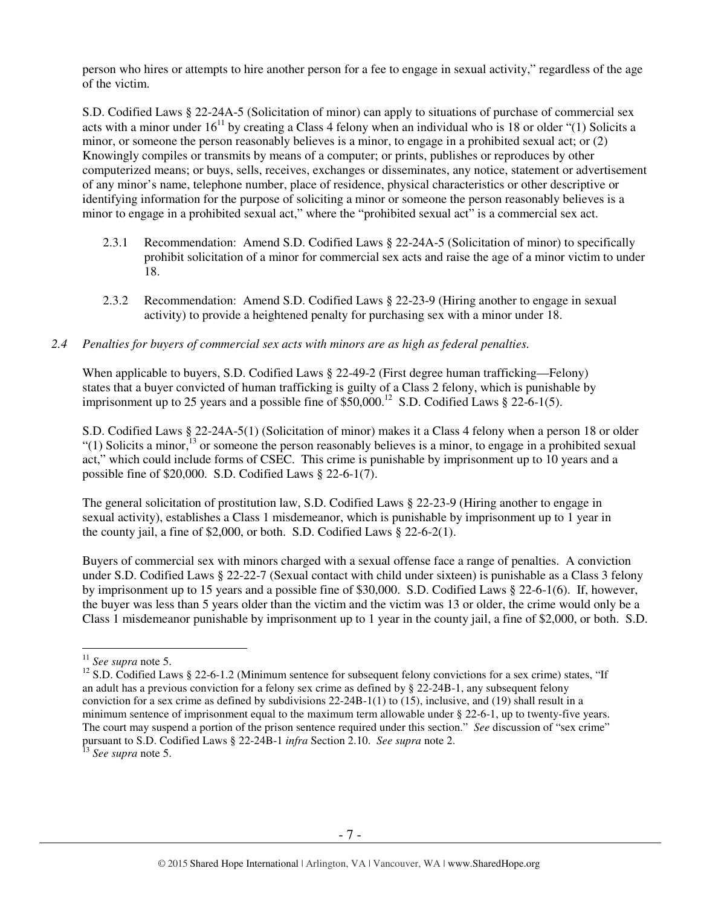person who hires or attempts to hire another person for a fee to engage in sexual activity," regardless of the age of the victim.

S.D. Codified Laws § 22-24A-5 (Solicitation of minor) can apply to situations of purchase of commercial sex acts with a minor under  $16^{11}$  by creating a Class 4 felony when an individual who is 18 or older "(1) Solicits a minor, or someone the person reasonably believes is a minor, to engage in a prohibited sexual act; or (2) Knowingly compiles or transmits by means of a computer; or prints, publishes or reproduces by other computerized means; or buys, sells, receives, exchanges or disseminates, any notice, statement or advertisement of any minor's name, telephone number, place of residence, physical characteristics or other descriptive or identifying information for the purpose of soliciting a minor or someone the person reasonably believes is a minor to engage in a prohibited sexual act," where the "prohibited sexual act" is a commercial sex act.

- 2.3.1 Recommendation: Amend S.D. Codified Laws § 22-24A-5 (Solicitation of minor) to specifically prohibit solicitation of a minor for commercial sex acts and raise the age of a minor victim to under 18.
- 2.3.2 Recommendation: Amend S.D. Codified Laws § 22-23-9 (Hiring another to engage in sexual activity) to provide a heightened penalty for purchasing sex with a minor under 18.

#### *2.4 Penalties for buyers of commercial sex acts with minors are as high as federal penalties.*

When applicable to buyers, S.D. Codified Laws § 22-49-2 (First degree human trafficking—Felony) states that a buyer convicted of human trafficking is guilty of a Class 2 felony, which is punishable by imprisonment up to 25 years and a possible fine of  $$50,000$ .<sup>12</sup> S.D. Codified Laws  $$22-6-1(5)$ .

S.D. Codified Laws § 22-24A-5(1) (Solicitation of minor) makes it a Class 4 felony when a person 18 or older "(1) Solicits a minor,<sup>13</sup> or someone the person reasonably believes is a minor, to engage in a prohibited sexual act," which could include forms of CSEC. This crime is punishable by imprisonment up to 10 years and a possible fine of \$20,000. S.D. Codified Laws § 22-6-1(7).

The general solicitation of prostitution law, S.D. Codified Laws § 22-23-9 (Hiring another to engage in sexual activity), establishes a Class 1 misdemeanor, which is punishable by imprisonment up to 1 year in the county jail, a fine of \$2,000, or both. S.D. Codified Laws § 22-6-2(1).

Buyers of commercial sex with minors charged with a sexual offense face a range of penalties. A conviction under S.D. Codified Laws § 22-22-7 (Sexual contact with child under sixteen) is punishable as a Class 3 felony by imprisonment up to 15 years and a possible fine of \$30,000. S.D. Codified Laws § 22-6-1(6). If, however, the buyer was less than 5 years older than the victim and the victim was 13 or older, the crime would only be a Class 1 misdemeanor punishable by imprisonment up to 1 year in the county jail, a fine of \$2,000, or both. S.D.

 $\overline{a}$ <sup>11</sup> *See supra* note 5.

<sup>&</sup>lt;sup>12</sup> S.D. Codified Laws § 22-6-1.2 (Minimum sentence for subsequent felony convictions for a sex crime) states, "If an adult has a previous conviction for a felony sex crime as defined by § 22-24B-1, any subsequent felony conviction for a sex crime as defined by subdivisions 22-24B-1(1) to (15), inclusive, and (19) shall result in a minimum sentence of imprisonment equal to the maximum term allowable under § 22-6-1, up to twenty-five years. The court may suspend a portion of the prison sentence required under this section." *See* discussion of "sex crime" pursuant to S.D. Codified Laws § 22-24B-1 *infra* Section 2.10. *See supra* note 2.

<sup>13</sup> *See supra* note 5.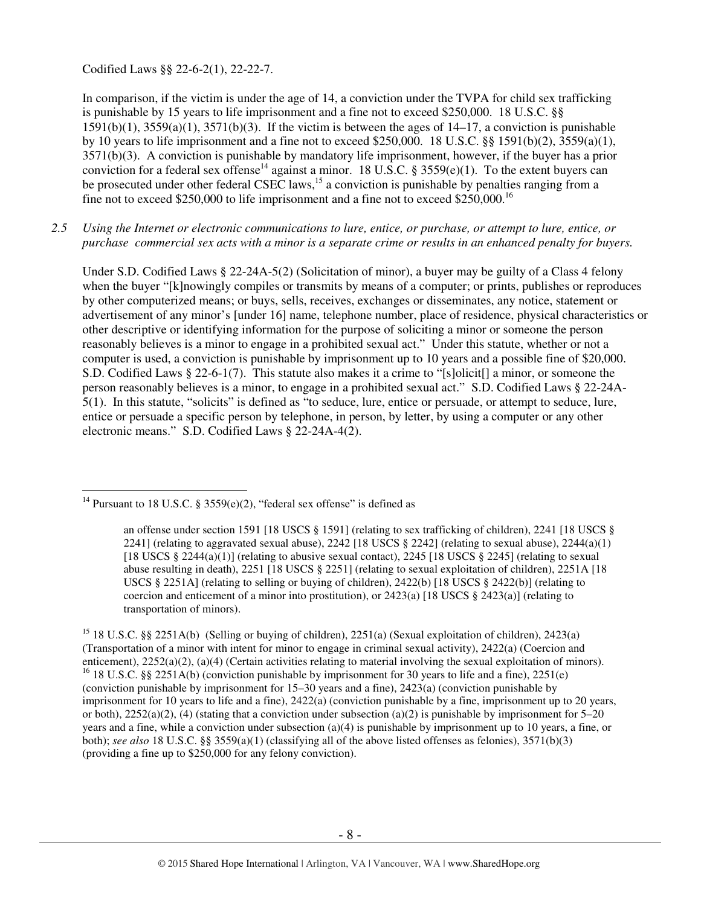Codified Laws §§ 22-6-2(1), 22-22-7.

In comparison, if the victim is under the age of 14, a conviction under the TVPA for child sex trafficking is punishable by 15 years to life imprisonment and a fine not to exceed \$250,000. 18 U.S.C. §§  $1591(b)(1)$ ,  $3559(a)(1)$ ,  $3571(b)(3)$ . If the victim is between the ages of  $14-17$ , a conviction is punishable by 10 years to life imprisonment and a fine not to exceed \$250,000. 18 U.S.C. §§ 1591(b)(2), 3559(a)(1), 3571(b)(3). A conviction is punishable by mandatory life imprisonment, however, if the buyer has a prior conviction for a federal sex offense<sup>14</sup> against a minor. 18 U.S.C. § 3559(e)(1). To the extent buyers can be prosecuted under other federal CSEC laws,<sup>15</sup> a conviction is punishable by penalties ranging from a fine not to exceed \$250,000 to life imprisonment and a fine not to exceed \$250,000.<sup>16</sup>

*2.5 Using the Internet or electronic communications to lure, entice, or purchase, or attempt to lure, entice, or purchase commercial sex acts with a minor is a separate crime or results in an enhanced penalty for buyers.* 

Under S.D. Codified Laws § 22-24A-5(2) (Solicitation of minor), a buyer may be guilty of a Class 4 felony when the buyer "[k]nowingly compiles or transmits by means of a computer; or prints, publishes or reproduces by other computerized means; or buys, sells, receives, exchanges or disseminates, any notice, statement or advertisement of any minor's [under 16] name, telephone number, place of residence, physical characteristics or other descriptive or identifying information for the purpose of soliciting a minor or someone the person reasonably believes is a minor to engage in a prohibited sexual act." Under this statute, whether or not a computer is used, a conviction is punishable by imprisonment up to 10 years and a possible fine of \$20,000. S.D. Codified Laws § 22-6-1(7). This statute also makes it a crime to "[s]olicit[] a minor, or someone the person reasonably believes is a minor, to engage in a prohibited sexual act." S.D. Codified Laws § 22-24A-5(1). In this statute, "solicits" is defined as "to seduce, lure, entice or persuade, or attempt to seduce, lure, entice or persuade a specific person by telephone, in person, by letter, by using a computer or any other electronic means." S.D. Codified Laws § 22-24A-4(2).

 $\overline{a}$ <sup>14</sup> Pursuant to 18 U.S.C. § 3559(e)(2), "federal sex offense" is defined as

an offense under section 1591 [18 USCS § 1591] (relating to sex trafficking of children), 2241 [18 USCS § 2241] (relating to aggravated sexual abuse), 2242 [18 USCS  $\S$  2242] (relating to sexual abuse), 2244(a)(1) [18 USCS § 2244(a)(1)] (relating to abusive sexual contact), 2245 [18 USCS § 2245] (relating to sexual abuse resulting in death), 2251 [18 USCS § 2251] (relating to sexual exploitation of children), 2251A [18 USCS § 2251A] (relating to selling or buying of children), 2422(b) [18 USCS § 2422(b)] (relating to coercion and enticement of a minor into prostitution), or  $2423(a)$  [18 USCS §  $2423(a)$ ] (relating to transportation of minors).

<sup>&</sup>lt;sup>15</sup> 18 U.S.C. §§ 2251A(b) (Selling or buying of children), 2251(a) (Sexual exploitation of children), 2423(a) (Transportation of a minor with intent for minor to engage in criminal sexual activity), 2422(a) (Coercion and enticement), 2252(a)(2), (a)(4) (Certain activities relating to material involving the sexual exploitation of minors). <sup>16</sup> 18 U.S.C. §§ 2251A(b) (conviction punishable by imprisonment for 30 years to life and a fine), 2251(e) (conviction punishable by imprisonment for 15–30 years and a fine), 2423(a) (conviction punishable by imprisonment for 10 years to life and a fine), 2422(a) (conviction punishable by a fine, imprisonment up to 20 years, or both),  $2252(a)(2)$ , (4) (stating that a conviction under subsection (a)(2) is punishable by imprisonment for 5–20 years and a fine, while a conviction under subsection (a)(4) is punishable by imprisonment up to 10 years, a fine, or both); *see also* 18 U.S.C. §§ 3559(a)(1) (classifying all of the above listed offenses as felonies), 3571(b)(3) (providing a fine up to \$250,000 for any felony conviction).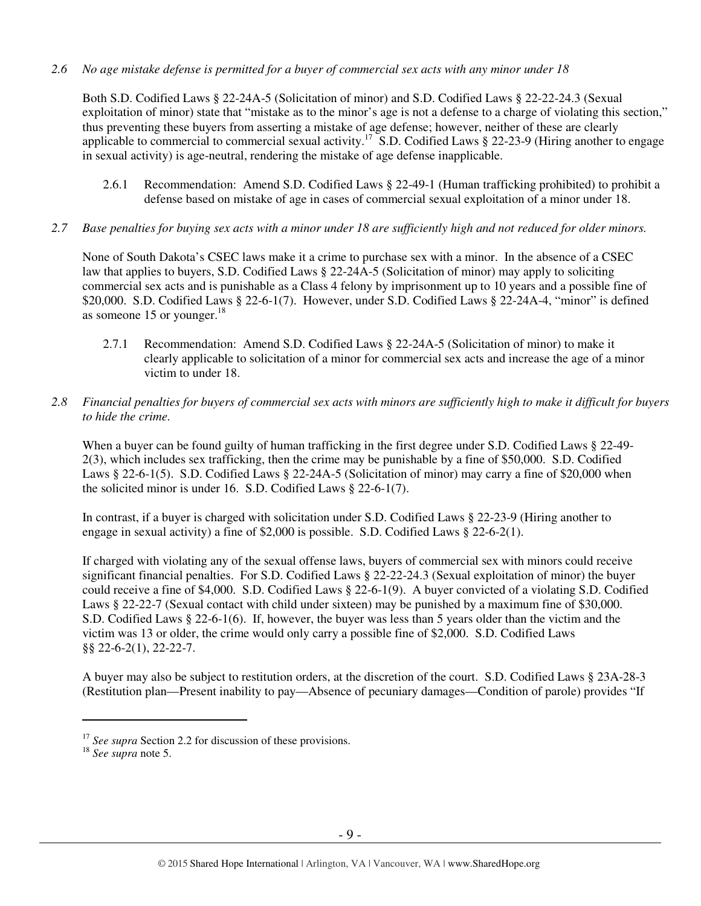## *2.6 No age mistake defense is permitted for a buyer of commercial sex acts with any minor under 18*

Both S.D. Codified Laws § 22-24A-5 (Solicitation of minor) and S.D. Codified Laws § 22-22-24.3 (Sexual exploitation of minor) state that "mistake as to the minor's age is not a defense to a charge of violating this section," thus preventing these buyers from asserting a mistake of age defense; however, neither of these are clearly applicable to commercial to commercial sexual activity.<sup>17</sup> S.D. Codified Laws  $\S$  22-23-9 (Hiring another to engage in sexual activity) is age-neutral, rendering the mistake of age defense inapplicable.

- 2.6.1 Recommendation: Amend S.D. Codified Laws § 22-49-1 (Human trafficking prohibited) to prohibit a defense based on mistake of age in cases of commercial sexual exploitation of a minor under 18.
- *2.7 Base penalties for buying sex acts with a minor under 18 are sufficiently high and not reduced for older minors.*

None of South Dakota's CSEC laws make it a crime to purchase sex with a minor. In the absence of a CSEC law that applies to buyers, S.D. Codified Laws § 22-24A-5 (Solicitation of minor) may apply to soliciting commercial sex acts and is punishable as a Class 4 felony by imprisonment up to 10 years and a possible fine of \$20,000. S.D. Codified Laws § 22-6-1(7). However, under S.D. Codified Laws § 22-24A-4, "minor" is defined as someone 15 or younger. $18$ 

- 2.7.1 Recommendation: Amend S.D. Codified Laws § 22-24A-5 (Solicitation of minor) to make it clearly applicable to solicitation of a minor for commercial sex acts and increase the age of a minor victim to under 18.
- *2.8 Financial penalties for buyers of commercial sex acts with minors are sufficiently high to make it difficult for buyers to hide the crime.*

When a buyer can be found guilty of human trafficking in the first degree under S.D. Codified Laws § 22-49-2(3), which includes sex trafficking, then the crime may be punishable by a fine of \$50,000. S.D. Codified Laws § 22-6-1(5). S.D. Codified Laws § 22-24A-5 (Solicitation of minor) may carry a fine of \$20,000 when the solicited minor is under 16. S.D. Codified Laws § 22-6-1(7).

In contrast, if a buyer is charged with solicitation under S.D. Codified Laws § 22-23-9 (Hiring another to engage in sexual activity) a fine of \$2,000 is possible. S.D. Codified Laws  $\S$  22-6-2(1).

If charged with violating any of the sexual offense laws, buyers of commercial sex with minors could receive significant financial penalties. For S.D. Codified Laws § 22-22-24.3 (Sexual exploitation of minor) the buyer could receive a fine of \$4,000. S.D. Codified Laws § 22-6-1(9). A buyer convicted of a violating S.D. Codified Laws § 22-22-7 (Sexual contact with child under sixteen) may be punished by a maximum fine of \$30,000. S.D. Codified Laws § 22-6-1(6). If, however, the buyer was less than 5 years older than the victim and the victim was 13 or older, the crime would only carry a possible fine of \$2,000. S.D. Codified Laws §§ 22-6-2(1), 22-22-7.

A buyer may also be subject to restitution orders, at the discretion of the court. S.D. Codified Laws § 23A-28-3 (Restitution plan—Present inability to pay—Absence of pecuniary damages—Condition of parole) provides "If

 $\overline{a}$ 

<sup>&</sup>lt;sup>17</sup> See supra Section 2.2 for discussion of these provisions.

<sup>18</sup> *See supra* note 5.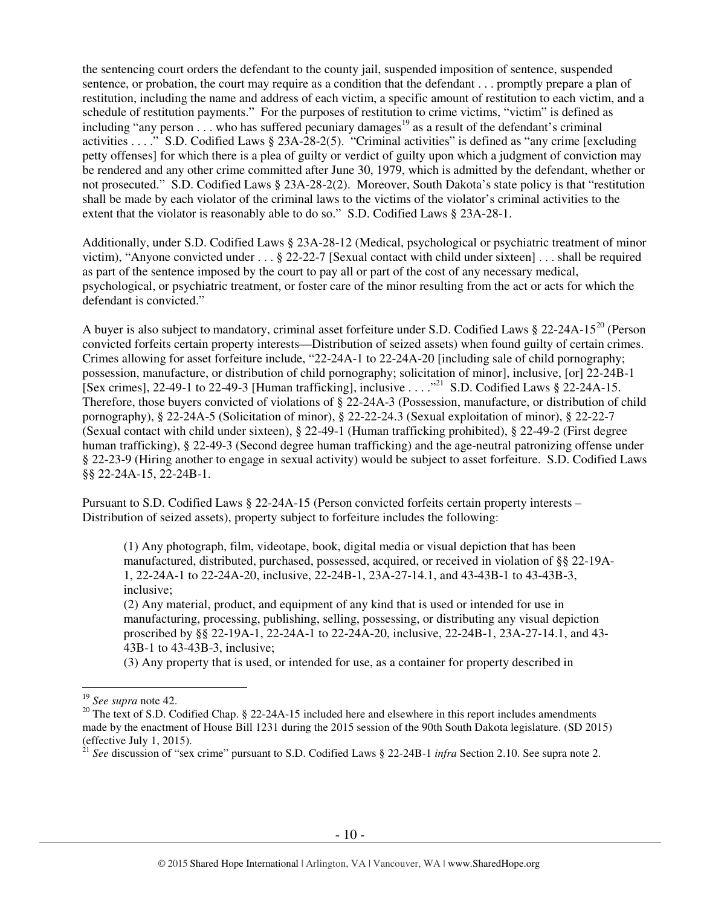the sentencing court orders the defendant to the county jail, suspended imposition of sentence, suspended sentence, or probation, the court may require as a condition that the defendant . . . promptly prepare a plan of restitution, including the name and address of each victim, a specific amount of restitution to each victim, and a schedule of restitution payments." For the purposes of restitution to crime victims, "victim" is defined as including "any person  $\ldots$  who has suffered pecuniary damages<sup>19</sup> as a result of the defendant's criminal activities . . . ." S.D. Codified Laws § 23A-28-2(5). "Criminal activities" is defined as "any crime [excluding petty offenses] for which there is a plea of guilty or verdict of guilty upon which a judgment of conviction may be rendered and any other crime committed after June 30, 1979, which is admitted by the defendant, whether or not prosecuted." S.D. Codified Laws § 23A-28-2(2). Moreover, South Dakota's state policy is that "restitution shall be made by each violator of the criminal laws to the victims of the violator's criminal activities to the extent that the violator is reasonably able to do so." S.D. Codified Laws § 23A-28-1.

Additionally, under S.D. Codified Laws § 23A-28-12 (Medical, psychological or psychiatric treatment of minor victim), "Anyone convicted under . . . § 22-22-7 [Sexual contact with child under sixteen] . . . shall be required as part of the sentence imposed by the court to pay all or part of the cost of any necessary medical, psychological, or psychiatric treatment, or foster care of the minor resulting from the act or acts for which the defendant is convicted."

A buyer is also subject to mandatory, criminal asset forfeiture under S.D. Codified Laws § 22-24A-15<sup>20</sup> (Person convicted forfeits certain property interests—Distribution of seized assets) when found guilty of certain crimes. Crimes allowing for asset forfeiture include, "22-24A-1 to 22-24A-20 [including sale of child pornography; possession, manufacture, or distribution of child pornography; solicitation of minor], inclusive, [or] 22-24B-1 [Sex crimes], 22-49-1 to 22-49-3 [Human trafficking], inclusive . . . .<sup>21</sup> S.D. Codified Laws  $\frac{6}{9}$  22-24A-15. Therefore, those buyers convicted of violations of § 22-24A-3 (Possession, manufacture, or distribution of child pornography), § 22-24A-5 (Solicitation of minor), § 22-22-24.3 (Sexual exploitation of minor), § 22-22-7 (Sexual contact with child under sixteen), § 22-49-1 (Human trafficking prohibited), § 22-49-2 (First degree human trafficking), § 22-49-3 (Second degree human trafficking) and the age-neutral patronizing offense under § 22-23-9 (Hiring another to engage in sexual activity) would be subject to asset forfeiture. S.D. Codified Laws §§ 22-24A-15, 22-24B-1.

Pursuant to S.D. Codified Laws § 22-24A-15 (Person convicted forfeits certain property interests – Distribution of seized assets), property subject to forfeiture includes the following:

(1) Any photograph, film, videotape, book, digital media or visual depiction that has been manufactured, distributed, purchased, possessed, acquired, or received in violation of §§ 22-19A-1, 22-24A-1 to 22-24A-20, inclusive, 22-24B-1, 23A-27-14.1, and 43-43B-1 to 43-43B-3, inclusive;

(2) Any material, product, and equipment of any kind that is used or intended for use in manufacturing, processing, publishing, selling, possessing, or distributing any visual depiction proscribed by §§ 22-19A-1, 22-24A-1 to 22-24A-20, inclusive, 22-24B-1, 23A-27-14.1, and 43- 43B-1 to 43-43B-3, inclusive;

(3) Any property that is used, or intended for use, as a container for property described in

 $\overline{a}$ 

<sup>19</sup> *See supra* note 42.

<sup>&</sup>lt;sup>20</sup> The text of S.D. Codified Chap. § 22-24A-15 included here and elsewhere in this report includes amendments made by the enactment of House Bill 1231 during the 2015 session of the 90th South Dakota legislature. (SD 2015) (effective July 1, 2015).

<sup>21</sup> *See* discussion of "sex crime" pursuant to S.D. Codified Laws § 22-24B-1 *infra* Section 2.10. See supra note 2.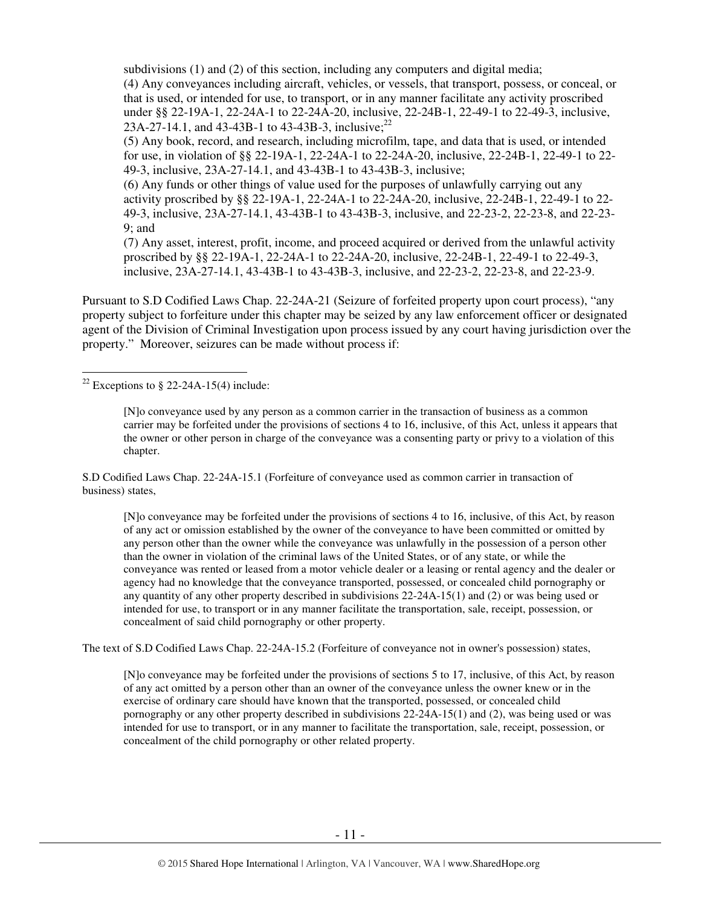subdivisions (1) and (2) of this section, including any computers and digital media;

(4) Any conveyances including aircraft, vehicles, or vessels, that transport, possess, or conceal, or that is used, or intended for use, to transport, or in any manner facilitate any activity proscribed under §§ 22-19A-1, 22-24A-1 to 22-24A-20, inclusive, 22-24B-1, 22-49-1 to 22-49-3, inclusive, 23A-27-14.1, and 43-43B-1 to 43-43B-3, inclusive;<sup>22</sup>

(5) Any book, record, and research, including microfilm, tape, and data that is used, or intended for use, in violation of §§ 22-19A-1, 22-24A-1 to 22-24A-20, inclusive, 22-24B-1, 22-49-1 to 22- 49-3, inclusive, 23A-27-14.1, and 43-43B-1 to 43-43B-3, inclusive;

(6) Any funds or other things of value used for the purposes of unlawfully carrying out any activity proscribed by §§ 22-19A-1, 22-24A-1 to 22-24A-20, inclusive, 22-24B-1, 22-49-1 to 22- 49-3, inclusive, 23A-27-14.1, 43-43B-1 to 43-43B-3, inclusive, and 22-23-2, 22-23-8, and 22-23- 9; and

(7) Any asset, interest, profit, income, and proceed acquired or derived from the unlawful activity proscribed by §§ 22-19A-1, 22-24A-1 to 22-24A-20, inclusive, 22-24B-1, 22-49-1 to 22-49-3, inclusive, 23A-27-14.1, 43-43B-1 to 43-43B-3, inclusive, and 22-23-2, 22-23-8, and 22-23-9.

Pursuant to S.D Codified Laws Chap. 22-24A-21 (Seizure of forfeited property upon court process), "any property subject to forfeiture under this chapter may be seized by any law enforcement officer or designated agent of the Division of Criminal Investigation upon process issued by any court having jurisdiction over the property." Moreover, seizures can be made without process if:

#### $\overline{a}$ <sup>22</sup> Exceptions to § 22-24A-15(4) include:

[N]o conveyance used by any person as a common carrier in the transaction of business as a common carrier may be forfeited under the provisions of sections 4 to 16, inclusive, of this Act, unless it appears that the owner or other person in charge of the conveyance was a consenting party or privy to a violation of this chapter.

S.D Codified Laws Chap. 22-24A-15.1 (Forfeiture of conveyance used as common carrier in transaction of business) states,

[N]o conveyance may be forfeited under the provisions of sections 4 to 16, inclusive, of this Act, by reason of any act or omission established by the owner of the conveyance to have been committed or omitted by any person other than the owner while the conveyance was unlawfully in the possession of a person other than the owner in violation of the criminal laws of the United States, or of any state, or while the conveyance was rented or leased from a motor vehicle dealer or a leasing or rental agency and the dealer or agency had no knowledge that the conveyance transported, possessed, or concealed child pornography or any quantity of any other property described in subdivisions 22-24A-15(1) and (2) or was being used or intended for use, to transport or in any manner facilitate the transportation, sale, receipt, possession, or concealment of said child pornography or other property.

The text of S.D Codified Laws Chap. 22-24A-15.2 (Forfeiture of conveyance not in owner's possession) states,

[N]o conveyance may be forfeited under the provisions of sections 5 to 17, inclusive, of this Act, by reason of any act omitted by a person other than an owner of the conveyance unless the owner knew or in the exercise of ordinary care should have known that the transported, possessed, or concealed child pornography or any other property described in subdivisions 22-24A-15(1) and (2), was being used or was intended for use to transport, or in any manner to facilitate the transportation, sale, receipt, possession, or concealment of the child pornography or other related property.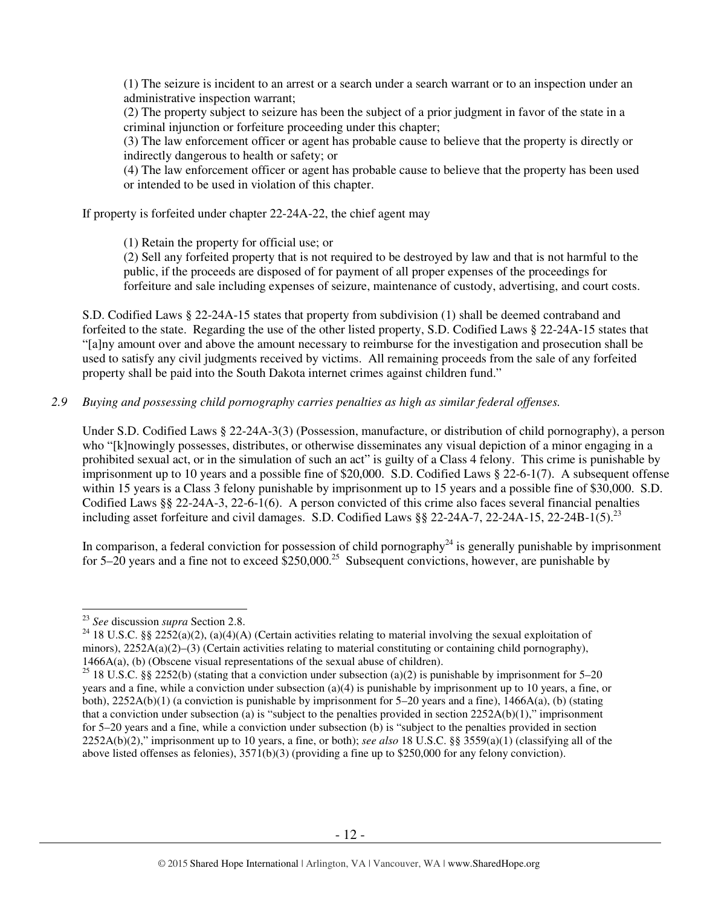(1) The seizure is incident to an arrest or a search under a search warrant or to an inspection under an administrative inspection warrant;

(2) The property subject to seizure has been the subject of a prior judgment in favor of the state in a criminal injunction or forfeiture proceeding under this chapter;

(3) The law enforcement officer or agent has probable cause to believe that the property is directly or indirectly dangerous to health or safety; or

(4) The law enforcement officer or agent has probable cause to believe that the property has been used or intended to be used in violation of this chapter.

If property is forfeited under chapter 22-24A-22, the chief agent may

(1) Retain the property for official use; or

(2) Sell any forfeited property that is not required to be destroyed by law and that is not harmful to the public, if the proceeds are disposed of for payment of all proper expenses of the proceedings for forfeiture and sale including expenses of seizure, maintenance of custody, advertising, and court costs.

S.D. Codified Laws § 22-24A-15 states that property from subdivision (1) shall be deemed contraband and forfeited to the state. Regarding the use of the other listed property, S.D. Codified Laws § 22-24A-15 states that "[a]ny amount over and above the amount necessary to reimburse for the investigation and prosecution shall be used to satisfy any civil judgments received by victims. All remaining proceeds from the sale of any forfeited property shall be paid into the South Dakota internet crimes against children fund."

## *2.9 Buying and possessing child pornography carries penalties as high as similar federal offenses.*

Under S.D. Codified Laws § 22-24A-3(3) (Possession, manufacture, or distribution of child pornography), a person who "[k]nowingly possesses, distributes, or otherwise disseminates any visual depiction of a minor engaging in a prohibited sexual act, or in the simulation of such an act" is guilty of a Class 4 felony. This crime is punishable by imprisonment up to 10 years and a possible fine of \$20,000. S.D. Codified Laws § 22-6-1(7). A subsequent offense within 15 years is a Class 3 felony punishable by imprisonment up to 15 years and a possible fine of \$30,000. S.D. Codified Laws §§ 22-24A-3, 22-6-1(6). A person convicted of this crime also faces several financial penalties including asset forfeiture and civil damages. S.D. Codified Laws §§ 22-24A-7, 22-24A-15, 22-24B-1(5).<sup>23</sup>

In comparison, a federal conviction for possession of child pornography<sup>24</sup> is generally punishable by imprisonment for 5–20 years and a fine not to exceed  $$250,000.<sup>25</sup>$  Subsequent convictions, however, are punishable by

 $\overline{a}$ <sup>23</sup> *See* discussion *supra* Section 2.8.

<sup>&</sup>lt;sup>24</sup> 18 U.S.C. §§ 2252(a)(2), (a)(4)(A) (Certain activities relating to material involving the sexual exploitation of minors), 2252A(a)(2)–(3) (Certain activities relating to material constituting or containing child pornography), 1466A(a), (b) (Obscene visual representations of the sexual abuse of children).

<sup>&</sup>lt;sup>25</sup> 18 U.S.C. §§ 2252(b) (stating that a conviction under subsection (a)(2) is punishable by imprisonment for 5–20 years and a fine, while a conviction under subsection (a)(4) is punishable by imprisonment up to 10 years, a fine, or both), 2252A(b)(1) (a conviction is punishable by imprisonment for 5–20 years and a fine), 1466A(a), (b) (stating that a conviction under subsection (a) is "subject to the penalties provided in section  $2252A(b)(1)$ ," imprisonment for 5–20 years and a fine, while a conviction under subsection (b) is "subject to the penalties provided in section 2252A(b)(2)," imprisonment up to 10 years, a fine, or both); *see also* 18 U.S.C. §§ 3559(a)(1) (classifying all of the above listed offenses as felonies), 3571(b)(3) (providing a fine up to \$250,000 for any felony conviction).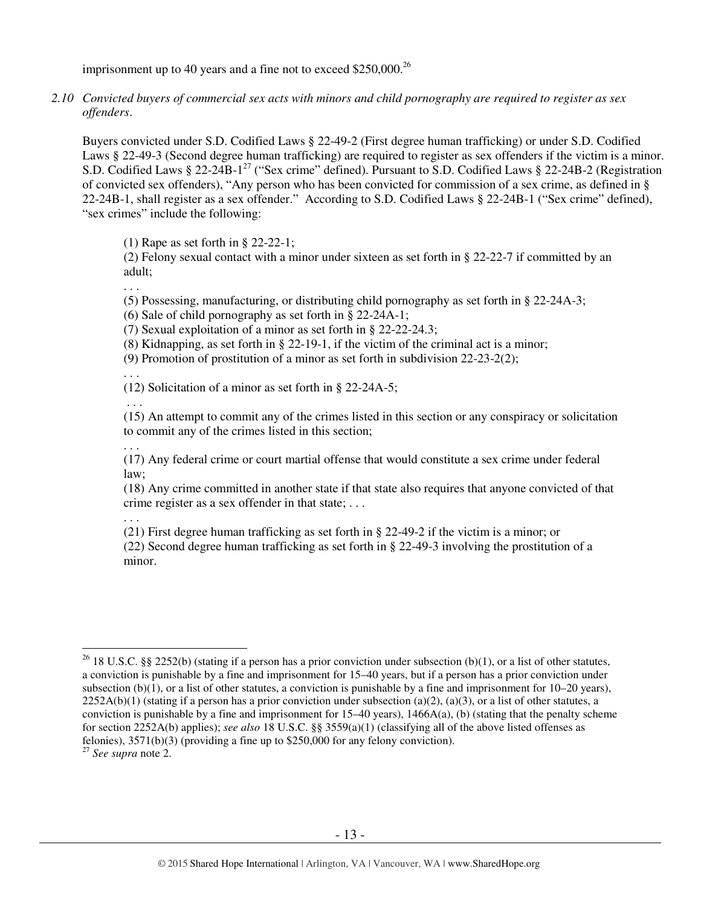imprisonment up to 40 years and a fine not to exceed  $$250,000.<sup>26</sup>$ 

*2.10 Convicted buyers of commercial sex acts with minors and child pornography are required to register as sex offenders*.

Buyers convicted under S.D. Codified Laws § 22-49-2 (First degree human trafficking) or under S.D. Codified Laws § 22-49-3 (Second degree human trafficking) are required to register as sex offenders if the victim is a minor. S.D. Codified Laws § 22-24B-1<sup>27</sup> ("Sex crime" defined). Pursuant to S.D. Codified Laws § 22-24B-2 (Registration of convicted sex offenders), "Any person who has been convicted for commission of a sex crime, as defined in § 22-24B-1, shall register as a sex offender." According to S.D. Codified Laws § 22-24B-1 ("Sex crime" defined), "sex crimes" include the following:

(1) Rape as set forth in § 22-22-1;

(2) Felony sexual contact with a minor under sixteen as set forth in § 22-22-7 if committed by an adult;

. . .

(5) Possessing, manufacturing, or distributing child pornography as set forth in § 22-24A-3;

(6) Sale of child pornography as set forth in § 22-24A-1;

(7) Sexual exploitation of a minor as set forth in § 22-22-24.3;

(8) Kidnapping, as set forth in § 22-19-1, if the victim of the criminal act is a minor;

(9) Promotion of prostitution of a minor as set forth in subdivision 22-23-2(2);

. . . (12) Solicitation of a minor as set forth in § 22-24A-5;

(15) An attempt to commit any of the crimes listed in this section or any conspiracy or solicitation to commit any of the crimes listed in this section;

. . . (17) Any federal crime or court martial offense that would constitute a sex crime under federal law;

(18) Any crime committed in another state if that state also requires that anyone convicted of that crime register as a sex offender in that state; . . .

. . .

. . .

(21) First degree human trafficking as set forth in § 22-49-2 if the victim is a minor; or

(22) Second degree human trafficking as set forth in § 22-49-3 involving the prostitution of a minor.

<sup>27</sup> *See supra* note 2.

 $\overline{a}$ <sup>26</sup> 18 U.S.C. §§ 2252(b) (stating if a person has a prior conviction under subsection (b)(1), or a list of other statutes, a conviction is punishable by a fine and imprisonment for 15–40 years, but if a person has a prior conviction under subsection (b)(1), or a list of other statutes, a conviction is punishable by a fine and imprisonment for  $10-20$  years),  $2252A(b)(1)$  (stating if a person has a prior conviction under subsection (a)(2), (a)(3), or a list of other statutes, a conviction is punishable by a fine and imprisonment for  $15-40$  years),  $1466A(a)$ , (b) (stating that the penalty scheme for section 2252A(b) applies); *see also* 18 U.S.C. §§ 3559(a)(1) (classifying all of the above listed offenses as felonies),  $3571(b)(3)$  (providing a fine up to \$250,000 for any felony conviction).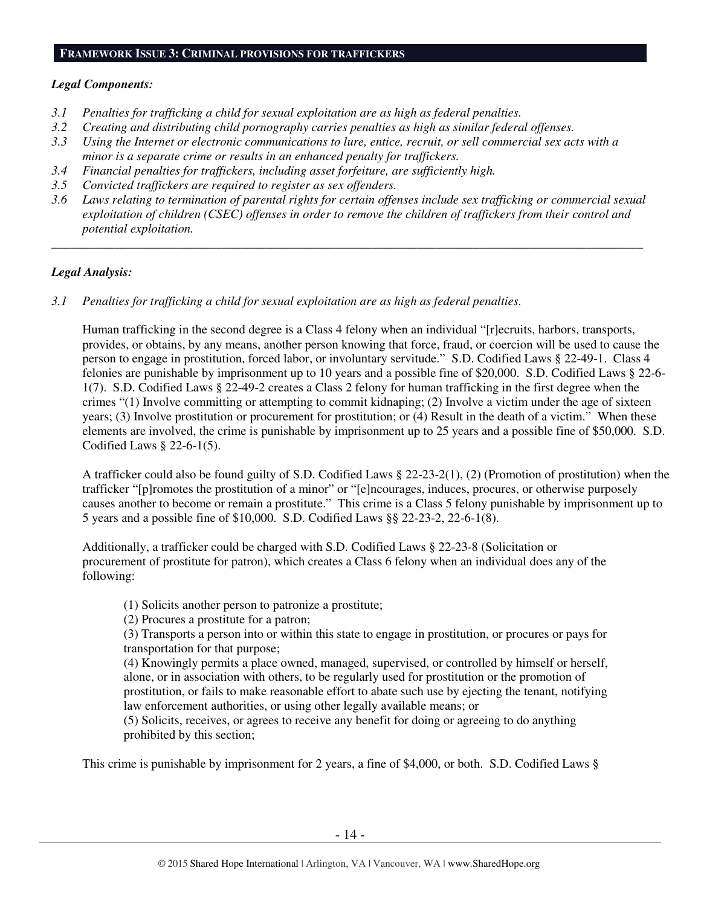#### **FRAMEWORK ISSUE 3: CRIMINAL PROVISIONS FOR TRAFFICKERS**

#### *Legal Components:*

- *3.1 Penalties for trafficking a child for sexual exploitation are as high as federal penalties.*
- *3.2 Creating and distributing child pornography carries penalties as high as similar federal offenses.*
- *3.3 Using the Internet or electronic communications to lure, entice, recruit, or sell commercial sex acts with a minor is a separate crime or results in an enhanced penalty for traffickers.*
- *3.4 Financial penalties for traffickers, including asset forfeiture, are sufficiently high.*
- *3.5 Convicted traffickers are required to register as sex offenders.*
- *3.6 Laws relating to termination of parental rights for certain offenses include sex trafficking or commercial sexual exploitation of children (CSEC) offenses in order to remove the children of traffickers from their control and potential exploitation.*

*\_\_\_\_\_\_\_\_\_\_\_\_\_\_\_\_\_\_\_\_\_\_\_\_\_\_\_\_\_\_\_\_\_\_\_\_\_\_\_\_\_\_\_\_\_\_\_\_\_\_\_\_\_\_\_\_\_\_\_\_\_\_\_\_\_\_\_\_\_\_\_\_\_\_\_\_\_\_\_\_\_\_\_\_\_\_\_\_\_\_\_\_\_\_* 

#### *Legal Analysis:*

*3.1 Penalties for trafficking a child for sexual exploitation are as high as federal penalties.* 

Human trafficking in the second degree is a Class 4 felony when an individual "[r]ecruits, harbors, transports, provides, or obtains, by any means, another person knowing that force, fraud, or coercion will be used to cause the person to engage in prostitution, forced labor, or involuntary servitude." S.D. Codified Laws § 22-49-1. Class 4 felonies are punishable by imprisonment up to 10 years and a possible fine of \$20,000. S.D. Codified Laws § 22-6- 1(7). S.D. Codified Laws § 22-49-2 creates a Class 2 felony for human trafficking in the first degree when the crimes "(1) Involve committing or attempting to commit kidnaping; (2) Involve a victim under the age of sixteen years; (3) Involve prostitution or procurement for prostitution; or (4) Result in the death of a victim." When these elements are involved, the crime is punishable by imprisonment up to 25 years and a possible fine of \$50,000. S.D. Codified Laws § 22-6-1(5).

A trafficker could also be found guilty of S.D. Codified Laws § 22-23-2(1), (2) (Promotion of prostitution) when the trafficker "[p]romotes the prostitution of a minor" or "[e]ncourages, induces, procures, or otherwise purposely causes another to become or remain a prostitute." This crime is a Class 5 felony punishable by imprisonment up to 5 years and a possible fine of \$10,000. S.D. Codified Laws §§ 22-23-2, 22-6-1(8).

Additionally, a trafficker could be charged with S.D. Codified Laws § 22-23-8 (Solicitation or procurement of prostitute for patron), which creates a Class 6 felony when an individual does any of the following:

(1) Solicits another person to patronize a prostitute;

(2) Procures a prostitute for a patron;

(3) Transports a person into or within this state to engage in prostitution, or procures or pays for transportation for that purpose;

(4) Knowingly permits a place owned, managed, supervised, or controlled by himself or herself, alone, or in association with others, to be regularly used for prostitution or the promotion of prostitution, or fails to make reasonable effort to abate such use by ejecting the tenant, notifying law enforcement authorities, or using other legally available means; or

(5) Solicits, receives, or agrees to receive any benefit for doing or agreeing to do anything prohibited by this section;

This crime is punishable by imprisonment for 2 years, a fine of \$4,000, or both. S.D. Codified Laws §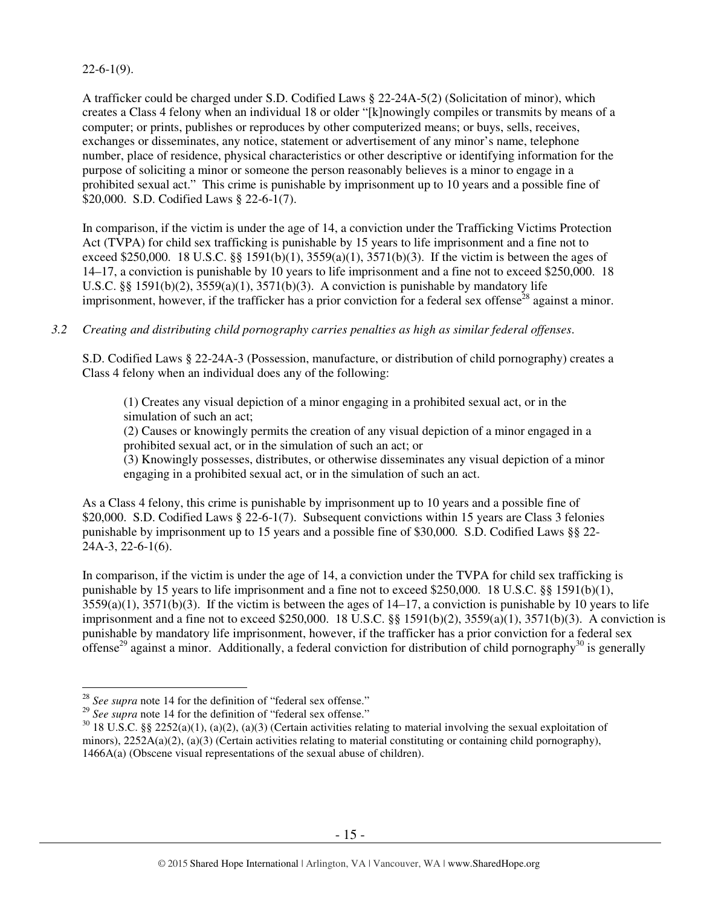## $22-6-1(9)$ .

A trafficker could be charged under S.D. Codified Laws § 22-24A-5(2) (Solicitation of minor), which creates a Class 4 felony when an individual 18 or older "[k]nowingly compiles or transmits by means of a computer; or prints, publishes or reproduces by other computerized means; or buys, sells, receives, exchanges or disseminates, any notice, statement or advertisement of any minor's name, telephone number, place of residence, physical characteristics or other descriptive or identifying information for the purpose of soliciting a minor or someone the person reasonably believes is a minor to engage in a prohibited sexual act." This crime is punishable by imprisonment up to 10 years and a possible fine of \$20,000. S.D. Codified Laws § 22-6-1(7).

In comparison, if the victim is under the age of 14, a conviction under the Trafficking Victims Protection Act (TVPA) for child sex trafficking is punishable by 15 years to life imprisonment and a fine not to exceed \$250,000. 18 U.S.C. §§ 1591(b)(1),  $3559(a)(1)$ ,  $3571(b)(3)$ . If the victim is between the ages of 14–17, a conviction is punishable by 10 years to life imprisonment and a fine not to exceed \$250,000. 18 U.S.C. §§ 1591(b)(2),  $3559(a)(1)$ ,  $3571(b)(3)$ . A conviction is punishable by mandatory life imprisonment, however, if the trafficker has a prior conviction for a federal sex offense<sup>28</sup> against a minor.

## *3.2 Creating and distributing child pornography carries penalties as high as similar federal offenses*.

S.D. Codified Laws § 22-24A-3 (Possession, manufacture, or distribution of child pornography) creates a Class 4 felony when an individual does any of the following:

(1) Creates any visual depiction of a minor engaging in a prohibited sexual act, or in the simulation of such an act;

(2) Causes or knowingly permits the creation of any visual depiction of a minor engaged in a prohibited sexual act, or in the simulation of such an act; or

(3) Knowingly possesses, distributes, or otherwise disseminates any visual depiction of a minor engaging in a prohibited sexual act, or in the simulation of such an act.

As a Class 4 felony, this crime is punishable by imprisonment up to 10 years and a possible fine of \$20,000. S.D. Codified Laws § 22-6-1(7). Subsequent convictions within 15 years are Class 3 felonies punishable by imprisonment up to 15 years and a possible fine of \$30,000. S.D. Codified Laws §§ 22- 24A-3, 22-6-1(6).

In comparison, if the victim is under the age of 14, a conviction under the TVPA for child sex trafficking is punishable by 15 years to life imprisonment and a fine not to exceed \$250,000. 18 U.S.C. §§ 1591(b)(1),  $3559(a)(1)$ ,  $3571(b)(3)$ . If the victim is between the ages of 14–17, a conviction is punishable by 10 years to life imprisonment and a fine not to exceed \$250,000. 18 U.S.C. §§ 1591(b)(2), 3559(a)(1), 3571(b)(3). A conviction is punishable by mandatory life imprisonment, however, if the trafficker has a prior conviction for a federal sex offense<sup>29</sup> against a minor. Additionally, a federal conviction for distribution of child pornography<sup>30</sup> is generally

 $\overline{a}$ <sup>28</sup> *See supra* note 14 for the definition of "federal sex offense."

<sup>&</sup>lt;sup>29</sup> *See supra* note 14 for the definition of "federal sex offense."

 $30\,18$  U.S.C. §§ 2252(a)(1), (a)(2), (a)(3) (Certain activities relating to material involving the sexual exploitation of minors),  $2252A(a)(2)$ ,  $(a)(3)$  (Certain activities relating to material constituting or containing child pornography), 1466A(a) (Obscene visual representations of the sexual abuse of children).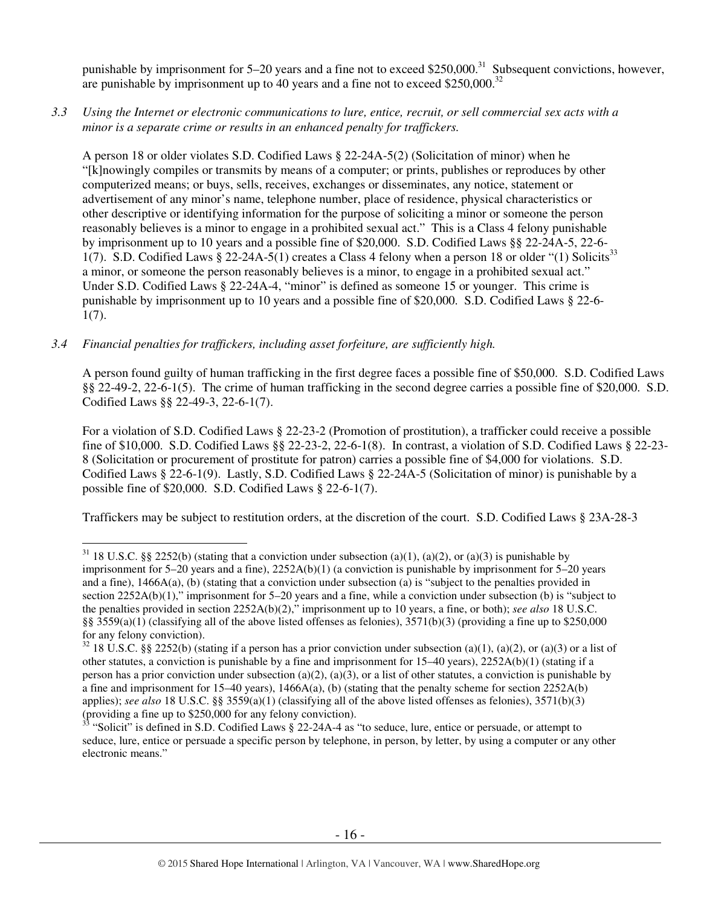punishable by imprisonment for  $5-20$  years and a fine not to exceed \$250,000.<sup>31</sup> Subsequent convictions, however, are punishable by imprisonment up to 40 years and a fine not to exceed \$250,000.<sup>32</sup>

*3.3 Using the Internet or electronic communications to lure, entice, recruit, or sell commercial sex acts with a minor is a separate crime or results in an enhanced penalty for traffickers.* 

A person 18 or older violates S.D. Codified Laws § 22-24A-5(2) (Solicitation of minor) when he "[k]nowingly compiles or transmits by means of a computer; or prints, publishes or reproduces by other computerized means; or buys, sells, receives, exchanges or disseminates, any notice, statement or advertisement of any minor's name, telephone number, place of residence, physical characteristics or other descriptive or identifying information for the purpose of soliciting a minor or someone the person reasonably believes is a minor to engage in a prohibited sexual act." This is a Class 4 felony punishable by imprisonment up to 10 years and a possible fine of \$20,000. S.D. Codified Laws §§ 22-24A-5, 22-6- 1(7). S.D. Codified Laws § 22-24A-5(1) creates a Class 4 felony when a person 18 or older "(1) Solicits<sup>33</sup> a minor, or someone the person reasonably believes is a minor, to engage in a prohibited sexual act." Under S.D. Codified Laws § 22-24A-4, "minor" is defined as someone 15 or younger. This crime is punishable by imprisonment up to 10 years and a possible fine of \$20,000. S.D. Codified Laws § 22-6- 1(7).

#### *3.4 Financial penalties for traffickers, including asset forfeiture, are sufficiently high.*

A person found guilty of human trafficking in the first degree faces a possible fine of \$50,000. S.D. Codified Laws §§ 22-49-2, 22-6-1(5). The crime of human trafficking in the second degree carries a possible fine of \$20,000. S.D. Codified Laws §§ 22-49-3, 22-6-1(7).

For a violation of S.D. Codified Laws § 22-23-2 (Promotion of prostitution), a trafficker could receive a possible fine of \$10,000. S.D. Codified Laws §§ 22-23-2, 22-6-1(8). In contrast, a violation of S.D. Codified Laws § 22-23- 8 (Solicitation or procurement of prostitute for patron) carries a possible fine of \$4,000 for violations. S.D. Codified Laws § 22-6-1(9). Lastly, S.D. Codified Laws § 22-24A-5 (Solicitation of minor) is punishable by a possible fine of \$20,000. S.D. Codified Laws § 22-6-1(7).

Traffickers may be subject to restitution orders, at the discretion of the court. S.D. Codified Laws § 23A-28-3

l <sup>31</sup> 18 U.S.C. §§ 2252(b) (stating that a conviction under subsection (a)(1), (a)(2), or (a)(3) is punishable by imprisonment for 5–20 years and a fine), 2252A(b)(1) (a conviction is punishable by imprisonment for 5–20 years and a fine), 1466A(a), (b) (stating that a conviction under subsection (a) is "subject to the penalties provided in section 2252A(b)(1)," imprisonment for 5–20 years and a fine, while a conviction under subsection (b) is "subject to the penalties provided in section 2252A(b)(2)," imprisonment up to 10 years, a fine, or both); *see also* 18 U.S.C. §§ 3559(a)(1) (classifying all of the above listed offenses as felonies),  $3571(b)(3)$  (providing a fine up to \$250,000 for any felony conviction).

 $32$  18 U.S.C. §§ 2252(b) (stating if a person has a prior conviction under subsection (a)(1), (a)(2), or (a)(3) or a list of other statutes, a conviction is punishable by a fine and imprisonment for 15–40 years), 2252A(b)(1) (stating if a person has a prior conviction under subsection (a)(2), (a)(3), or a list of other statutes, a conviction is punishable by a fine and imprisonment for 15–40 years),  $1466A(a)$ , (b) (stating that the penalty scheme for section 2252A(b) applies); *see also* 18 U.S.C. §§ 3559(a)(1) (classifying all of the above listed offenses as felonies), 3571(b)(3) (providing a fine up to \$250,000 for any felony conviction).

<sup>33</sup> "Solicit" is defined in S.D. Codified Laws § 22-24A-4 as "to seduce, lure, entice or persuade, or attempt to seduce, lure, entice or persuade a specific person by telephone, in person, by letter, by using a computer or any other electronic means."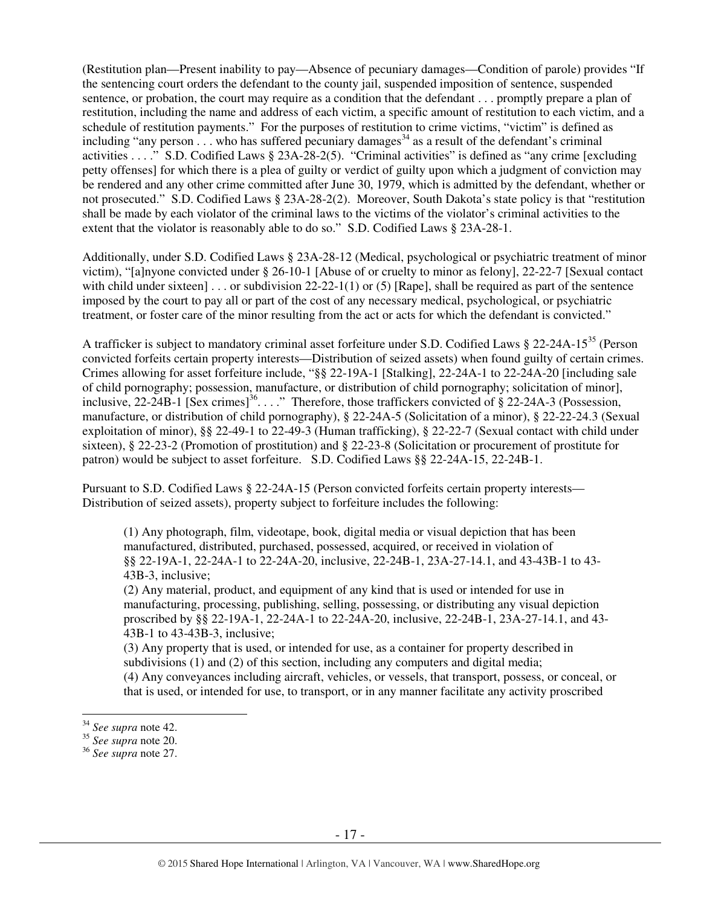(Restitution plan—Present inability to pay—Absence of pecuniary damages—Condition of parole) provides "If the sentencing court orders the defendant to the county jail, suspended imposition of sentence, suspended sentence, or probation, the court may require as a condition that the defendant . . . promptly prepare a plan of restitution, including the name and address of each victim, a specific amount of restitution to each victim, and a schedule of restitution payments." For the purposes of restitution to crime victims, "victim" is defined as including "any person  $\ldots$  who has suffered pecuniary damages<sup>34</sup> as a result of the defendant's criminal activities . . . ." S.D. Codified Laws § 23A-28-2(5). "Criminal activities" is defined as "any crime [excluding petty offenses] for which there is a plea of guilty or verdict of guilty upon which a judgment of conviction may be rendered and any other crime committed after June 30, 1979, which is admitted by the defendant, whether or not prosecuted." S.D. Codified Laws § 23A-28-2(2). Moreover, South Dakota's state policy is that "restitution shall be made by each violator of the criminal laws to the victims of the violator's criminal activities to the extent that the violator is reasonably able to do so." S.D. Codified Laws § 23A-28-1.

Additionally, under S.D. Codified Laws § 23A-28-12 (Medical, psychological or psychiatric treatment of minor victim), "[a]nyone convicted under § 26-10-1 [Abuse of or cruelty to minor as felony], 22-22-7 [Sexual contact with child under sixteen] . . . or subdivision  $22-22-1(1)$  or (5) [Rape], shall be required as part of the sentence imposed by the court to pay all or part of the cost of any necessary medical, psychological, or psychiatric treatment, or foster care of the minor resulting from the act or acts for which the defendant is convicted."

A trafficker is subject to mandatory criminal asset forfeiture under S.D. Codified Laws § 22-24A-15<sup>35</sup> (Person convicted forfeits certain property interests—Distribution of seized assets) when found guilty of certain crimes. Crimes allowing for asset forfeiture include, "§§ 22-19A-1 [Stalking], 22-24A-1 to 22-24A-20 [including sale of child pornography; possession, manufacture, or distribution of child pornography; solicitation of minor], inclusive, 22-24B-1 [Sex crimes]<sup>36</sup>. . . ." Therefore, those traffickers convicted of § 22-24A-3 (Possession, manufacture, or distribution of child pornography), § 22-24A-5 (Solicitation of a minor), § 22-22-24.3 (Sexual exploitation of minor), §§ 22-49-1 to 22-49-3 (Human trafficking), § 22-22-7 (Sexual contact with child under sixteen), § 22-23-2 (Promotion of prostitution) and § 22-23-8 (Solicitation or procurement of prostitute for patron) would be subject to asset forfeiture. S.D. Codified Laws §§ 22-24A-15, 22-24B-1.

Pursuant to S.D. Codified Laws § 22-24A-15 (Person convicted forfeits certain property interests— Distribution of seized assets), property subject to forfeiture includes the following:

(1) Any photograph, film, videotape, book, digital media or visual depiction that has been manufactured, distributed, purchased, possessed, acquired, or received in violation of §§ 22-19A-1, 22-24A-1 to 22-24A-20, inclusive, 22-24B-1, 23A-27-14.1, and 43-43B-1 to 43- 43B-3, inclusive;

(2) Any material, product, and equipment of any kind that is used or intended for use in manufacturing, processing, publishing, selling, possessing, or distributing any visual depiction proscribed by §§ 22-19A-1, 22-24A-1 to 22-24A-20, inclusive, 22-24B-1, 23A-27-14.1, and 43- 43B-1 to 43-43B-3, inclusive;

(3) Any property that is used, or intended for use, as a container for property described in subdivisions (1) and (2) of this section, including any computers and digital media; (4) Any conveyances including aircraft, vehicles, or vessels, that transport, possess, or conceal, or that is used, or intended for use, to transport, or in any manner facilitate any activity proscribed

 $\overline{a}$ 

<sup>34</sup> *See supra* note 42.

<sup>35</sup> *See supra* note 20.

<sup>36</sup> *See supra* note 27.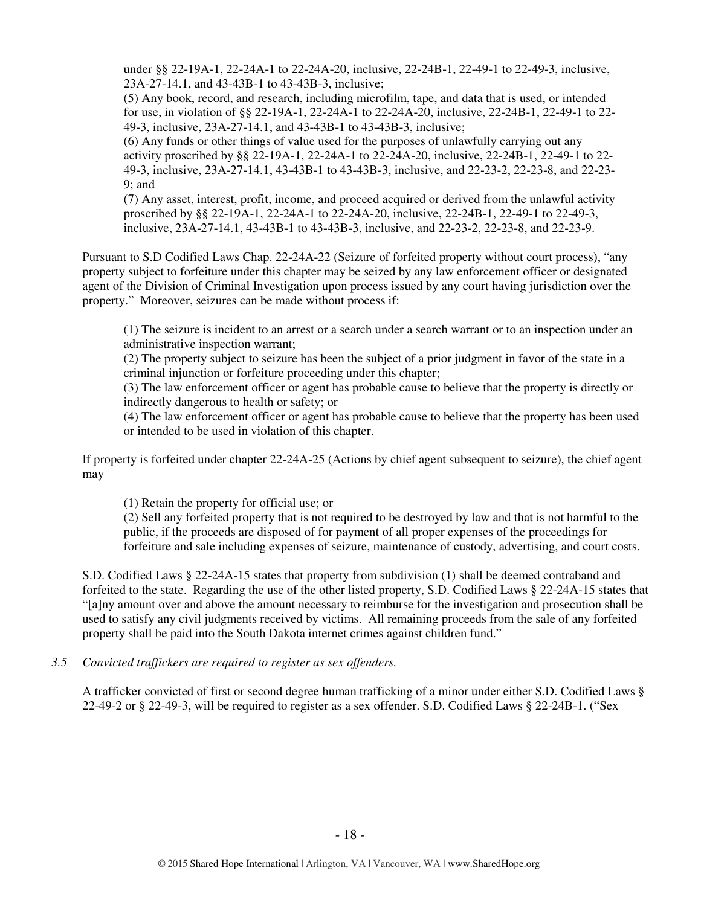under §§ 22-19A-1, 22-24A-1 to 22-24A-20, inclusive, 22-24B-1, 22-49-1 to 22-49-3, inclusive, 23A-27-14.1, and 43-43B-1 to 43-43B-3, inclusive;

(5) Any book, record, and research, including microfilm, tape, and data that is used, or intended for use, in violation of §§ 22-19A-1, 22-24A-1 to 22-24A-20, inclusive, 22-24B-1, 22-49-1 to 22- 49-3, inclusive, 23A-27-14.1, and 43-43B-1 to 43-43B-3, inclusive;

(6) Any funds or other things of value used for the purposes of unlawfully carrying out any activity proscribed by §§ 22-19A-1, 22-24A-1 to 22-24A-20, inclusive, 22-24B-1, 22-49-1 to 22- 49-3, inclusive, 23A-27-14.1, 43-43B-1 to 43-43B-3, inclusive, and 22-23-2, 22-23-8, and 22-23- 9; and

(7) Any asset, interest, profit, income, and proceed acquired or derived from the unlawful activity proscribed by §§ 22-19A-1, 22-24A-1 to 22-24A-20, inclusive, 22-24B-1, 22-49-1 to 22-49-3, inclusive, 23A-27-14.1, 43-43B-1 to 43-43B-3, inclusive, and 22-23-2, 22-23-8, and 22-23-9.

Pursuant to S.D Codified Laws Chap. 22-24A-22 (Seizure of forfeited property without court process), "any property subject to forfeiture under this chapter may be seized by any law enforcement officer or designated agent of the Division of Criminal Investigation upon process issued by any court having jurisdiction over the property." Moreover, seizures can be made without process if:

(1) The seizure is incident to an arrest or a search under a search warrant or to an inspection under an administrative inspection warrant;

(2) The property subject to seizure has been the subject of a prior judgment in favor of the state in a criminal injunction or forfeiture proceeding under this chapter;

(3) The law enforcement officer or agent has probable cause to believe that the property is directly or indirectly dangerous to health or safety; or

(4) The law enforcement officer or agent has probable cause to believe that the property has been used or intended to be used in violation of this chapter.

If property is forfeited under chapter 22-24A-25 (Actions by chief agent subsequent to seizure), the chief agent may

(1) Retain the property for official use; or

(2) Sell any forfeited property that is not required to be destroyed by law and that is not harmful to the public, if the proceeds are disposed of for payment of all proper expenses of the proceedings for forfeiture and sale including expenses of seizure, maintenance of custody, advertising, and court costs.

S.D. Codified Laws § 22-24A-15 states that property from subdivision (1) shall be deemed contraband and forfeited to the state. Regarding the use of the other listed property, S.D. Codified Laws § 22-24A-15 states that "[a]ny amount over and above the amount necessary to reimburse for the investigation and prosecution shall be used to satisfy any civil judgments received by victims. All remaining proceeds from the sale of any forfeited property shall be paid into the South Dakota internet crimes against children fund."

# *3.5 Convicted traffickers are required to register as sex offenders.*

A trafficker convicted of first or second degree human trafficking of a minor under either S.D. Codified Laws § 22-49-2 or § 22-49-3, will be required to register as a sex offender. S.D. Codified Laws § 22-24B-1. ("Sex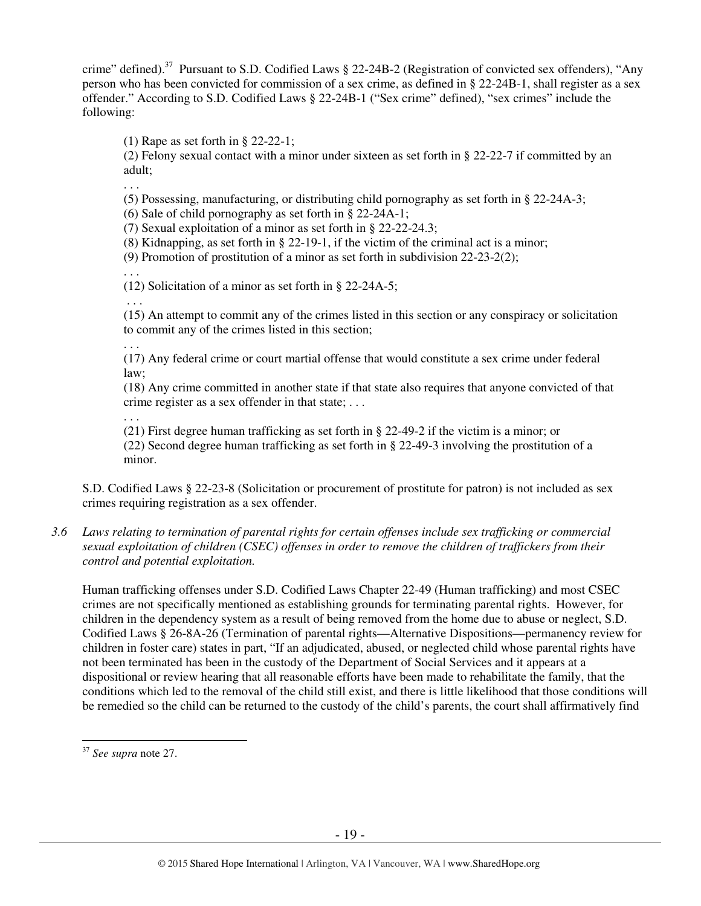crime" defined).<sup>37</sup> Pursuant to S.D. Codified Laws § 22-24B-2 (Registration of convicted sex offenders), "Any person who has been convicted for commission of a sex crime, as defined in § 22-24B-1, shall register as a sex offender." According to S.D. Codified Laws § 22-24B-1 ("Sex crime" defined), "sex crimes" include the following:

(1) Rape as set forth in § 22-22-1;

(2) Felony sexual contact with a minor under sixteen as set forth in § 22-22-7 if committed by an adult;

(5) Possessing, manufacturing, or distributing child pornography as set forth in § 22-24A-3;

(6) Sale of child pornography as set forth in § 22-24A-1;

(7) Sexual exploitation of a minor as set forth in § 22-22-24.3;

(8) Kidnapping, as set forth in § 22-19-1, if the victim of the criminal act is a minor;

(9) Promotion of prostitution of a minor as set forth in subdivision 22-23-2(2);

. . .

. . .

(12) Solicitation of a minor as set forth in § 22-24A-5;

. . .

(15) An attempt to commit any of the crimes listed in this section or any conspiracy or solicitation to commit any of the crimes listed in this section;

. . .

(17) Any federal crime or court martial offense that would constitute a sex crime under federal law;

(18) Any crime committed in another state if that state also requires that anyone convicted of that crime register as a sex offender in that state; . . .

. . .

(21) First degree human trafficking as set forth in § 22-49-2 if the victim is a minor; or (22) Second degree human trafficking as set forth in § 22-49-3 involving the prostitution of a minor.

S.D. Codified Laws § 22-23-8 (Solicitation or procurement of prostitute for patron) is not included as sex crimes requiring registration as a sex offender.

*3.6 Laws relating to termination of parental rights for certain offenses include sex trafficking or commercial sexual exploitation of children (CSEC) offenses in order to remove the children of traffickers from their control and potential exploitation.* 

Human trafficking offenses under S.D. Codified Laws Chapter 22-49 (Human trafficking) and most CSEC crimes are not specifically mentioned as establishing grounds for terminating parental rights. However, for children in the dependency system as a result of being removed from the home due to abuse or neglect, S.D. Codified Laws § 26-8A-26 (Termination of parental rights—Alternative Dispositions—permanency review for children in foster care) states in part, "If an adjudicated, abused, or neglected child whose parental rights have not been terminated has been in the custody of the Department of Social Services and it appears at a dispositional or review hearing that all reasonable efforts have been made to rehabilitate the family, that the conditions which led to the removal of the child still exist, and there is little likelihood that those conditions will be remedied so the child can be returned to the custody of the child's parents, the court shall affirmatively find

 $\overline{a}$ 

<sup>37</sup> *See supra* note 27.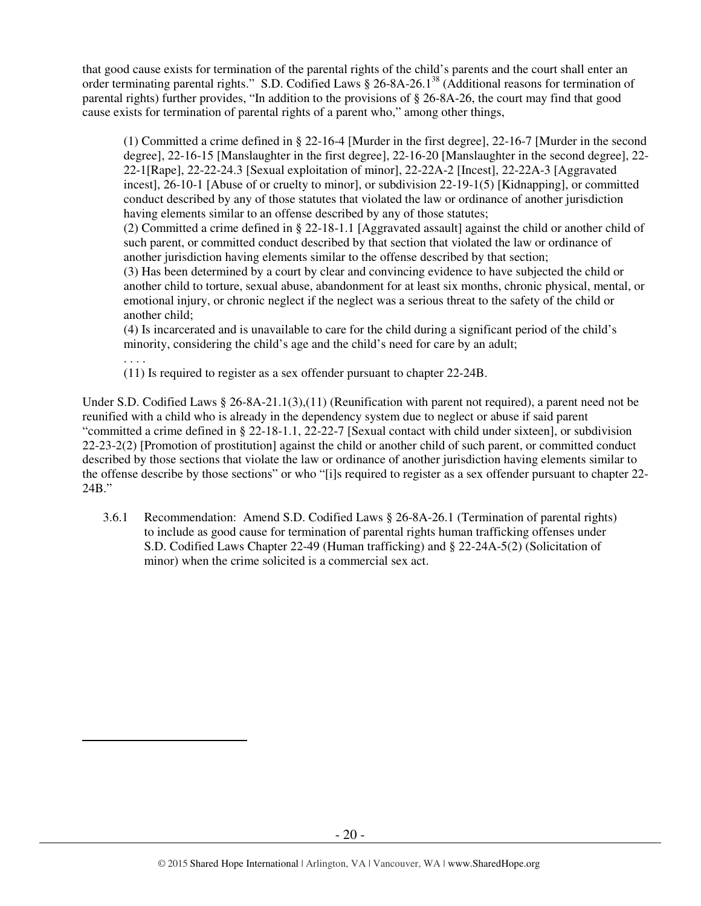that good cause exists for termination of the parental rights of the child's parents and the court shall enter an order terminating parental rights." S.D. Codified Laws § 26-8A-26.1<sup>38</sup> (Additional reasons for termination of parental rights) further provides, "In addition to the provisions of § 26-8A-26, the court may find that good cause exists for termination of parental rights of a parent who," among other things,

(1) Committed a crime defined in § 22-16-4 [Murder in the first degree], 22-16-7 [Murder in the second degree], 22-16-15 [Manslaughter in the first degree], 22-16-20 [Manslaughter in the second degree], 22- 22-1[Rape], 22-22-24.3 [Sexual exploitation of minor], 22-22A-2 [Incest], 22-22A-3 [Aggravated incest], 26-10-1 [Abuse of or cruelty to minor], or subdivision 22-19-1(5) [Kidnapping], or committed conduct described by any of those statutes that violated the law or ordinance of another jurisdiction having elements similar to an offense described by any of those statutes;

(2) Committed a crime defined in § 22-18-1.1 [Aggravated assault] against the child or another child of such parent, or committed conduct described by that section that violated the law or ordinance of another jurisdiction having elements similar to the offense described by that section;

(3) Has been determined by a court by clear and convincing evidence to have subjected the child or another child to torture, sexual abuse, abandonment for at least six months, chronic physical, mental, or emotional injury, or chronic neglect if the neglect was a serious threat to the safety of the child or another child;

(4) Is incarcerated and is unavailable to care for the child during a significant period of the child's minority, considering the child's age and the child's need for care by an adult;

. . . . (11) Is required to register as a sex offender pursuant to chapter 22-24B.

 $\overline{a}$ 

Under S.D. Codified Laws § 26-8A-21.1(3),(11) (Reunification with parent not required), a parent need not be reunified with a child who is already in the dependency system due to neglect or abuse if said parent "committed a crime defined in § 22-18-1.1, 22-22-7 [Sexual contact with child under sixteen], or subdivision 22-23-2(2) [Promotion of prostitution] against the child or another child of such parent, or committed conduct described by those sections that violate the law or ordinance of another jurisdiction having elements similar to the offense describe by those sections" or who "[i]s required to register as a sex offender pursuant to chapter 22- 24B."

3.6.1 Recommendation: Amend S.D. Codified Laws § 26-8A-26.1 (Termination of parental rights) to include as good cause for termination of parental rights human trafficking offenses under S.D. Codified Laws Chapter 22-49 (Human trafficking) and § 22-24A-5(2) (Solicitation of minor) when the crime solicited is a commercial sex act.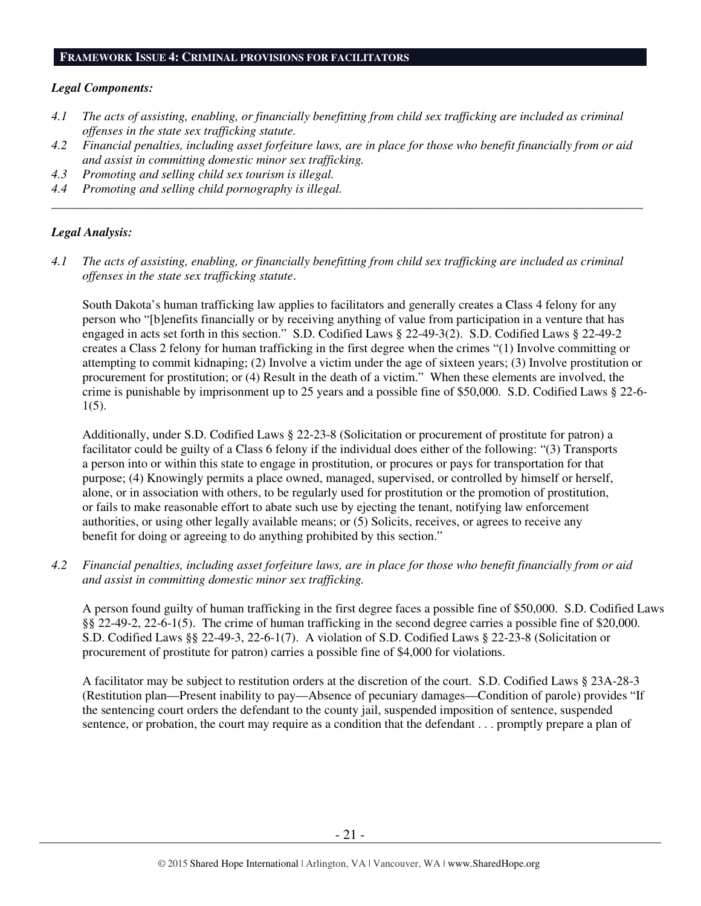#### **FRAMEWORK ISSUE 4: CRIMINAL PROVISIONS FOR FACILITATORS**

#### *Legal Components:*

- *4.1 The acts of assisting, enabling, or financially benefitting from child sex trafficking are included as criminal offenses in the state sex trafficking statute.*
- *4.2 Financial penalties, including asset forfeiture laws, are in place for those who benefit financially from or aid and assist in committing domestic minor sex trafficking.*

*\_\_\_\_\_\_\_\_\_\_\_\_\_\_\_\_\_\_\_\_\_\_\_\_\_\_\_\_\_\_\_\_\_\_\_\_\_\_\_\_\_\_\_\_\_\_\_\_\_\_\_\_\_\_\_\_\_\_\_\_\_\_\_\_\_\_\_\_\_\_\_\_\_\_\_\_\_\_\_\_\_\_\_\_\_\_\_\_\_\_\_\_\_\_* 

- *4.3 Promoting and selling child sex tourism is illegal.*
- *4.4 Promoting and selling child pornography is illegal.*

#### *Legal Analysis:*

*4.1 The acts of assisting, enabling, or financially benefitting from child sex trafficking are included as criminal offenses in the state sex trafficking statute*.

South Dakota's human trafficking law applies to facilitators and generally creates a Class 4 felony for any person who "[b]enefits financially or by receiving anything of value from participation in a venture that has engaged in acts set forth in this section." S.D. Codified Laws § 22-49-3(2). S.D. Codified Laws § 22-49-2 creates a Class 2 felony for human trafficking in the first degree when the crimes "(1) Involve committing or attempting to commit kidnaping; (2) Involve a victim under the age of sixteen years; (3) Involve prostitution or procurement for prostitution; or (4) Result in the death of a victim." When these elements are involved, the crime is punishable by imprisonment up to 25 years and a possible fine of \$50,000. S.D. Codified Laws § 22-6- 1(5).

Additionally, under S.D. Codified Laws § 22-23-8 (Solicitation or procurement of prostitute for patron) a facilitator could be guilty of a Class 6 felony if the individual does either of the following: "(3) Transports a person into or within this state to engage in prostitution, or procures or pays for transportation for that purpose; (4) Knowingly permits a place owned, managed, supervised, or controlled by himself or herself, alone, or in association with others, to be regularly used for prostitution or the promotion of prostitution, or fails to make reasonable effort to abate such use by ejecting the tenant, notifying law enforcement authorities, or using other legally available means; or (5) Solicits, receives, or agrees to receive any benefit for doing or agreeing to do anything prohibited by this section."

*4.2 Financial penalties, including asset forfeiture laws, are in place for those who benefit financially from or aid and assist in committing domestic minor sex trafficking.* 

A person found guilty of human trafficking in the first degree faces a possible fine of \$50,000. S.D. Codified Laws §§ 22-49-2, 22-6-1(5). The crime of human trafficking in the second degree carries a possible fine of \$20,000. S.D. Codified Laws §§ 22-49-3, 22-6-1(7). A violation of S.D. Codified Laws § 22-23-8 (Solicitation or procurement of prostitute for patron) carries a possible fine of \$4,000 for violations.

A facilitator may be subject to restitution orders at the discretion of the court. S.D. Codified Laws § 23A-28-3 (Restitution plan—Present inability to pay—Absence of pecuniary damages—Condition of parole) provides "If the sentencing court orders the defendant to the county jail, suspended imposition of sentence, suspended sentence, or probation, the court may require as a condition that the defendant . . . promptly prepare a plan of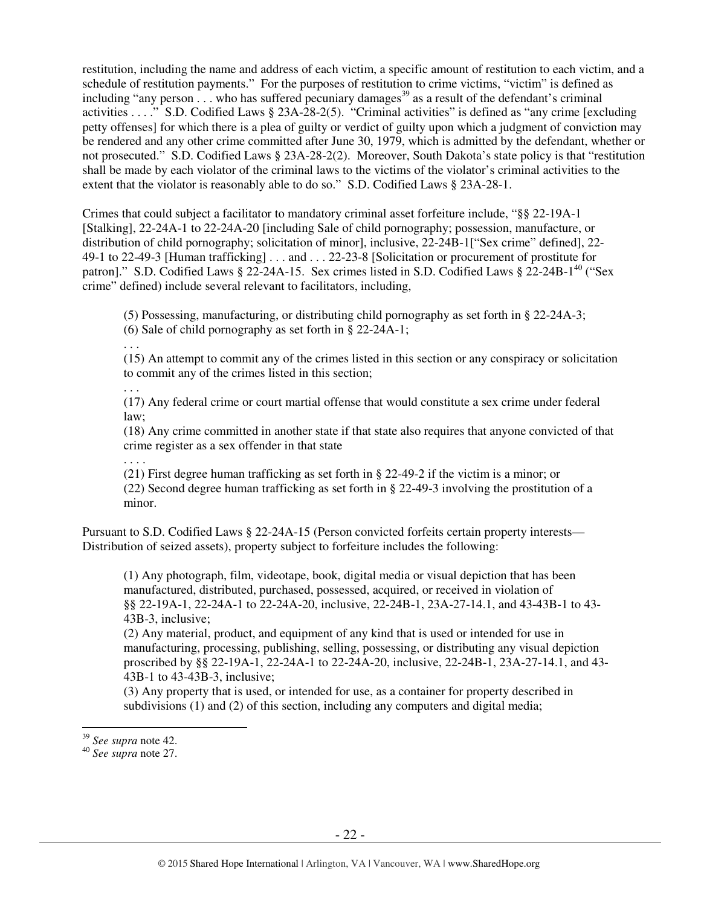restitution, including the name and address of each victim, a specific amount of restitution to each victim, and a schedule of restitution payments." For the purposes of restitution to crime victims, "victim" is defined as including "any person  $\ldots$  who has suffered pecuniary damages<sup>39</sup> as a result of the defendant's criminal activities . . . ." S.D. Codified Laws § 23A-28-2(5). "Criminal activities" is defined as "any crime [excluding petty offenses] for which there is a plea of guilty or verdict of guilty upon which a judgment of conviction may be rendered and any other crime committed after June 30, 1979, which is admitted by the defendant, whether or not prosecuted." S.D. Codified Laws § 23A-28-2(2). Moreover, South Dakota's state policy is that "restitution shall be made by each violator of the criminal laws to the victims of the violator's criminal activities to the extent that the violator is reasonably able to do so." S.D. Codified Laws § 23A-28-1.

Crimes that could subject a facilitator to mandatory criminal asset forfeiture include, "§§ 22-19A-1 [Stalking], 22-24A-1 to 22-24A-20 [including Sale of child pornography; possession, manufacture, or distribution of child pornography; solicitation of minor], inclusive, 22-24B-1["Sex crime" defined], 22- 49-1 to 22-49-3 [Human trafficking] . . . and . . . 22-23-8 [Solicitation or procurement of prostitute for patron]." S.D. Codified Laws § 22-24A-15. Sex crimes listed in S.D. Codified Laws § 22-24B-1<sup>40</sup> ("Sex crime" defined) include several relevant to facilitators, including,

(5) Possessing, manufacturing, or distributing child pornography as set forth in § 22-24A-3;

(6) Sale of child pornography as set forth in § 22-24A-1;

. . .

. . .

(15) An attempt to commit any of the crimes listed in this section or any conspiracy or solicitation to commit any of the crimes listed in this section;

(17) Any federal crime or court martial offense that would constitute a sex crime under federal law;

(18) Any crime committed in another state if that state also requires that anyone convicted of that crime register as a sex offender in that state

. . . . (21) First degree human trafficking as set forth in § 22-49-2 if the victim is a minor; or (22) Second degree human trafficking as set forth in § 22-49-3 involving the prostitution of a minor.

Pursuant to S.D. Codified Laws § 22-24A-15 (Person convicted forfeits certain property interests— Distribution of seized assets), property subject to forfeiture includes the following:

(1) Any photograph, film, videotape, book, digital media or visual depiction that has been manufactured, distributed, purchased, possessed, acquired, or received in violation of §§ 22-19A-1, 22-24A-1 to 22-24A-20, inclusive, 22-24B-1, 23A-27-14.1, and 43-43B-1 to 43- 43B-3, inclusive;

(2) Any material, product, and equipment of any kind that is used or intended for use in manufacturing, processing, publishing, selling, possessing, or distributing any visual depiction proscribed by §§ 22-19A-1, 22-24A-1 to 22-24A-20, inclusive, 22-24B-1, 23A-27-14.1, and 43- 43B-1 to 43-43B-3, inclusive;

(3) Any property that is used, or intended for use, as a container for property described in subdivisions (1) and (2) of this section, including any computers and digital media;

 $\overline{a}$ 

<sup>39</sup> *See supra* note 42.

<sup>40</sup> *See supra* note 27.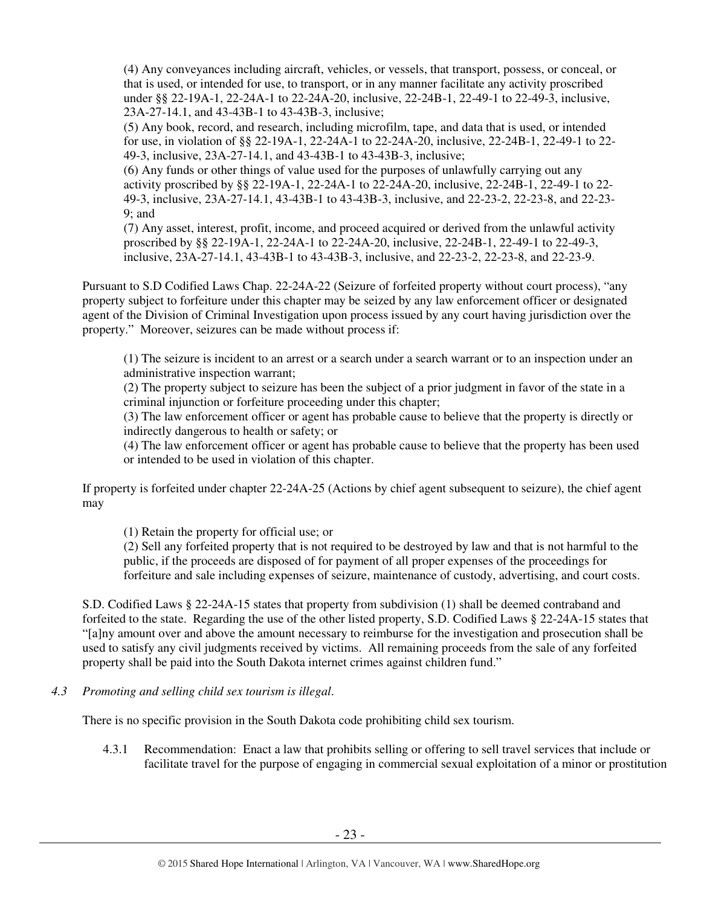(4) Any conveyances including aircraft, vehicles, or vessels, that transport, possess, or conceal, or that is used, or intended for use, to transport, or in any manner facilitate any activity proscribed under §§ 22-19A-1, 22-24A-1 to 22-24A-20, inclusive, 22-24B-1, 22-49-1 to 22-49-3, inclusive, 23A-27-14.1, and 43-43B-1 to 43-43B-3, inclusive;

(5) Any book, record, and research, including microfilm, tape, and data that is used, or intended for use, in violation of §§ 22-19A-1, 22-24A-1 to 22-24A-20, inclusive, 22-24B-1, 22-49-1 to 22- 49-3, inclusive, 23A-27-14.1, and 43-43B-1 to 43-43B-3, inclusive;

(6) Any funds or other things of value used for the purposes of unlawfully carrying out any activity proscribed by §§ 22-19A-1, 22-24A-1 to 22-24A-20, inclusive, 22-24B-1, 22-49-1 to 22- 49-3, inclusive, 23A-27-14.1, 43-43B-1 to 43-43B-3, inclusive, and 22-23-2, 22-23-8, and 22-23- 9; and

(7) Any asset, interest, profit, income, and proceed acquired or derived from the unlawful activity proscribed by §§ 22-19A-1, 22-24A-1 to 22-24A-20, inclusive, 22-24B-1, 22-49-1 to 22-49-3, inclusive, 23A-27-14.1, 43-43B-1 to 43-43B-3, inclusive, and 22-23-2, 22-23-8, and 22-23-9.

Pursuant to S.D Codified Laws Chap. 22-24A-22 (Seizure of forfeited property without court process), "any property subject to forfeiture under this chapter may be seized by any law enforcement officer or designated agent of the Division of Criminal Investigation upon process issued by any court having jurisdiction over the property." Moreover, seizures can be made without process if:

(1) The seizure is incident to an arrest or a search under a search warrant or to an inspection under an administrative inspection warrant;

(2) The property subject to seizure has been the subject of a prior judgment in favor of the state in a criminal injunction or forfeiture proceeding under this chapter;

(3) The law enforcement officer or agent has probable cause to believe that the property is directly or indirectly dangerous to health or safety; or

(4) The law enforcement officer or agent has probable cause to believe that the property has been used or intended to be used in violation of this chapter.

If property is forfeited under chapter 22-24A-25 (Actions by chief agent subsequent to seizure), the chief agent may

(1) Retain the property for official use; or

(2) Sell any forfeited property that is not required to be destroyed by law and that is not harmful to the public, if the proceeds are disposed of for payment of all proper expenses of the proceedings for forfeiture and sale including expenses of seizure, maintenance of custody, advertising, and court costs.

S.D. Codified Laws § 22-24A-15 states that property from subdivision (1) shall be deemed contraband and forfeited to the state. Regarding the use of the other listed property, S.D. Codified Laws § 22-24A-15 states that "[a]ny amount over and above the amount necessary to reimburse for the investigation and prosecution shall be used to satisfy any civil judgments received by victims. All remaining proceeds from the sale of any forfeited property shall be paid into the South Dakota internet crimes against children fund."

*4.3 Promoting and selling child sex tourism is illegal*.

There is no specific provision in the South Dakota code prohibiting child sex tourism.

4.3.1 Recommendation: Enact a law that prohibits selling or offering to sell travel services that include or facilitate travel for the purpose of engaging in commercial sexual exploitation of a minor or prostitution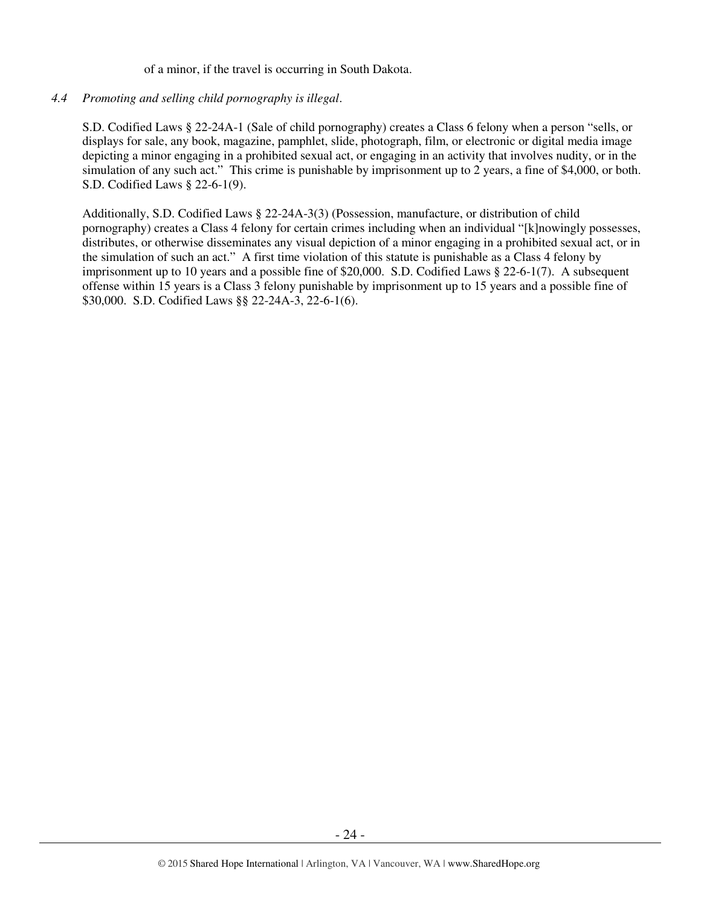of a minor, if the travel is occurring in South Dakota.

## *4.4 Promoting and selling child pornography is illegal*.

S.D. Codified Laws § 22-24A-1 (Sale of child pornography) creates a Class 6 felony when a person "sells, or displays for sale, any book, magazine, pamphlet, slide, photograph, film, or electronic or digital media image depicting a minor engaging in a prohibited sexual act, or engaging in an activity that involves nudity, or in the simulation of any such act." This crime is punishable by imprisonment up to 2 years, a fine of \$4,000, or both. S.D. Codified Laws § 22-6-1(9).

Additionally, S.D. Codified Laws § 22-24A-3(3) (Possession, manufacture, or distribution of child pornography) creates a Class 4 felony for certain crimes including when an individual "[k]nowingly possesses, distributes, or otherwise disseminates any visual depiction of a minor engaging in a prohibited sexual act, or in the simulation of such an act." A first time violation of this statute is punishable as a Class 4 felony by imprisonment up to 10 years and a possible fine of \$20,000. S.D. Codified Laws § 22-6-1(7). A subsequent offense within 15 years is a Class 3 felony punishable by imprisonment up to 15 years and a possible fine of \$30,000. S.D. Codified Laws §§ 22-24A-3, 22-6-1(6).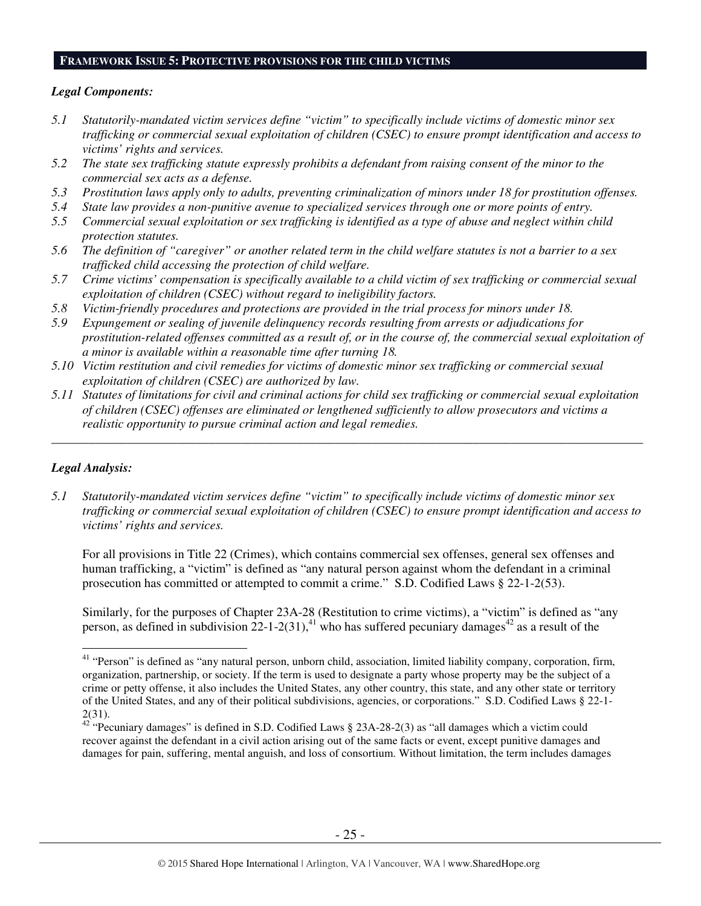#### **FRAMEWORK ISSUE 5: PROTECTIVE PROVISIONS FOR THE CHILD VICTIMS**

#### *Legal Components:*

- *5.1 Statutorily-mandated victim services define "victim" to specifically include victims of domestic minor sex trafficking or commercial sexual exploitation of children (CSEC) to ensure prompt identification and access to victims' rights and services.*
- *5.2 The state sex trafficking statute expressly prohibits a defendant from raising consent of the minor to the commercial sex acts as a defense.*
- *5.3 Prostitution laws apply only to adults, preventing criminalization of minors under 18 for prostitution offenses.*
- *5.4 State law provides a non-punitive avenue to specialized services through one or more points of entry.*
- *5.5 Commercial sexual exploitation or sex trafficking is identified as a type of abuse and neglect within child protection statutes.*
- *5.6 The definition of "caregiver" or another related term in the child welfare statutes is not a barrier to a sex trafficked child accessing the protection of child welfare.*
- *5.7 Crime victims' compensation is specifically available to a child victim of sex trafficking or commercial sexual exploitation of children (CSEC) without regard to ineligibility factors.*
- *5.8 Victim-friendly procedures and protections are provided in the trial process for minors under 18.*
- *5.9 Expungement or sealing of juvenile delinquency records resulting from arrests or adjudications for prostitution-related offenses committed as a result of, or in the course of, the commercial sexual exploitation of a minor is available within a reasonable time after turning 18.*
- *5.10 Victim restitution and civil remedies for victims of domestic minor sex trafficking or commercial sexual exploitation of children (CSEC) are authorized by law.*
- *5.11 Statutes of limitations for civil and criminal actions for child sex trafficking or commercial sexual exploitation of children (CSEC) offenses are eliminated or lengthened sufficiently to allow prosecutors and victims a realistic opportunity to pursue criminal action and legal remedies.*

*\_\_\_\_\_\_\_\_\_\_\_\_\_\_\_\_\_\_\_\_\_\_\_\_\_\_\_\_\_\_\_\_\_\_\_\_\_\_\_\_\_\_\_\_\_\_\_\_\_\_\_\_\_\_\_\_\_\_\_\_\_\_\_\_\_\_\_\_\_\_\_\_\_\_\_\_\_\_\_\_\_\_\_\_\_\_\_\_\_\_\_\_\_\_* 

#### *Legal Analysis:*

 $\overline{a}$ 

*5.1 Statutorily-mandated victim services define "victim" to specifically include victims of domestic minor sex trafficking or commercial sexual exploitation of children (CSEC) to ensure prompt identification and access to victims' rights and services.* 

For all provisions in Title 22 (Crimes), which contains commercial sex offenses, general sex offenses and human trafficking, a "victim" is defined as "any natural person against whom the defendant in a criminal prosecution has committed or attempted to commit a crime." S.D. Codified Laws § 22-1-2(53).

Similarly, for the purposes of Chapter 23A-28 (Restitution to crime victims), a "victim" is defined as "any person, as defined in subdivision 22-1-2(31),<sup>41</sup> who has suffered pecuniary damages<sup>42</sup> as a result of the

<sup>&</sup>lt;sup>41</sup> "Person" is defined as "any natural person, unborn child, association, limited liability company, corporation, firm, organization, partnership, or society. If the term is used to designate a party whose property may be the subject of a crime or petty offense, it also includes the United States, any other country, this state, and any other state or territory of the United States, and any of their political subdivisions, agencies, or corporations." S.D. Codified Laws § 22-1- 2(31).

 $42 \text{°}$  "Pecuniary damages" is defined in S.D. Codified Laws § 23A-28-2(3) as "all damages which a victim could recover against the defendant in a civil action arising out of the same facts or event, except punitive damages and damages for pain, suffering, mental anguish, and loss of consortium. Without limitation, the term includes damages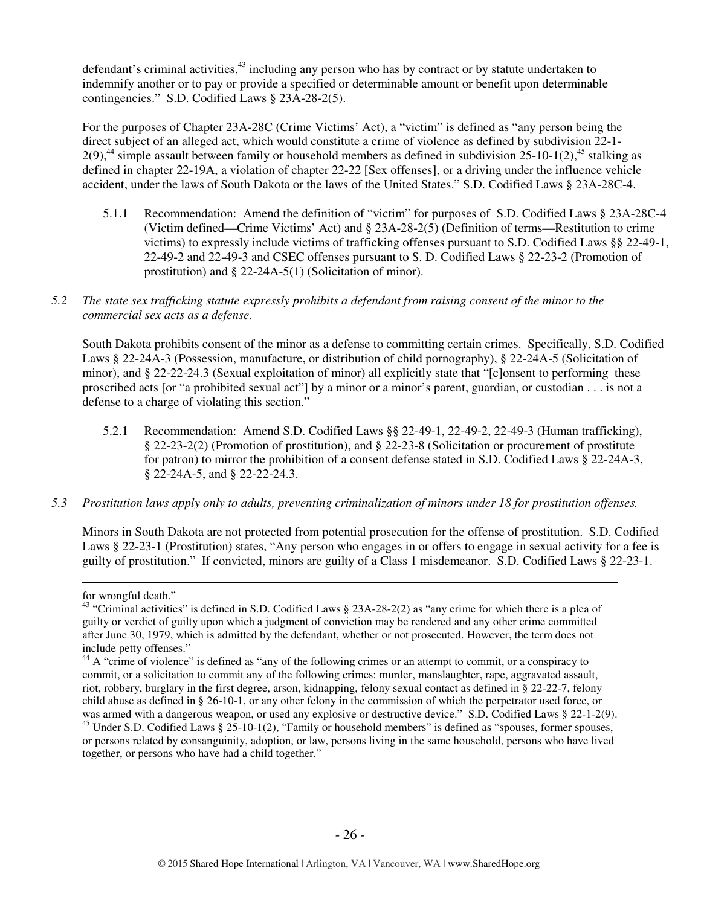defendant's criminal activities,<sup>43</sup> including any person who has by contract or by statute undertaken to indemnify another or to pay or provide a specified or determinable amount or benefit upon determinable contingencies." S.D. Codified Laws § 23A-28-2(5).

For the purposes of Chapter 23A-28C (Crime Victims' Act), a "victim" is defined as "any person being the direct subject of an alleged act, which would constitute a crime of violence as defined by subdivision 22-1- 2(9),<sup>44</sup> simple assault between family or household members as defined in subdivision 25-10-1(2),<sup>45</sup> stalking as defined in chapter 22-19A, a violation of chapter 22-22 [Sex offenses], or a driving under the influence vehicle accident, under the laws of South Dakota or the laws of the United States." S.D. Codified Laws § 23A-28C-4.

- 5.1.1 Recommendation: Amend the definition of "victim" for purposes of S.D. Codified Laws § 23A-28C-4 (Victim defined—Crime Victims' Act) and § 23A-28-2(5) (Definition of terms—Restitution to crime victims) to expressly include victims of trafficking offenses pursuant to S.D. Codified Laws §§ 22-49-1, 22-49-2 and 22-49-3 and CSEC offenses pursuant to S. D. Codified Laws § 22-23-2 (Promotion of prostitution) and § 22-24A-5(1) (Solicitation of minor).
- *5.2 The state sex trafficking statute expressly prohibits a defendant from raising consent of the minor to the commercial sex acts as a defense.*

South Dakota prohibits consent of the minor as a defense to committing certain crimes. Specifically, S.D. Codified Laws § 22-24A-3 (Possession, manufacture, or distribution of child pornography), § 22-24A-5 (Solicitation of minor), and § 22-22-24.3 (Sexual exploitation of minor) all explicitly state that "[c]onsent to performing these proscribed acts [or "a prohibited sexual act"] by a minor or a minor's parent, guardian, or custodian . . . is not a defense to a charge of violating this section."

- 5.2.1 Recommendation: Amend S.D. Codified Laws §§ 22-49-1, 22-49-2, 22-49-3 (Human trafficking), § 22-23-2(2) (Promotion of prostitution), and § 22-23-8 (Solicitation or procurement of prostitute for patron) to mirror the prohibition of a consent defense stated in S.D. Codified Laws § 22-24A-3, § 22-24A-5, and § 22-22-24.3.
- *5.3 Prostitution laws apply only to adults, preventing criminalization of minors under 18 for prostitution offenses.*

Minors in South Dakota are not protected from potential prosecution for the offense of prostitution. S.D. Codified Laws § 22-23-1 (Prostitution) states, "Any person who engages in or offers to engage in sexual activity for a fee is guilty of prostitution." If convicted, minors are guilty of a Class 1 misdemeanor. S.D. Codified Laws § 22-23-1.

 $\overline{a}$ 

for wrongful death."

<sup>&</sup>lt;sup>43</sup> "Criminal activities" is defined in S.D. Codified Laws  $\S$  23A-28-2(2) as "any crime for which there is a plea of guilty or verdict of guilty upon which a judgment of conviction may be rendered and any other crime committed after June 30, 1979, which is admitted by the defendant, whether or not prosecuted. However, the term does not include petty offenses."

<sup>&</sup>lt;sup>44</sup> A "crime of violence" is defined as "any of the following crimes or an attempt to commit, or a conspiracy to commit, or a solicitation to commit any of the following crimes: murder, manslaughter, rape, aggravated assault, riot, robbery, burglary in the first degree, arson, kidnapping, felony sexual contact as defined in § 22-22-7, felony child abuse as defined in § 26-10-1, or any other felony in the commission of which the perpetrator used force, or was armed with a dangerous weapon, or used any explosive or destructive device." S.D. Codified Laws § 22-1-2(9). <sup>45</sup> Under S.D. Codified Laws § 25-10-1(2), "Family or household members" is defined as "spouses, former spouses, or persons related by consanguinity, adoption, or law, persons living in the same household, persons who have lived together, or persons who have had a child together."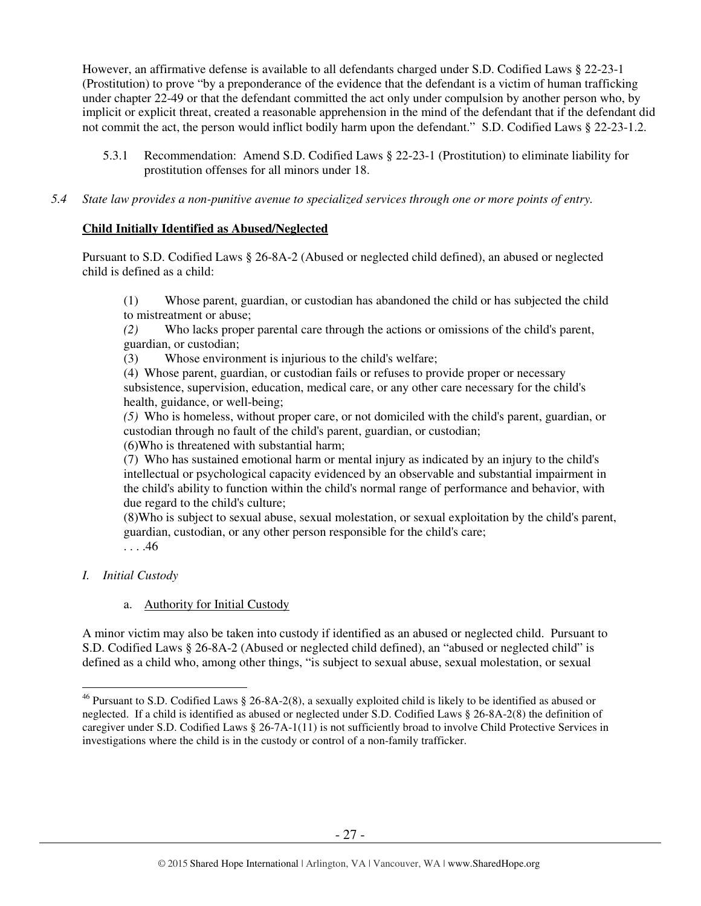However, an affirmative defense is available to all defendants charged under S.D. Codified Laws § 22-23-1 (Prostitution) to prove "by a preponderance of the evidence that the defendant is a victim of human trafficking under chapter 22-49 or that the defendant committed the act only under compulsion by another person who, by implicit or explicit threat, created a reasonable apprehension in the mind of the defendant that if the defendant did not commit the act, the person would inflict bodily harm upon the defendant." S.D. Codified Laws § 22-23-1.2.

- 5.3.1 Recommendation: Amend S.D. Codified Laws § 22-23-1 (Prostitution) to eliminate liability for prostitution offenses for all minors under 18.
- *5.4 State law provides a non-punitive avenue to specialized services through one or more points of entry.*

## **Child Initially Identified as Abused/Neglected**

Pursuant to S.D. Codified Laws § 26-8A-2 (Abused or neglected child defined), an abused or neglected child is defined as a child:

(1) Whose parent, guardian, or custodian has abandoned the child or has subjected the child to mistreatment or abuse;

*(2)* Who lacks proper parental care through the actions or omissions of the child's parent, guardian, or custodian;

(3) Whose environment is injurious to the child's welfare;

(4) Whose parent, guardian, or custodian fails or refuses to provide proper or necessary subsistence, supervision, education, medical care, or any other care necessary for the child's health, guidance, or well-being;

*(5)* Who is homeless, without proper care, or not domiciled with the child's parent, guardian, or custodian through no fault of the child's parent, guardian, or custodian;

(6)Who is threatened with substantial harm;

(7) Who has sustained emotional harm or mental injury as indicated by an injury to the child's intellectual or psychological capacity evidenced by an observable and substantial impairment in the child's ability to function within the child's normal range of performance and behavior, with due regard to the child's culture;

(8)Who is subject to sexual abuse, sexual molestation, or sexual exploitation by the child's parent, guardian, custodian, or any other person responsible for the child's care; . . . .46

# *I. Initial Custody*

# a. Authority for Initial Custody

A minor victim may also be taken into custody if identified as an abused or neglected child. Pursuant to S.D. Codified Laws § 26-8A-2 (Abused or neglected child defined), an "abused or neglected child" is defined as a child who, among other things, "is subject to sexual abuse, sexual molestation, or sexual

 $\overline{a}$ <sup>46</sup> Pursuant to S.D. Codified Laws § 26-8A-2(8), a sexually exploited child is likely to be identified as abused or neglected. If a child is identified as abused or neglected under S.D. Codified Laws § 26-8A-2(8) the definition of caregiver under S.D. Codified Laws § 26-7A-1(11) is not sufficiently broad to involve Child Protective Services in investigations where the child is in the custody or control of a non-family trafficker.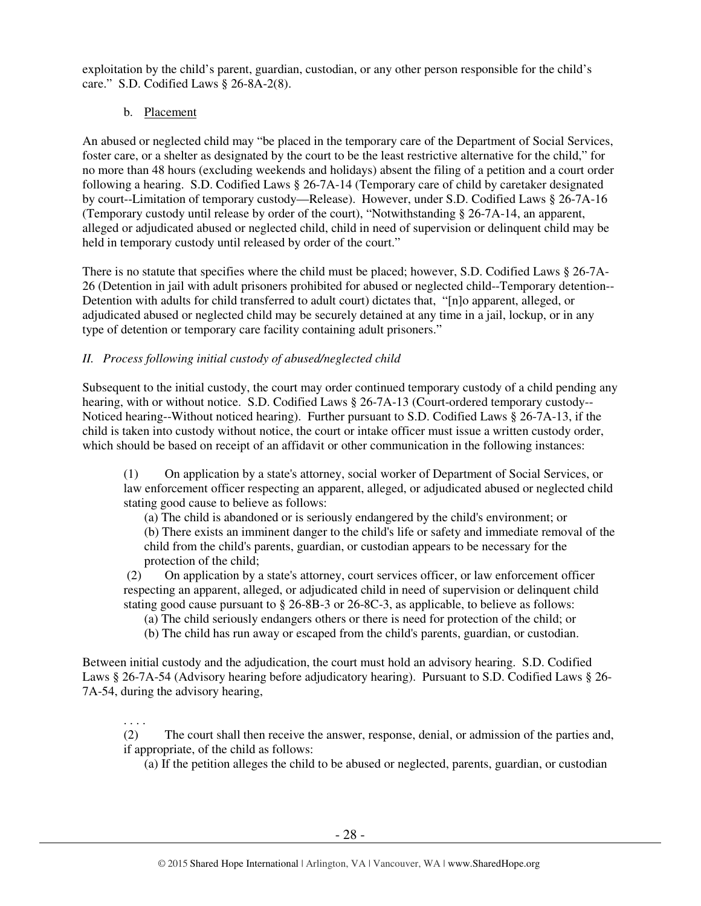exploitation by the child's parent, guardian, custodian, or any other person responsible for the child's care." S.D. Codified Laws § 26-8A-2(8).

# b. Placement

. . . .

An abused or neglected child may "be placed in the temporary care of the Department of Social Services, foster care, or a shelter as designated by the court to be the least restrictive alternative for the child," for no more than 48 hours (excluding weekends and holidays) absent the filing of a petition and a court order following a hearing. S.D. Codified Laws § 26-7A-14 (Temporary care of child by caretaker designated by court--Limitation of temporary custody—Release). However, under S.D. Codified Laws § 26-7A-16 (Temporary custody until release by order of the court), "Notwithstanding § 26-7A-14, an apparent, alleged or adjudicated abused or neglected child, child in need of supervision or delinquent child may be held in temporary custody until released by order of the court."

There is no statute that specifies where the child must be placed; however, S.D. Codified Laws § 26-7A-26 (Detention in jail with adult prisoners prohibited for abused or neglected child--Temporary detention-- Detention with adults for child transferred to adult court) dictates that, "[n]o apparent, alleged, or adjudicated abused or neglected child may be securely detained at any time in a jail, lockup, or in any type of detention or temporary care facility containing adult prisoners."

# *II. Process following initial custody of abused/neglected child*

Subsequent to the initial custody, the court may order continued temporary custody of a child pending any hearing, with or without notice. S.D. Codified Laws § 26-7A-13 (Court-ordered temporary custody-- Noticed hearing--Without noticed hearing). Further pursuant to S.D. Codified Laws § 26-7A-13, if the child is taken into custody without notice, the court or intake officer must issue a written custody order, which should be based on receipt of an affidavit or other communication in the following instances:

(1) On application by a state's attorney, social worker of Department of Social Services, or law enforcement officer respecting an apparent, alleged, or adjudicated abused or neglected child stating good cause to believe as follows:

(a) The child is abandoned or is seriously endangered by the child's environment; or (b) There exists an imminent danger to the child's life or safety and immediate removal of the child from the child's parents, guardian, or custodian appears to be necessary for the protection of the child;

 (2) On application by a state's attorney, court services officer, or law enforcement officer respecting an apparent, alleged, or adjudicated child in need of supervision or delinquent child stating good cause pursuant to § 26-8B-3 or 26-8C-3, as applicable, to believe as follows:

- (a) The child seriously endangers others or there is need for protection of the child; or
- (b) The child has run away or escaped from the child's parents, guardian, or custodian.

Between initial custody and the adjudication, the court must hold an advisory hearing. S.D. Codified Laws § 26-7A-54 (Advisory hearing before adjudicatory hearing). Pursuant to S.D. Codified Laws § 26- 7A-54, during the advisory hearing,

(2) The court shall then receive the answer, response, denial, or admission of the parties and, if appropriate, of the child as follows:

(a) If the petition alleges the child to be abused or neglected, parents, guardian, or custodian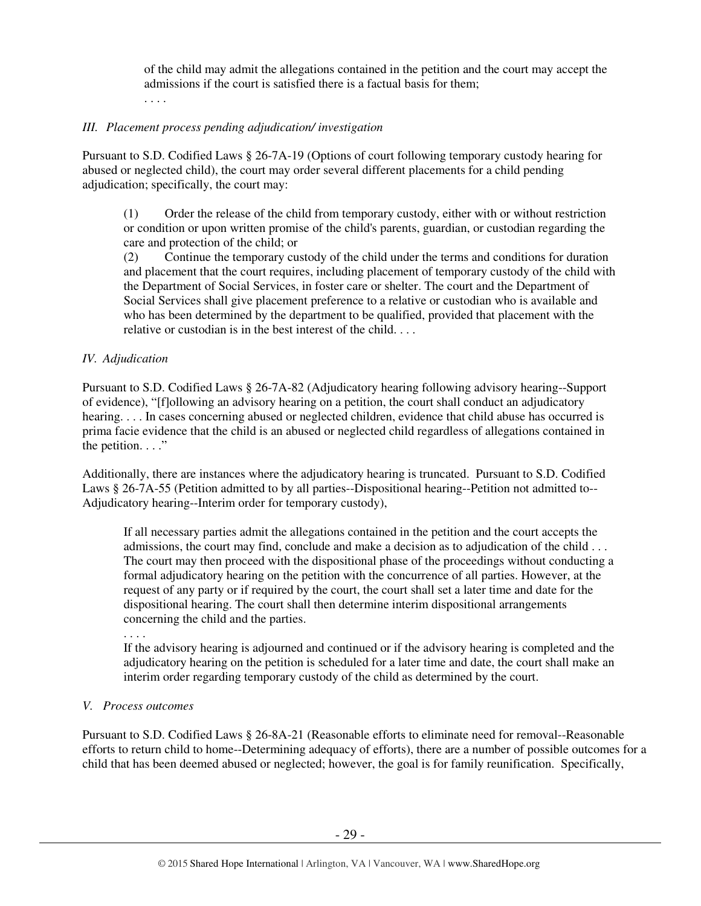of the child may admit the allegations contained in the petition and the court may accept the admissions if the court is satisfied there is a factual basis for them; . . . .

#### *III. Placement process pending adjudication/ investigation*

Pursuant to S.D. Codified Laws § 26-7A-19 (Options of court following temporary custody hearing for abused or neglected child), the court may order several different placements for a child pending adjudication; specifically, the court may:

(1) Order the release of the child from temporary custody, either with or without restriction or condition or upon written promise of the child's parents, guardian, or custodian regarding the care and protection of the child; or

(2) Continue the temporary custody of the child under the terms and conditions for duration and placement that the court requires, including placement of temporary custody of the child with the Department of Social Services, in foster care or shelter. The court and the Department of Social Services shall give placement preference to a relative or custodian who is available and who has been determined by the department to be qualified, provided that placement with the relative or custodian is in the best interest of the child. . . .

#### *IV. Adjudication*

Pursuant to S.D. Codified Laws § 26-7A-82 (Adjudicatory hearing following advisory hearing--Support of evidence), "[f]ollowing an advisory hearing on a petition, the court shall conduct an adjudicatory hearing. . . . In cases concerning abused or neglected children, evidence that child abuse has occurred is prima facie evidence that the child is an abused or neglected child regardless of allegations contained in the petition.  $\ldots$ ."

Additionally, there are instances where the adjudicatory hearing is truncated. Pursuant to S.D. Codified Laws § 26-7A-55 (Petition admitted to by all parties--Dispositional hearing--Petition not admitted to-- Adjudicatory hearing--Interim order for temporary custody),

If all necessary parties admit the allegations contained in the petition and the court accepts the admissions, the court may find, conclude and make a decision as to adjudication of the child . . . The court may then proceed with the dispositional phase of the proceedings without conducting a formal adjudicatory hearing on the petition with the concurrence of all parties. However, at the request of any party or if required by the court, the court shall set a later time and date for the dispositional hearing. The court shall then determine interim dispositional arrangements concerning the child and the parties.

. . . .

If the advisory hearing is adjourned and continued or if the advisory hearing is completed and the adjudicatory hearing on the petition is scheduled for a later time and date, the court shall make an interim order regarding temporary custody of the child as determined by the court.

#### *V. Process outcomes*

Pursuant to S.D. Codified Laws § 26-8A-21 (Reasonable efforts to eliminate need for removal--Reasonable efforts to return child to home--Determining adequacy of efforts), there are a number of possible outcomes for a child that has been deemed abused or neglected; however, the goal is for family reunification. Specifically,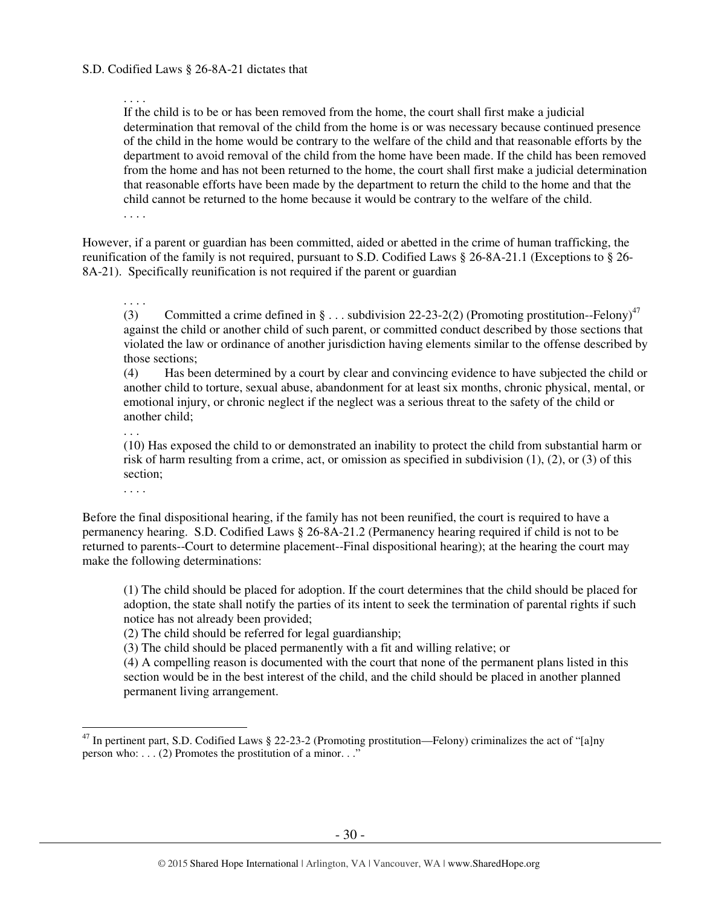#### . . . .

If the child is to be or has been removed from the home, the court shall first make a judicial determination that removal of the child from the home is or was necessary because continued presence of the child in the home would be contrary to the welfare of the child and that reasonable efforts by the department to avoid removal of the child from the home have been made. If the child has been removed from the home and has not been returned to the home, the court shall first make a judicial determination that reasonable efforts have been made by the department to return the child to the home and that the child cannot be returned to the home because it would be contrary to the welfare of the child.

. . . .

However, if a parent or guardian has been committed, aided or abetted in the crime of human trafficking, the reunification of the family is not required, pursuant to S.D. Codified Laws § 26-8A-21.1 (Exceptions to § 26- 8A-21). Specifically reunification is not required if the parent or guardian

. . . .

(3) Committed a crime defined in  $\S \dots$  subdivision 22-23-2(2) (Promoting prostitution--Felony)<sup>47</sup> against the child or another child of such parent, or committed conduct described by those sections that violated the law or ordinance of another jurisdiction having elements similar to the offense described by those sections;

(4) Has been determined by a court by clear and convincing evidence to have subjected the child or another child to torture, sexual abuse, abandonment for at least six months, chronic physical, mental, or emotional injury, or chronic neglect if the neglect was a serious threat to the safety of the child or another child;

. . .

(10) Has exposed the child to or demonstrated an inability to protect the child from substantial harm or risk of harm resulting from a crime, act, or omission as specified in subdivision (1), (2), or (3) of this section;

. . . .

 $\overline{a}$ 

Before the final dispositional hearing, if the family has not been reunified, the court is required to have a permanency hearing. S.D. Codified Laws § 26-8A-21.2 (Permanency hearing required if child is not to be returned to parents--Court to determine placement--Final dispositional hearing); at the hearing the court may make the following determinations:

(1) The child should be placed for adoption. If the court determines that the child should be placed for adoption, the state shall notify the parties of its intent to seek the termination of parental rights if such notice has not already been provided;

(2) The child should be referred for legal guardianship;

(3) The child should be placed permanently with a fit and willing relative; or

(4) A compelling reason is documented with the court that none of the permanent plans listed in this section would be in the best interest of the child, and the child should be placed in another planned permanent living arrangement.

 $^{47}$  In pertinent part, S.D. Codified Laws § 22-23-2 (Promoting prostitution—Felony) criminalizes the act of "[a]ny person who: . . . (2) Promotes the prostitution of a minor. . ."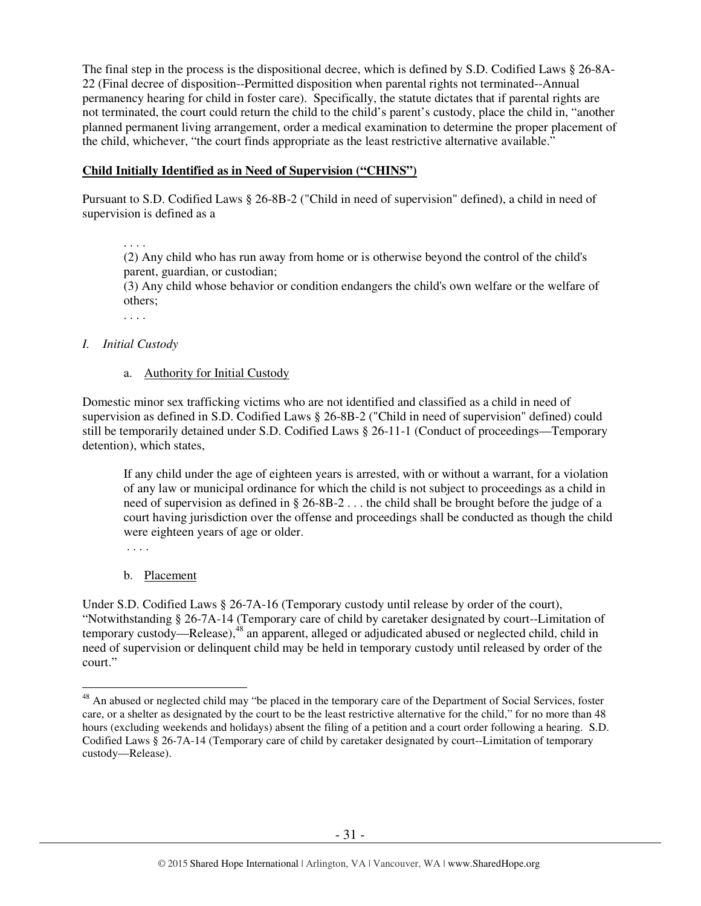The final step in the process is the dispositional decree, which is defined by S.D. Codified Laws § 26-8A-22 (Final decree of disposition--Permitted disposition when parental rights not terminated--Annual permanency hearing for child in foster care). Specifically, the statute dictates that if parental rights are not terminated, the court could return the child to the child's parent's custody, place the child in, "another planned permanent living arrangement, order a medical examination to determine the proper placement of the child, whichever, "the court finds appropriate as the least restrictive alternative available."

## **Child Initially Identified as in Need of Supervision ("CHINS")**

Pursuant to S.D. Codified Laws § 26-8B-2 ("Child in need of supervision" defined), a child in need of supervision is defined as a

. . . .

(2) Any child who has run away from home or is otherwise beyond the control of the child's parent, guardian, or custodian;

(3) Any child whose behavior or condition endangers the child's own welfare or the welfare of others;

. . . .

## *I. Initial Custody*

#### a. Authority for Initial Custody

Domestic minor sex trafficking victims who are not identified and classified as a child in need of supervision as defined in S.D. Codified Laws § 26-8B-2 ("Child in need of supervision" defined) could still be temporarily detained under S.D. Codified Laws § 26-11-1 (Conduct of proceedings—Temporary detention), which states,

If any child under the age of eighteen years is arrested, with or without a warrant, for a violation of any law or municipal ordinance for which the child is not subject to proceedings as a child in need of supervision as defined in § 26-8B-2 . . . the child shall be brought before the judge of a court having jurisdiction over the offense and proceedings shall be conducted as though the child were eighteen years of age or older.

. . . .

b. Placement

Under S.D. Codified Laws § 26-7A-16 (Temporary custody until release by order of the court), "Notwithstanding § 26-7A-14 (Temporary care of child by caretaker designated by court--Limitation of temporary custody—Release),<sup>48</sup> an apparent, alleged or adjudicated abused or neglected child, child in need of supervision or delinquent child may be held in temporary custody until released by order of the court."

 $\overline{a}$  $48$  An abused or neglected child may "be placed in the temporary care of the Department of Social Services, foster care, or a shelter as designated by the court to be the least restrictive alternative for the child," for no more than 48 hours (excluding weekends and holidays) absent the filing of a petition and a court order following a hearing. S.D. Codified Laws § 26-7A-14 (Temporary care of child by caretaker designated by court--Limitation of temporary custody—Release).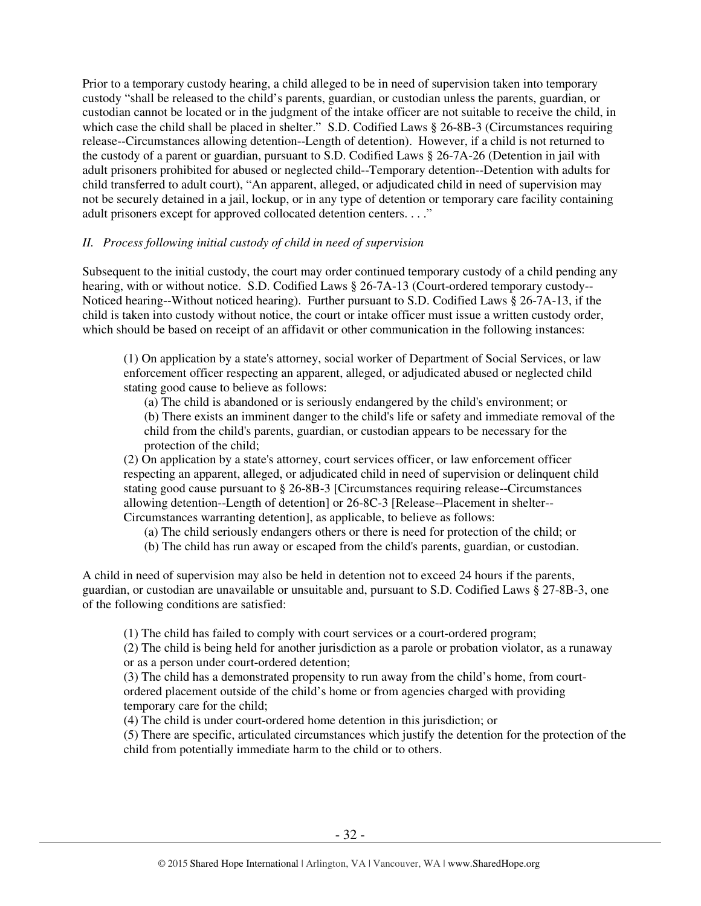Prior to a temporary custody hearing, a child alleged to be in need of supervision taken into temporary custody "shall be released to the child's parents, guardian, or custodian unless the parents, guardian, or custodian cannot be located or in the judgment of the intake officer are not suitable to receive the child, in which case the child shall be placed in shelter." S.D. Codified Laws § 26-8B-3 (Circumstances requiring release--Circumstances allowing detention--Length of detention). However, if a child is not returned to the custody of a parent or guardian, pursuant to S.D. Codified Laws § 26-7A-26 (Detention in jail with adult prisoners prohibited for abused or neglected child--Temporary detention--Detention with adults for child transferred to adult court), "An apparent, alleged, or adjudicated child in need of supervision may not be securely detained in a jail, lockup, or in any type of detention or temporary care facility containing adult prisoners except for approved collocated detention centers. . . ."

#### *II. Process following initial custody of child in need of supervision*

Subsequent to the initial custody, the court may order continued temporary custody of a child pending any hearing, with or without notice. S.D. Codified Laws § 26-7A-13 (Court-ordered temporary custody-- Noticed hearing--Without noticed hearing). Further pursuant to S.D. Codified Laws § 26-7A-13, if the child is taken into custody without notice, the court or intake officer must issue a written custody order, which should be based on receipt of an affidavit or other communication in the following instances:

(1) On application by a state's attorney, social worker of Department of Social Services, or law enforcement officer respecting an apparent, alleged, or adjudicated abused or neglected child stating good cause to believe as follows:

(a) The child is abandoned or is seriously endangered by the child's environment; or

(b) There exists an imminent danger to the child's life or safety and immediate removal of the child from the child's parents, guardian, or custodian appears to be necessary for the protection of the child;

(2) On application by a state's attorney, court services officer, or law enforcement officer respecting an apparent, alleged, or adjudicated child in need of supervision or delinquent child stating good cause pursuant to § 26-8B-3 [Circumstances requiring release--Circumstances allowing detention--Length of detention] or 26-8C-3 [Release--Placement in shelter-- Circumstances warranting detention], as applicable, to believe as follows:

- (a) The child seriously endangers others or there is need for protection of the child; or
- (b) The child has run away or escaped from the child's parents, guardian, or custodian.

A child in need of supervision may also be held in detention not to exceed 24 hours if the parents, guardian, or custodian are unavailable or unsuitable and, pursuant to S.D. Codified Laws § 27-8B-3, one of the following conditions are satisfied:

(1) The child has failed to comply with court services or a court-ordered program;

(2) The child is being held for another jurisdiction as a parole or probation violator, as a runaway or as a person under court-ordered detention;

(3) The child has a demonstrated propensity to run away from the child's home, from courtordered placement outside of the child's home or from agencies charged with providing temporary care for the child;

(4) The child is under court-ordered home detention in this jurisdiction; or

(5) There are specific, articulated circumstances which justify the detention for the protection of the child from potentially immediate harm to the child or to others.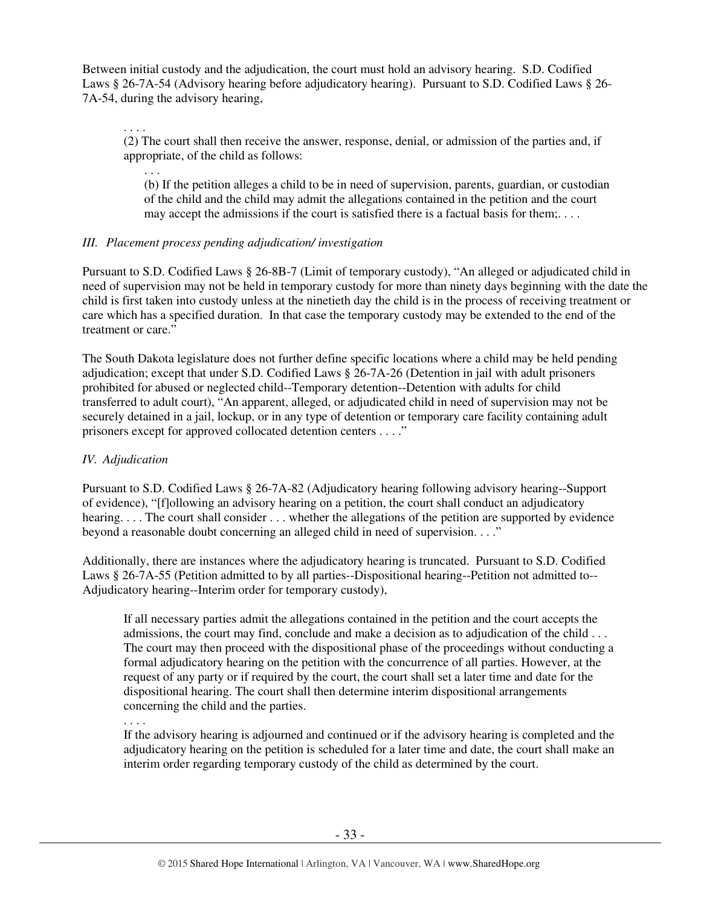Between initial custody and the adjudication, the court must hold an advisory hearing. S.D. Codified Laws § 26-7A-54 (Advisory hearing before adjudicatory hearing). Pursuant to S.D. Codified Laws § 26- 7A-54, during the advisory hearing,

(2) The court shall then receive the answer, response, denial, or admission of the parties and, if appropriate, of the child as follows:

. . .

. . . .

(b) If the petition alleges a child to be in need of supervision, parents, guardian, or custodian of the child and the child may admit the allegations contained in the petition and the court may accept the admissions if the court is satisfied there is a factual basis for them;. . . .

# *III. Placement process pending adjudication/ investigation*

Pursuant to S.D. Codified Laws § 26-8B-7 (Limit of temporary custody), "An alleged or adjudicated child in need of supervision may not be held in temporary custody for more than ninety days beginning with the date the child is first taken into custody unless at the ninetieth day the child is in the process of receiving treatment or care which has a specified duration. In that case the temporary custody may be extended to the end of the treatment or care."

The South Dakota legislature does not further define specific locations where a child may be held pending adjudication; except that under S.D. Codified Laws § 26-7A-26 (Detention in jail with adult prisoners prohibited for abused or neglected child--Temporary detention--Detention with adults for child transferred to adult court), "An apparent, alleged, or adjudicated child in need of supervision may not be securely detained in a jail, lockup, or in any type of detention or temporary care facility containing adult prisoners except for approved collocated detention centers . . . ."

# *IV. Adjudication*

Pursuant to S.D. Codified Laws § 26-7A-82 (Adjudicatory hearing following advisory hearing--Support of evidence), "[f]ollowing an advisory hearing on a petition, the court shall conduct an adjudicatory hearing. . . . The court shall consider . . . whether the allegations of the petition are supported by evidence beyond a reasonable doubt concerning an alleged child in need of supervision. . . ."

Additionally, there are instances where the adjudicatory hearing is truncated. Pursuant to S.D. Codified Laws § 26-7A-55 (Petition admitted to by all parties--Dispositional hearing--Petition not admitted to-- Adjudicatory hearing--Interim order for temporary custody),

If all necessary parties admit the allegations contained in the petition and the court accepts the admissions, the court may find, conclude and make a decision as to adjudication of the child . . . The court may then proceed with the dispositional phase of the proceedings without conducting a formal adjudicatory hearing on the petition with the concurrence of all parties. However, at the request of any party or if required by the court, the court shall set a later time and date for the dispositional hearing. The court shall then determine interim dispositional arrangements concerning the child and the parties.

. . . .

If the advisory hearing is adjourned and continued or if the advisory hearing is completed and the adjudicatory hearing on the petition is scheduled for a later time and date, the court shall make an interim order regarding temporary custody of the child as determined by the court.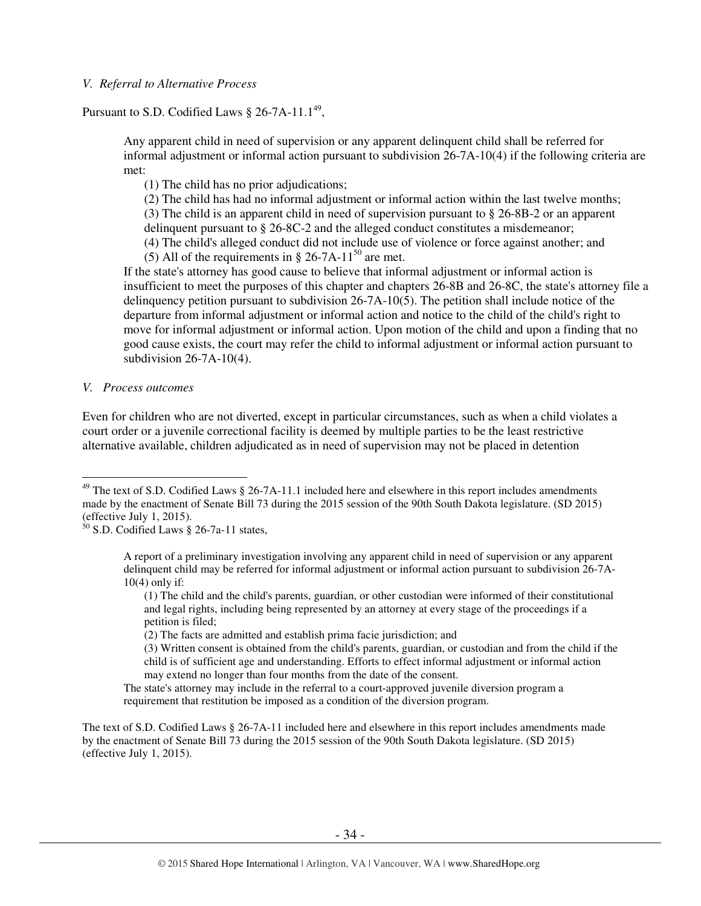#### *V. Referral to Alternative Process*

## Pursuant to S.D. Codified Laws  $\S 26$ -7A-11.1<sup>49</sup>,

Any apparent child in need of supervision or any apparent delinquent child shall be referred for informal adjustment or informal action pursuant to subdivision 26-7A-10(4) if the following criteria are met:

(1) The child has no prior adjudications;

(2) The child has had no informal adjustment or informal action within the last twelve months;

(3) The child is an apparent child in need of supervision pursuant to § 26-8B-2 or an apparent delinquent pursuant to § 26-8C-2 and the alleged conduct constitutes a misdemeanor;

(4) The child's alleged conduct did not include use of violence or force against another; and

(5) All of the requirements in § 26-7A-11<sup>50</sup> are met.

If the state's attorney has good cause to believe that informal adjustment or informal action is insufficient to meet the purposes of this chapter and chapters 26-8B and 26-8C, the state's attorney file a delinquency petition pursuant to subdivision 26-7A-10(5). The petition shall include notice of the departure from informal adjustment or informal action and notice to the child of the child's right to move for informal adjustment or informal action. Upon motion of the child and upon a finding that no good cause exists, the court may refer the child to informal adjustment or informal action pursuant to subdivision 26-7A-10(4).

*V. Process outcomes* 

 $\overline{a}$ 

Even for children who are not diverted, except in particular circumstances, such as when a child violates a court order or a juvenile correctional facility is deemed by multiple parties to be the least restrictive alternative available, children adjudicated as in need of supervision may not be placed in detention

(1) The child and the child's parents, guardian, or other custodian were informed of their constitutional and legal rights, including being represented by an attorney at every stage of the proceedings if a petition is filed;

(2) The facts are admitted and establish prima facie jurisdiction; and

(3) Written consent is obtained from the child's parents, guardian, or custodian and from the child if the child is of sufficient age and understanding. Efforts to effect informal adjustment or informal action may extend no longer than four months from the date of the consent.

The state's attorney may include in the referral to a court-approved juvenile diversion program a requirement that restitution be imposed as a condition of the diversion program.

The text of S.D. Codified Laws § 26-7A-11 included here and elsewhere in this report includes amendments made by the enactment of Senate Bill 73 during the 2015 session of the 90th South Dakota legislature. (SD 2015) (effective July 1, 2015).

 $49$  The text of S.D. Codified Laws § 26-7A-11.1 included here and elsewhere in this report includes amendments made by the enactment of Senate Bill 73 during the 2015 session of the 90th South Dakota legislature. (SD 2015) (effective July 1, 2015).

 $50$  S.D. Codified Laws § 26-7a-11 states,

A report of a preliminary investigation involving any apparent child in need of supervision or any apparent delinquent child may be referred for informal adjustment or informal action pursuant to subdivision 26-7A- $10(4)$  only if: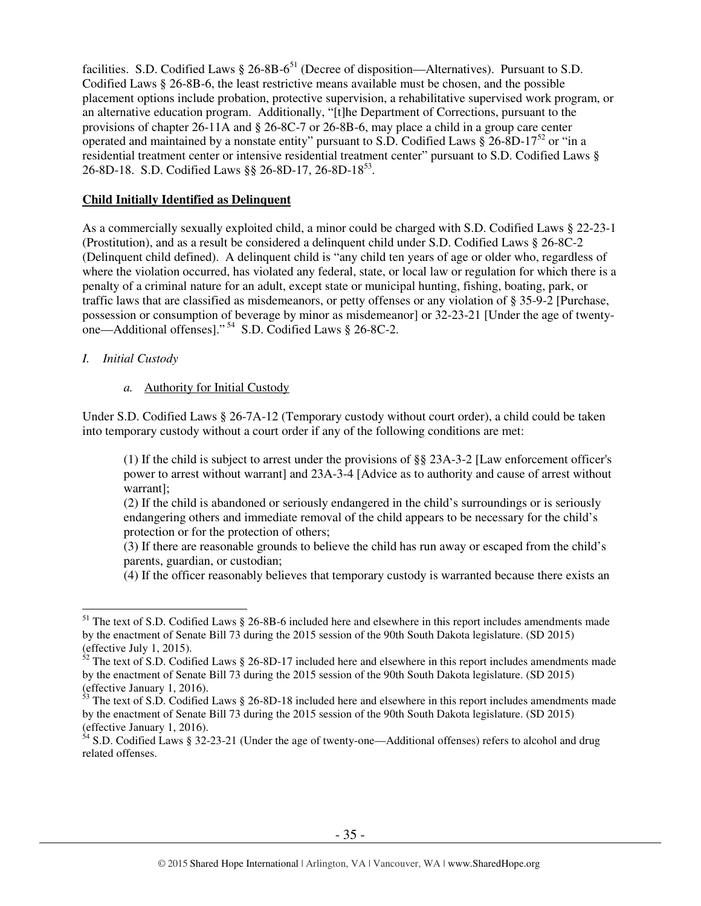facilities. S.D. Codified Laws  $\S 26-8B-6^{51}$  (Decree of disposition—Alternatives). Pursuant to S.D. Codified Laws § 26-8B-6, the least restrictive means available must be chosen, and the possible placement options include probation, protective supervision, a rehabilitative supervised work program, or an alternative education program. Additionally, "[t]he Department of Corrections, pursuant to the provisions of chapter 26-11A and § 26-8C-7 or 26-8B-6, may place a child in a group care center operated and maintained by a nonstate entity" pursuant to S.D. Codified Laws  $\frac{8}{9}$  26-8D-17<sup>52</sup> or "in a residential treatment center or intensive residential treatment center" pursuant to S.D. Codified Laws § 26-8D-18. S.D. Codified Laws  $\S § 26-8D-17, 26-8D-18^{53}$ .

#### **Child Initially Identified as Delinquent**

As a commercially sexually exploited child, a minor could be charged with S.D. Codified Laws § 22-23-1 (Prostitution), and as a result be considered a delinquent child under S.D. Codified Laws § 26-8C-2 (Delinquent child defined). A delinquent child is "any child ten years of age or older who, regardless of where the violation occurred, has violated any federal, state, or local law or regulation for which there is a penalty of a criminal nature for an adult, except state or municipal hunting, fishing, boating, park, or traffic laws that are classified as misdemeanors, or petty offenses or any violation of § 35-9-2 [Purchase, possession or consumption of beverage by minor as misdemeanor] or 32-23-21 [Under the age of twentyone—Additional offenses]."<sup>54</sup> S.D. Codified Laws § 26-8C-2.

## *I. Initial Custody*

## *a.* Authority for Initial Custody

Under S.D. Codified Laws § 26-7A-12 (Temporary custody without court order), a child could be taken into temporary custody without a court order if any of the following conditions are met:

(1) If the child is subject to arrest under the provisions of §§ 23A-3-2 [Law enforcement officer's power to arrest without warrant] and 23A-3-4 [Advice as to authority and cause of arrest without warrant];

(2) If the child is abandoned or seriously endangered in the child's surroundings or is seriously endangering others and immediate removal of the child appears to be necessary for the child's protection or for the protection of others;

(3) If there are reasonable grounds to believe the child has run away or escaped from the child's parents, guardian, or custodian;

(4) If the officer reasonably believes that temporary custody is warranted because there exists an

 $\overline{a}$ <sup>51</sup> The text of S.D. Codified Laws § 26-8B-6 included here and elsewhere in this report includes amendments made by the enactment of Senate Bill 73 during the 2015 session of the 90th South Dakota legislature. (SD 2015) (effective July 1, 2015).

 $52$  The text of S.D. Codified Laws § 26-8D-17 included here and elsewhere in this report includes amendments made by the enactment of Senate Bill 73 during the 2015 session of the 90th South Dakota legislature. (SD 2015) (effective January 1, 2016).

 $\frac{53}{23}$  The text of S.D. Codified Laws § 26-8D-18 included here and elsewhere in this report includes amendments made by the enactment of Senate Bill 73 during the 2015 session of the 90th South Dakota legislature. (SD 2015) (effective January 1, 2016).

<sup>&</sup>lt;sup>54</sup> S.D. Codified Laws § 32-23-21 (Under the age of twenty-one—Additional offenses) refers to alcohol and drug related offenses.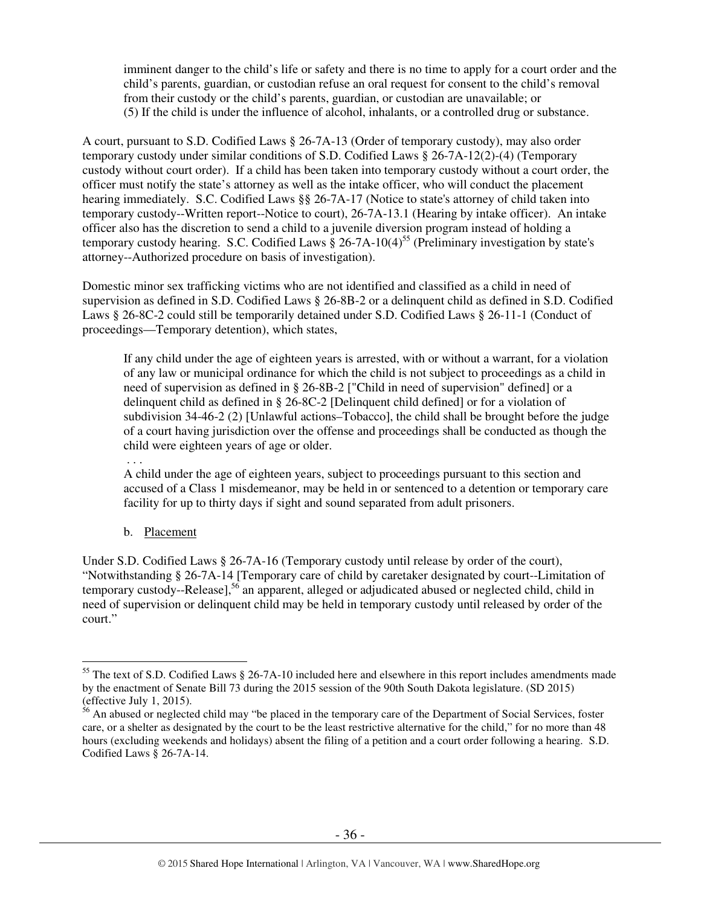imminent danger to the child's life or safety and there is no time to apply for a court order and the child's parents, guardian, or custodian refuse an oral request for consent to the child's removal from their custody or the child's parents, guardian, or custodian are unavailable; or (5) If the child is under the influence of alcohol, inhalants, or a controlled drug or substance.

A court, pursuant to S.D. Codified Laws § 26-7A-13 (Order of temporary custody), may also order temporary custody under similar conditions of S.D. Codified Laws § 26-7A-12(2)-(4) (Temporary custody without court order). If a child has been taken into temporary custody without a court order, the officer must notify the state's attorney as well as the intake officer, who will conduct the placement hearing immediately. S.C. Codified Laws §§ 26-7A-17 (Notice to state's attorney of child taken into temporary custody--Written report--Notice to court), 26-7A-13.1 (Hearing by intake officer). An intake officer also has the discretion to send a child to a juvenile diversion program instead of holding a temporary custody hearing. S.C. Codified Laws  $\S 26$ -7A-10(4)<sup>55</sup> (Preliminary investigation by state's attorney--Authorized procedure on basis of investigation).

Domestic minor sex trafficking victims who are not identified and classified as a child in need of supervision as defined in S.D. Codified Laws § 26-8B-2 or a delinquent child as defined in S.D. Codified Laws § 26-8C-2 could still be temporarily detained under S.D. Codified Laws § 26-11-1 (Conduct of proceedings—Temporary detention), which states,

If any child under the age of eighteen years is arrested, with or without a warrant, for a violation of any law or municipal ordinance for which the child is not subject to proceedings as a child in need of supervision as defined in § 26-8B-2 ["Child in need of supervision" defined] or a delinquent child as defined in § 26-8C-2 [Delinquent child defined] or for a violation of subdivision 34-46-2 (2) [Unlawful actions–Tobacco], the child shall be brought before the judge of a court having jurisdiction over the offense and proceedings shall be conducted as though the child were eighteen years of age or older.

A child under the age of eighteen years, subject to proceedings pursuant to this section and accused of a Class 1 misdemeanor, may be held in or sentenced to a detention or temporary care facility for up to thirty days if sight and sound separated from adult prisoners.

b. Placement

. . .

 $\overline{a}$ 

Under S.D. Codified Laws § 26-7A-16 (Temporary custody until release by order of the court), "Notwithstanding § 26-7A-14 [Temporary care of child by caretaker designated by court--Limitation of temporary custody--Release],<sup>56</sup> an apparent, alleged or adjudicated abused or neglected child, child in need of supervision or delinquent child may be held in temporary custody until released by order of the court."

<sup>&</sup>lt;sup>55</sup> The text of S.D. Codified Laws § 26-7A-10 included here and elsewhere in this report includes amendments made by the enactment of Senate Bill 73 during the 2015 session of the 90th South Dakota legislature. (SD 2015) (effective July 1, 2015).

<sup>&</sup>lt;sup>56</sup> An abused or neglected child may "be placed in the temporary care of the Department of Social Services, foster care, or a shelter as designated by the court to be the least restrictive alternative for the child," for no more than 48 hours (excluding weekends and holidays) absent the filing of a petition and a court order following a hearing. S.D. Codified Laws § 26-7A-14.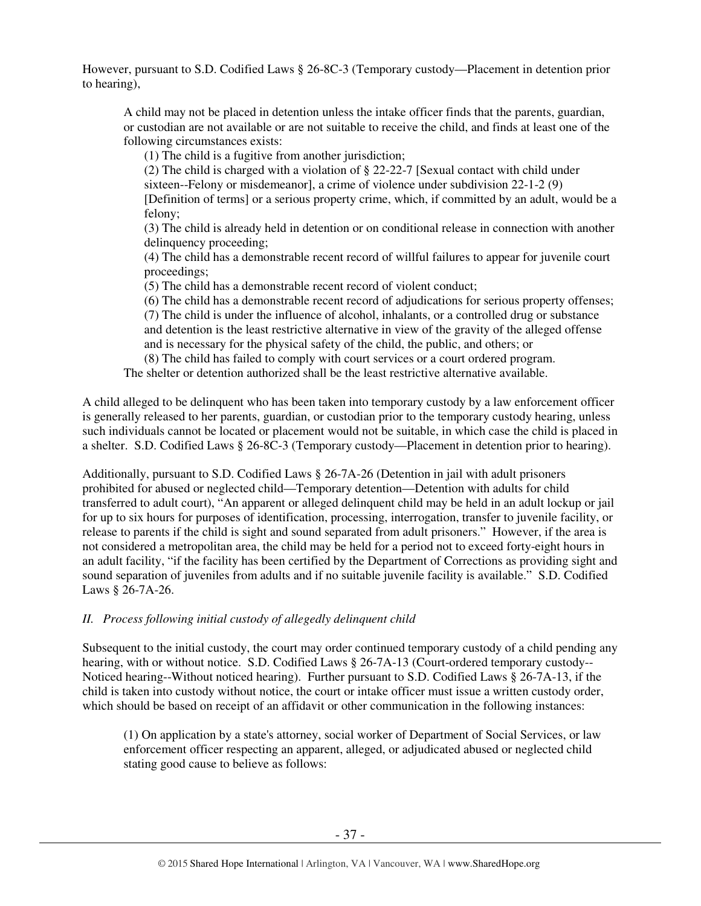However, pursuant to S.D. Codified Laws § 26-8C-3 (Temporary custody—Placement in detention prior to hearing),

A child may not be placed in detention unless the intake officer finds that the parents, guardian, or custodian are not available or are not suitable to receive the child, and finds at least one of the following circumstances exists:

(1) The child is a fugitive from another jurisdiction;

(2) The child is charged with a violation of § 22-22-7 [Sexual contact with child under sixteen--Felony or misdemeanorl, a crime of violence under subdivision  $22-1-2$  (9)

[Definition of terms] or a serious property crime, which, if committed by an adult, would be a felony;

(3) The child is already held in detention or on conditional release in connection with another delinquency proceeding;

(4) The child has a demonstrable recent record of willful failures to appear for juvenile court proceedings;

(5) The child has a demonstrable recent record of violent conduct;

(6) The child has a demonstrable recent record of adjudications for serious property offenses;

(7) The child is under the influence of alcohol, inhalants, or a controlled drug or substance and detention is the least restrictive alternative in view of the gravity of the alleged offense and is necessary for the physical safety of the child, the public, and others; or (8) The child has failed to comply with court services or a court ordered program.

The shelter or detention authorized shall be the least restrictive alternative available.

A child alleged to be delinquent who has been taken into temporary custody by a law enforcement officer is generally released to her parents, guardian, or custodian prior to the temporary custody hearing, unless such individuals cannot be located or placement would not be suitable, in which case the child is placed in a shelter. S.D. Codified Laws § 26-8C-3 (Temporary custody—Placement in detention prior to hearing).

Additionally, pursuant to S.D. Codified Laws § 26-7A-26 (Detention in jail with adult prisoners prohibited for abused or neglected child—Temporary detention—Detention with adults for child transferred to adult court), "An apparent or alleged delinquent child may be held in an adult lockup or jail for up to six hours for purposes of identification, processing, interrogation, transfer to juvenile facility, or release to parents if the child is sight and sound separated from adult prisoners." However, if the area is not considered a metropolitan area, the child may be held for a period not to exceed forty-eight hours in an adult facility, "if the facility has been certified by the Department of Corrections as providing sight and sound separation of juveniles from adults and if no suitable juvenile facility is available." S.D. Codified Laws § 26-7A-26.

# *II. Process following initial custody of allegedly delinquent child*

Subsequent to the initial custody, the court may order continued temporary custody of a child pending any hearing, with or without notice. S.D. Codified Laws § 26-7A-13 (Court-ordered temporary custody-- Noticed hearing--Without noticed hearing). Further pursuant to S.D. Codified Laws § 26-7A-13, if the child is taken into custody without notice, the court or intake officer must issue a written custody order, which should be based on receipt of an affidavit or other communication in the following instances:

(1) On application by a state's attorney, social worker of Department of Social Services, or law enforcement officer respecting an apparent, alleged, or adjudicated abused or neglected child stating good cause to believe as follows: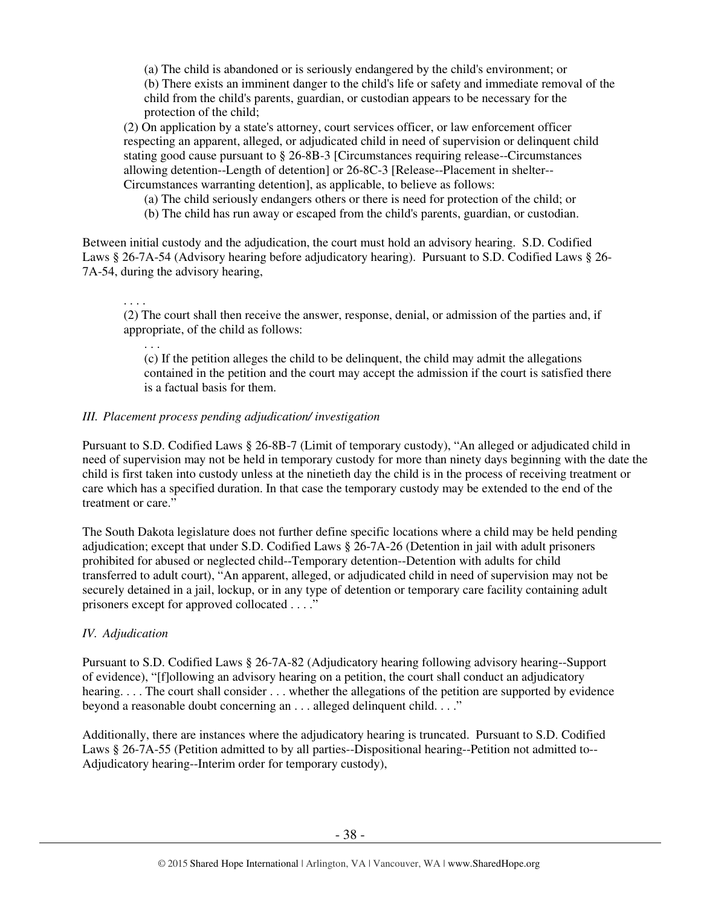(a) The child is abandoned or is seriously endangered by the child's environment; or (b) There exists an imminent danger to the child's life or safety and immediate removal of the child from the child's parents, guardian, or custodian appears to be necessary for the protection of the child;

(2) On application by a state's attorney, court services officer, or law enforcement officer respecting an apparent, alleged, or adjudicated child in need of supervision or delinquent child stating good cause pursuant to § 26-8B-3 [Circumstances requiring release--Circumstances allowing detention--Length of detention] or 26-8C-3 [Release--Placement in shelter-- Circumstances warranting detention], as applicable, to believe as follows:

(a) The child seriously endangers others or there is need for protection of the child; or

(b) The child has run away or escaped from the child's parents, guardian, or custodian.

Between initial custody and the adjudication, the court must hold an advisory hearing. S.D. Codified Laws § 26-7A-54 (Advisory hearing before adjudicatory hearing). Pursuant to S.D. Codified Laws § 26- 7A-54, during the advisory hearing,

. . . .

. . .

(2) The court shall then receive the answer, response, denial, or admission of the parties and, if appropriate, of the child as follows:

(c) If the petition alleges the child to be delinquent, the child may admit the allegations contained in the petition and the court may accept the admission if the court is satisfied there is a factual basis for them.

#### *III. Placement process pending adjudication/ investigation*

Pursuant to S.D. Codified Laws § 26-8B-7 (Limit of temporary custody), "An alleged or adjudicated child in need of supervision may not be held in temporary custody for more than ninety days beginning with the date the child is first taken into custody unless at the ninetieth day the child is in the process of receiving treatment or care which has a specified duration. In that case the temporary custody may be extended to the end of the treatment or care."

The South Dakota legislature does not further define specific locations where a child may be held pending adjudication; except that under S.D. Codified Laws § 26-7A-26 (Detention in jail with adult prisoners prohibited for abused or neglected child--Temporary detention--Detention with adults for child transferred to adult court), "An apparent, alleged, or adjudicated child in need of supervision may not be securely detained in a jail, lockup, or in any type of detention or temporary care facility containing adult prisoners except for approved collocated . . . ."

#### *IV. Adjudication*

Pursuant to S.D. Codified Laws § 26-7A-82 (Adjudicatory hearing following advisory hearing--Support of evidence), "[f]ollowing an advisory hearing on a petition, the court shall conduct an adjudicatory hearing. . . . The court shall consider . . . whether the allegations of the petition are supported by evidence beyond a reasonable doubt concerning an . . . alleged delinquent child. . . ."

Additionally, there are instances where the adjudicatory hearing is truncated. Pursuant to S.D. Codified Laws § 26-7A-55 (Petition admitted to by all parties--Dispositional hearing--Petition not admitted to-- Adjudicatory hearing--Interim order for temporary custody),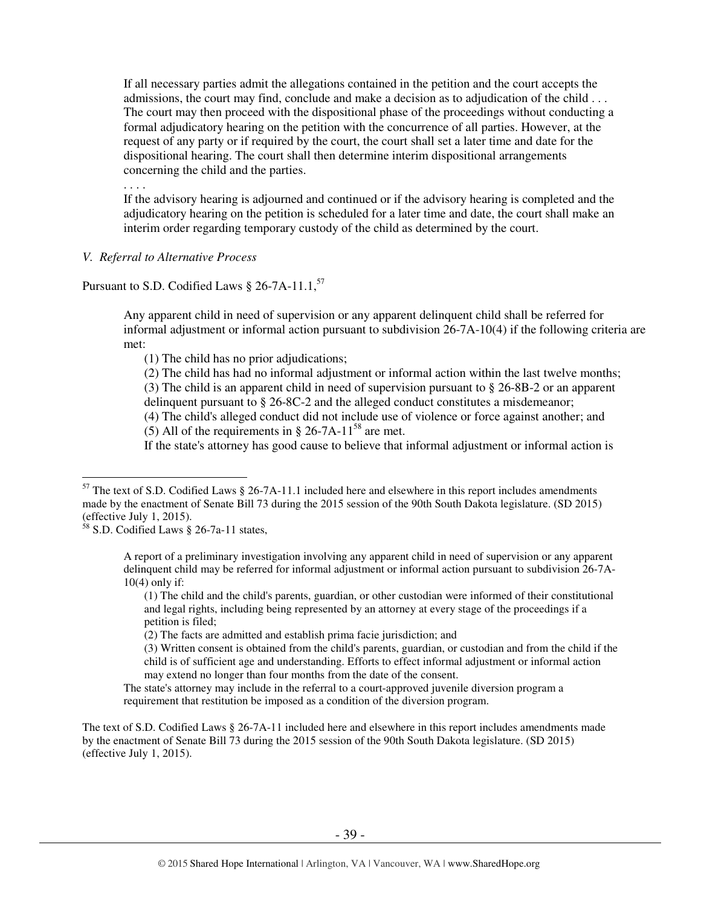If all necessary parties admit the allegations contained in the petition and the court accepts the admissions, the court may find, conclude and make a decision as to adjudication of the child . . . The court may then proceed with the dispositional phase of the proceedings without conducting a formal adjudicatory hearing on the petition with the concurrence of all parties. However, at the request of any party or if required by the court, the court shall set a later time and date for the dispositional hearing. The court shall then determine interim dispositional arrangements concerning the child and the parties.

If the advisory hearing is adjourned and continued or if the advisory hearing is completed and the adjudicatory hearing on the petition is scheduled for a later time and date, the court shall make an interim order regarding temporary custody of the child as determined by the court.

#### *V. Referral to Alternative Process*

. . . .

## Pursuant to S.D. Codified Laws § 26-7A-11.1, $^{57}$

Any apparent child in need of supervision or any apparent delinquent child shall be referred for informal adjustment or informal action pursuant to subdivision 26-7A-10(4) if the following criteria are met:

(1) The child has no prior adjudications;

(2) The child has had no informal adjustment or informal action within the last twelve months;

(3) The child is an apparent child in need of supervision pursuant to § 26-8B-2 or an apparent delinquent pursuant to § 26-8C-2 and the alleged conduct constitutes a misdemeanor;

(4) The child's alleged conduct did not include use of violence or force against another; and

(5) All of the requirements in  $\S$  26-7A-11<sup>58</sup> are met.

If the state's attorney has good cause to believe that informal adjustment or informal action is

 $\overline{a}$ 

(1) The child and the child's parents, guardian, or other custodian were informed of their constitutional and legal rights, including being represented by an attorney at every stage of the proceedings if a petition is filed;

(2) The facts are admitted and establish prima facie jurisdiction; and

(3) Written consent is obtained from the child's parents, guardian, or custodian and from the child if the child is of sufficient age and understanding. Efforts to effect informal adjustment or informal action may extend no longer than four months from the date of the consent.

The state's attorney may include in the referral to a court-approved juvenile diversion program a requirement that restitution be imposed as a condition of the diversion program.

The text of S.D. Codified Laws § 26-7A-11 included here and elsewhere in this report includes amendments made by the enactment of Senate Bill 73 during the 2015 session of the 90th South Dakota legislature. (SD 2015) (effective July 1, 2015).

 $57$  The text of S.D. Codified Laws § 26-7A-11.1 included here and elsewhere in this report includes amendments made by the enactment of Senate Bill 73 during the 2015 session of the 90th South Dakota legislature. (SD 2015) (effective July 1, 2015).

 $58$  S.D. Codified Laws § 26-7a-11 states,

A report of a preliminary investigation involving any apparent child in need of supervision or any apparent delinquent child may be referred for informal adjustment or informal action pursuant to subdivision 26-7A- $10(4)$  only if: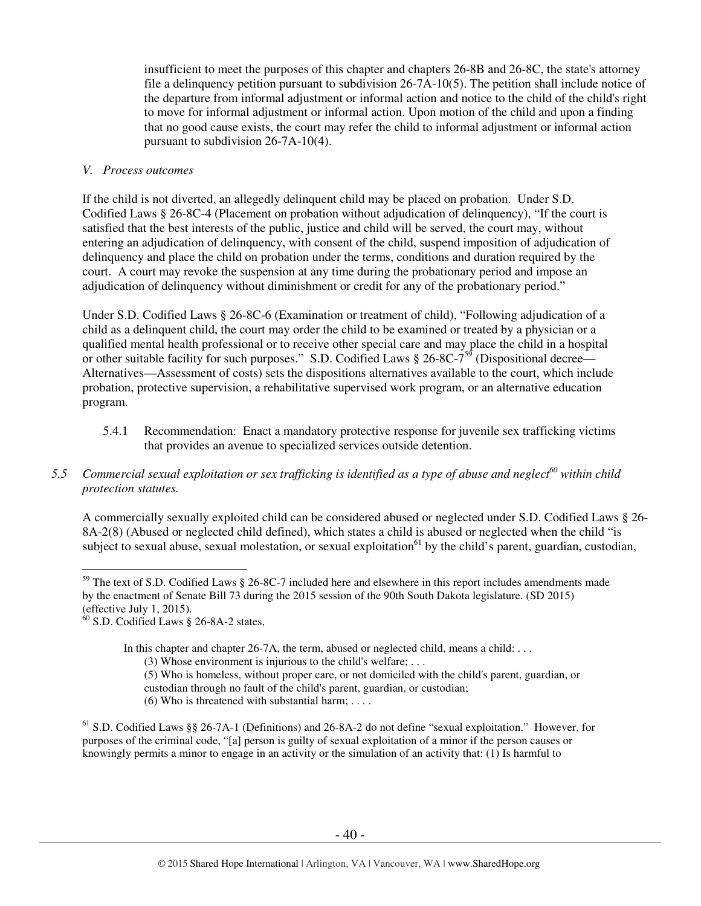insufficient to meet the purposes of this chapter and chapters 26-8B and 26-8C, the state's attorney file a delinquency petition pursuant to subdivision 26-7A-10(5). The petition shall include notice of the departure from informal adjustment or informal action and notice to the child of the child's right to move for informal adjustment or informal action. Upon motion of the child and upon a finding that no good cause exists, the court may refer the child to informal adjustment or informal action pursuant to subdivision 26-7A-10(4).

#### *V. Process outcomes*

If the child is not diverted, an allegedly delinquent child may be placed on probation. Under S.D. Codified Laws § 26-8C-4 (Placement on probation without adjudication of delinquency), "If the court is satisfied that the best interests of the public, justice and child will be served, the court may, without entering an adjudication of delinquency, with consent of the child, suspend imposition of adjudication of delinquency and place the child on probation under the terms, conditions and duration required by the court. A court may revoke the suspension at any time during the probationary period and impose an adjudication of delinquency without diminishment or credit for any of the probationary period."

Under S.D. Codified Laws § 26-8C-6 (Examination or treatment of child), "Following adjudication of a child as a delinquent child, the court may order the child to be examined or treated by a physician or a qualified mental health professional or to receive other special care and may place the child in a hospital or other suitable facility for such purposes." S.D. Codified Laws  $\S 26-8C-7^{59}$  (Dispositional decree— Alternatives—Assessment of costs) sets the dispositions alternatives available to the court, which include probation, protective supervision, a rehabilitative supervised work program, or an alternative education program.

- 5.4.1 Recommendation: Enact a mandatory protective response for juvenile sex trafficking victims that provides an avenue to specialized services outside detention.
- *5.5 Commercial sexual exploitation or sex trafficking is identified as a type of abuse and neglect<sup>60</sup> within child protection statutes.*

A commercially sexually exploited child can be considered abused or neglected under S.D. Codified Laws § 26- 8A-2(8) (Abused or neglected child defined), which states a child is abused or neglected when the child "is subject to sexual abuse, sexual molestation, or sexual exploitation<sup>61</sup> by the child's parent, guardian, custodian,

In this chapter and chapter 26-7A, the term, abused or neglected child, means a child: ...

- (3) Whose environment is injurious to the child's welfare; . . .
- (5) Who is homeless, without proper care, or not domiciled with the child's parent, guardian, or custodian through no fault of the child's parent, guardian, or custodian;
- (6) Who is threatened with substantial harm; . . . .

<sup>61</sup> S.D. Codified Laws §§ 26-7A-1 (Definitions) and 26-8A-2 do not define "sexual exploitation." However, for purposes of the criminal code, "[a] person is guilty of sexual exploitation of a minor if the person causes or knowingly permits a minor to engage in an activity or the simulation of an activity that: (1) Is harmful to

 $\overline{a}$  $59$  The text of S.D. Codified Laws § 26-8C-7 included here and elsewhere in this report includes amendments made by the enactment of Senate Bill 73 during the 2015 session of the 90th South Dakota legislature. (SD 2015) (effective July 1, 2015).

 $60$  S.D. Codified Laws § 26-8A-2 states,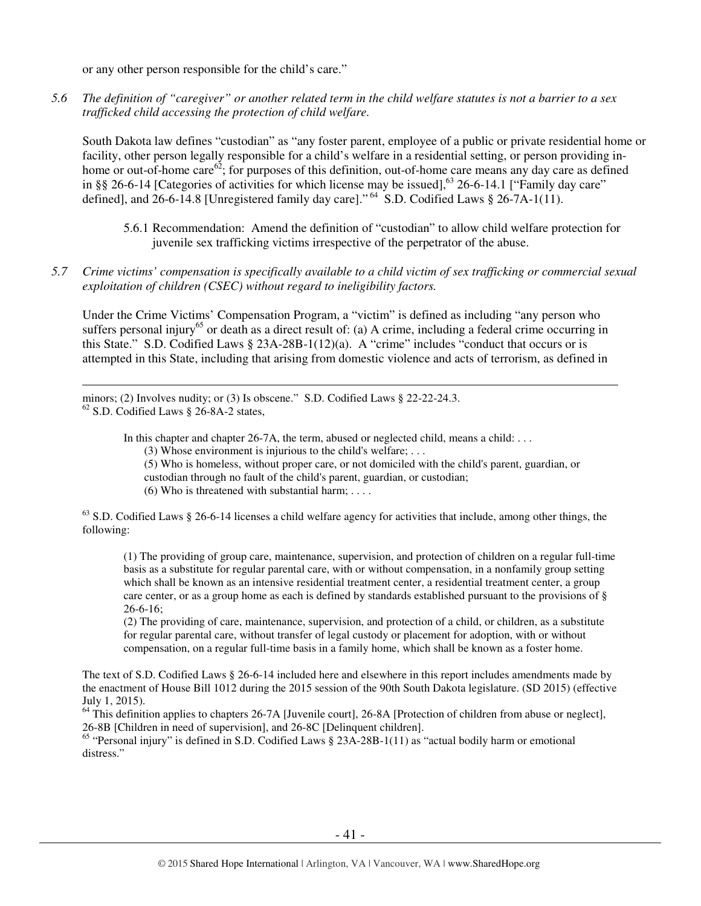or any other person responsible for the child's care."

*5.6 The definition of "caregiver" or another related term in the child welfare statutes is not a barrier to a sex trafficked child accessing the protection of child welfare.* 

South Dakota law defines "custodian" as "any foster parent, employee of a public or private residential home or facility, other person legally responsible for a child's welfare in a residential setting, or person providing inhome or out-of-home care<sup>62</sup>; for purposes of this definition, out-of-home care means any day care as defined in §§ 26-6-14 [Categories of activities for which license may be issued],<sup>63</sup> 26-6-14.1 ["Family day care" defined], and 26-6-14.8 [Unregistered family day care]."<sup>64</sup> S.D. Codified Laws § 26-7A-1(11).

- 5.6.1 Recommendation: Amend the definition of "custodian" to allow child welfare protection for juvenile sex trafficking victims irrespective of the perpetrator of the abuse.
- *5.7 Crime victims' compensation is specifically available to a child victim of sex trafficking or commercial sexual exploitation of children (CSEC) without regard to ineligibility factors.*

Under the Crime Victims' Compensation Program, a "victim" is defined as including "any person who suffers personal injury<sup>65</sup> or death as a direct result of: (a) A crime, including a federal crime occurring in this State." S.D. Codified Laws § 23A-28B-1(12)(a). A "crime" includes "conduct that occurs or is attempted in this State, including that arising from domestic violence and acts of terrorism, as defined in

minors; (2) Involves nudity; or (3) Is obscene." S.D. Codified Laws § 22-22-24.3. <sup>62</sup> S.D. Codified Laws § 26-8A-2 states,

l

In this chapter and chapter 26-7A, the term, abused or neglected child, means a child: ...

(3) Whose environment is injurious to the child's welfare; . . .

(5) Who is homeless, without proper care, or not domiciled with the child's parent, guardian, or

custodian through no fault of the child's parent, guardian, or custodian;

(6) Who is threatened with substantial harm; . . . .

 $63$  S.D. Codified Laws § 26-6-14 licenses a child welfare agency for activities that include, among other things, the following:

(1) The providing of group care, maintenance, supervision, and protection of children on a regular full-time basis as a substitute for regular parental care, with or without compensation, in a nonfamily group setting which shall be known as an intensive residential treatment center, a residential treatment center, a group care center, or as a group home as each is defined by standards established pursuant to the provisions of § 26-6-16;

(2) The providing of care, maintenance, supervision, and protection of a child, or children, as a substitute for regular parental care, without transfer of legal custody or placement for adoption, with or without compensation, on a regular full-time basis in a family home, which shall be known as a foster home.

The text of S.D. Codified Laws § 26-6-14 included here and elsewhere in this report includes amendments made by the enactment of House Bill 1012 during the 2015 session of the 90th South Dakota legislature. (SD 2015) (effective July 1, 2015).

<sup>64</sup> This definition applies to chapters 26-7A [Juvenile court], 26-8A [Protection of children from abuse or neglect], 26-8B [Children in need of supervision], and 26-8C [Delinquent children].

<sup>65</sup> "Personal injury" is defined in S.D. Codified Laws § 23A-28B-1(11) as "actual bodily harm or emotional distress."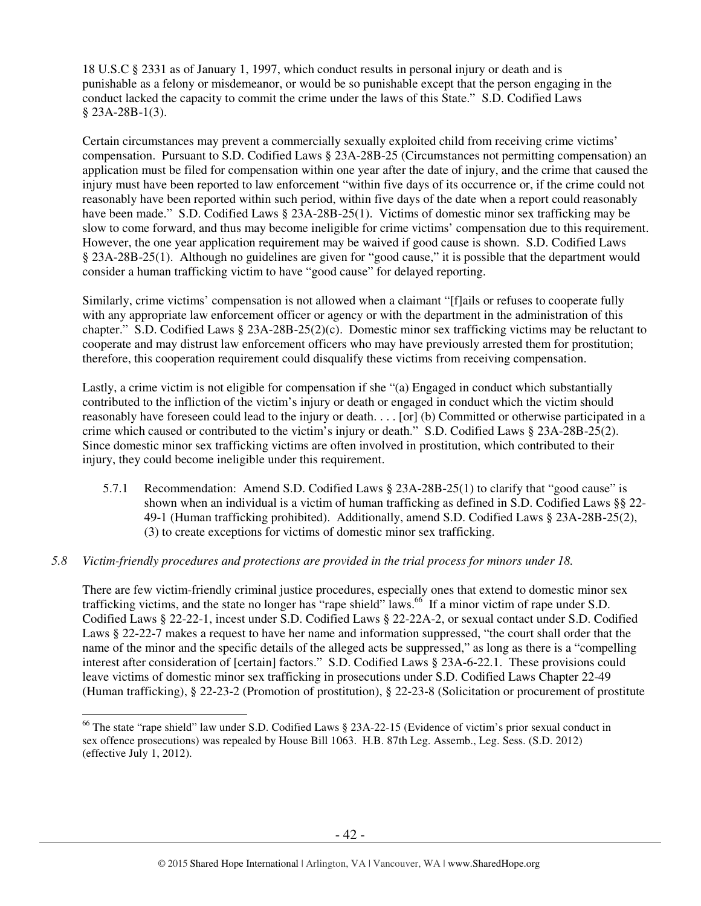18 U.S.C § 2331 as of January 1, 1997, which conduct results in personal injury or death and is punishable as a felony or misdemeanor, or would be so punishable except that the person engaging in the conduct lacked the capacity to commit the crime under the laws of this State." S.D. Codified Laws § 23A-28B-1(3).

Certain circumstances may prevent a commercially sexually exploited child from receiving crime victims' compensation. Pursuant to S.D. Codified Laws § 23A-28B-25 (Circumstances not permitting compensation) an application must be filed for compensation within one year after the date of injury, and the crime that caused the injury must have been reported to law enforcement "within five days of its occurrence or, if the crime could not reasonably have been reported within such period, within five days of the date when a report could reasonably have been made." S.D. Codified Laws § 23A-28B-25(1). Victims of domestic minor sex trafficking may be slow to come forward, and thus may become ineligible for crime victims' compensation due to this requirement. However, the one year application requirement may be waived if good cause is shown. S.D. Codified Laws § 23A-28B-25(1). Although no guidelines are given for "good cause," it is possible that the department would consider a human trafficking victim to have "good cause" for delayed reporting.

Similarly, crime victims' compensation is not allowed when a claimant "[f]ails or refuses to cooperate fully with any appropriate law enforcement officer or agency or with the department in the administration of this chapter." S.D. Codified Laws § 23A-28B-25(2)(c). Domestic minor sex trafficking victims may be reluctant to cooperate and may distrust law enforcement officers who may have previously arrested them for prostitution; therefore, this cooperation requirement could disqualify these victims from receiving compensation.

Lastly, a crime victim is not eligible for compensation if she "(a) Engaged in conduct which substantially contributed to the infliction of the victim's injury or death or engaged in conduct which the victim should reasonably have foreseen could lead to the injury or death. . . . [or] (b) Committed or otherwise participated in a crime which caused or contributed to the victim's injury or death." S.D. Codified Laws § 23A-28B-25(2). Since domestic minor sex trafficking victims are often involved in prostitution, which contributed to their injury, they could become ineligible under this requirement.

5.7.1 Recommendation: Amend S.D. Codified Laws § 23A-28B-25(1) to clarify that "good cause" is shown when an individual is a victim of human trafficking as defined in S.D. Codified Laws §§ 22- 49-1 (Human trafficking prohibited). Additionally, amend S.D. Codified Laws § 23A-28B-25(2), (3) to create exceptions for victims of domestic minor sex trafficking.

#### *5.8 Victim-friendly procedures and protections are provided in the trial process for minors under 18.*

There are few victim-friendly criminal justice procedures, especially ones that extend to domestic minor sex trafficking victims, and the state no longer has "rape shield" laws.<sup>66</sup> If a minor victim of rape under S.D. Codified Laws § 22-22-1, incest under S.D. Codified Laws § 22-22A-2, or sexual contact under S.D. Codified Laws § 22-22-7 makes a request to have her name and information suppressed, "the court shall order that the name of the minor and the specific details of the alleged acts be suppressed," as long as there is a "compelling interest after consideration of [certain] factors." S.D. Codified Laws § 23A-6-22.1. These provisions could leave victims of domestic minor sex trafficking in prosecutions under S.D. Codified Laws Chapter 22-49 (Human trafficking), § 22-23-2 (Promotion of prostitution), § 22-23-8 (Solicitation or procurement of prostitute

 $\overline{a}$ <sup>66</sup> The state "rape shield" law under S.D. Codified Laws § 23A-22-15 (Evidence of victim's prior sexual conduct in sex offence prosecutions) was repealed by House Bill 1063. H.B. 87th Leg. Assemb., Leg. Sess. (S.D. 2012) (effective July 1, 2012).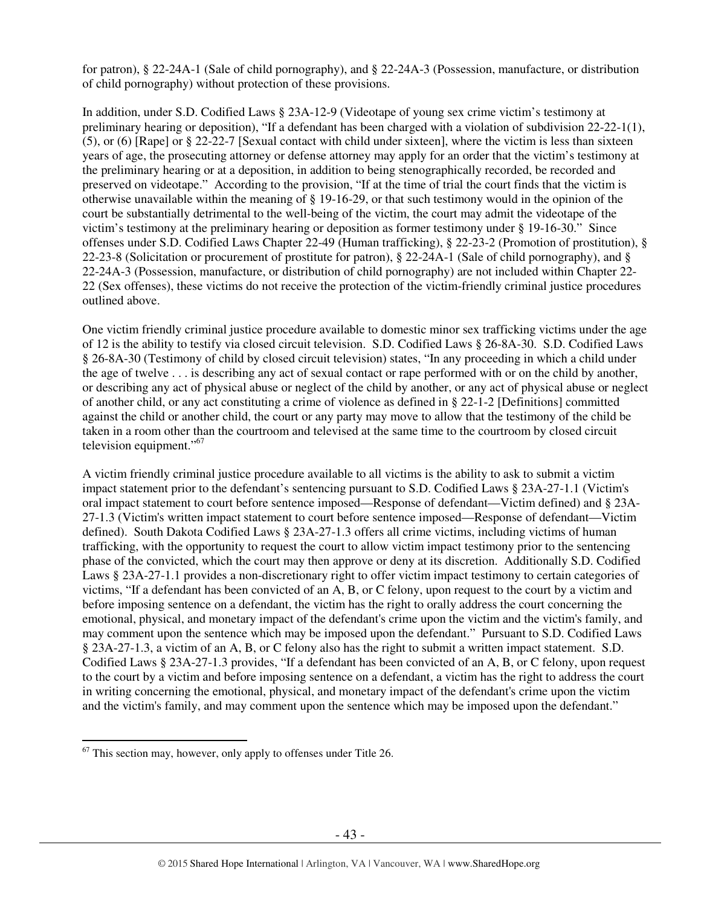for patron), § 22-24A-1 (Sale of child pornography), and § 22-24A-3 (Possession, manufacture, or distribution of child pornography) without protection of these provisions.

In addition, under S.D. Codified Laws § 23A-12-9 (Videotape of young sex crime victim's testimony at preliminary hearing or deposition), "If a defendant has been charged with a violation of subdivision 22-22-1(1), (5), or (6) [Rape] or § 22-22-7 [Sexual contact with child under sixteen], where the victim is less than sixteen years of age, the prosecuting attorney or defense attorney may apply for an order that the victim's testimony at the preliminary hearing or at a deposition, in addition to being stenographically recorded, be recorded and preserved on videotape." According to the provision, "If at the time of trial the court finds that the victim is otherwise unavailable within the meaning of § 19-16-29, or that such testimony would in the opinion of the court be substantially detrimental to the well-being of the victim, the court may admit the videotape of the victim's testimony at the preliminary hearing or deposition as former testimony under § 19-16-30." Since offenses under S.D. Codified Laws Chapter 22-49 (Human trafficking), § 22-23-2 (Promotion of prostitution), § 22-23-8 (Solicitation or procurement of prostitute for patron), § 22-24A-1 (Sale of child pornography), and § 22-24A-3 (Possession, manufacture, or distribution of child pornography) are not included within Chapter 22- 22 (Sex offenses), these victims do not receive the protection of the victim-friendly criminal justice procedures outlined above.

One victim friendly criminal justice procedure available to domestic minor sex trafficking victims under the age of 12 is the ability to testify via closed circuit television. S.D. Codified Laws § 26-8A-30. S.D. Codified Laws § 26-8A-30 (Testimony of child by closed circuit television) states, "In any proceeding in which a child under the age of twelve . . . is describing any act of sexual contact or rape performed with or on the child by another, or describing any act of physical abuse or neglect of the child by another, or any act of physical abuse or neglect of another child, or any act constituting a crime of violence as defined in § 22-1-2 [Definitions] committed against the child or another child, the court or any party may move to allow that the testimony of the child be taken in a room other than the courtroom and televised at the same time to the courtroom by closed circuit television equipment."<sup>67</sup>

A victim friendly criminal justice procedure available to all victims is the ability to ask to submit a victim impact statement prior to the defendant's sentencing pursuant to S.D. Codified Laws § 23A-27-1.1 (Victim's oral impact statement to court before sentence imposed—Response of defendant—Victim defined) and § 23A-27-1.3 (Victim's written impact statement to court before sentence imposed—Response of defendant—Victim defined). South Dakota Codified Laws § 23A-27-1.3 offers all crime victims, including victims of human trafficking, with the opportunity to request the court to allow victim impact testimony prior to the sentencing phase of the convicted, which the court may then approve or deny at its discretion. Additionally S.D. Codified Laws § 23A-27-1.1 provides a non-discretionary right to offer victim impact testimony to certain categories of victims, "If a defendant has been convicted of an A, B, or C felony, upon request to the court by a victim and before imposing sentence on a defendant, the victim has the right to orally address the court concerning the emotional, physical, and monetary impact of the defendant's crime upon the victim and the victim's family, and may comment upon the sentence which may be imposed upon the defendant." Pursuant to S.D. Codified Laws § 23A-27-1.3, a victim of an A, B, or C felony also has the right to submit a written impact statement. S.D. Codified Laws § 23A-27-1.3 provides, "If a defendant has been convicted of an A, B, or C felony, upon request to the court by a victim and before imposing sentence on a defendant, a victim has the right to address the court in writing concerning the emotional, physical, and monetary impact of the defendant's crime upon the victim and the victim's family, and may comment upon the sentence which may be imposed upon the defendant."

 $\overline{a}$  $67$  This section may, however, only apply to offenses under Title 26.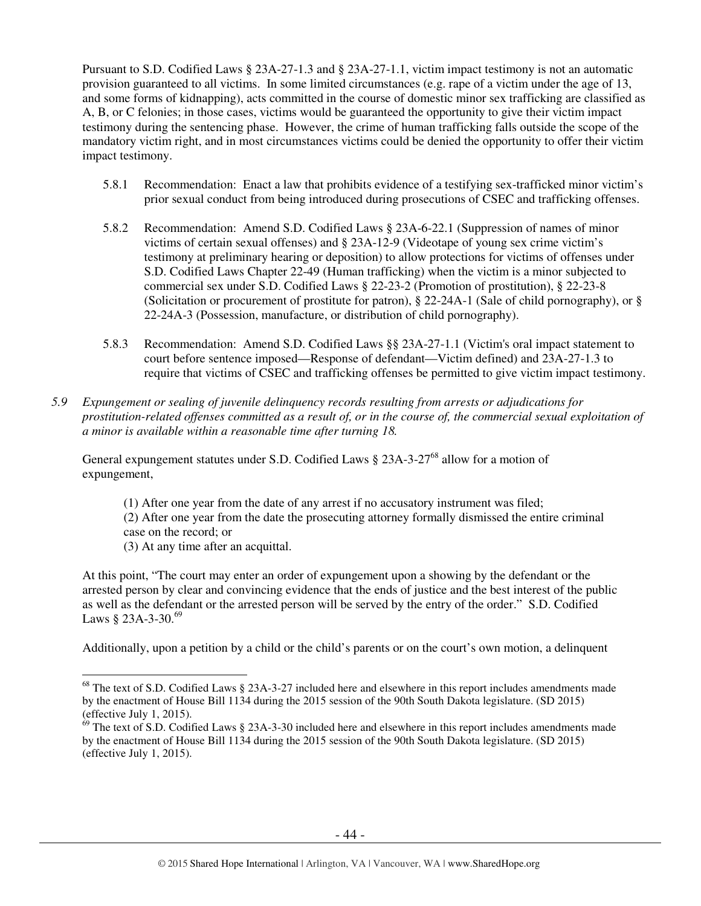Pursuant to S.D. Codified Laws § 23A-27-1.3 and § 23A-27-1.1, victim impact testimony is not an automatic provision guaranteed to all victims. In some limited circumstances (e.g. rape of a victim under the age of 13, and some forms of kidnapping), acts committed in the course of domestic minor sex trafficking are classified as A, B, or C felonies; in those cases, victims would be guaranteed the opportunity to give their victim impact testimony during the sentencing phase. However, the crime of human trafficking falls outside the scope of the mandatory victim right, and in most circumstances victims could be denied the opportunity to offer their victim impact testimony.

- 5.8.1 Recommendation: Enact a law that prohibits evidence of a testifying sex-trafficked minor victim's prior sexual conduct from being introduced during prosecutions of CSEC and trafficking offenses.
- 5.8.2 Recommendation: Amend S.D. Codified Laws § 23A-6-22.1 (Suppression of names of minor victims of certain sexual offenses) and § 23A-12-9 (Videotape of young sex crime victim's testimony at preliminary hearing or deposition) to allow protections for victims of offenses under S.D. Codified Laws Chapter 22-49 (Human trafficking) when the victim is a minor subjected to commercial sex under S.D. Codified Laws § 22-23-2 (Promotion of prostitution), § 22-23-8 (Solicitation or procurement of prostitute for patron), § 22-24A-1 (Sale of child pornography), or § 22-24A-3 (Possession, manufacture, or distribution of child pornography).
- 5.8.3 Recommendation: Amend S.D. Codified Laws §§ 23A-27-1.1 (Victim's oral impact statement to court before sentence imposed—Response of defendant—Victim defined) and 23A-27-1.3 to require that victims of CSEC and trafficking offenses be permitted to give victim impact testimony.
- *5.9 Expungement or sealing of juvenile delinquency records resulting from arrests or adjudications for prostitution-related offenses committed as a result of, or in the course of, the commercial sexual exploitation of a minor is available within a reasonable time after turning 18.*

General expungement statutes under S.D. Codified Laws § 23A-3-27<sup>68</sup> allow for a motion of expungement,

- (1) After one year from the date of any arrest if no accusatory instrument was filed;
- (2) After one year from the date the prosecuting attorney formally dismissed the entire criminal case on the record; or
- (3) At any time after an acquittal.

At this point, "The court may enter an order of expungement upon a showing by the defendant or the arrested person by clear and convincing evidence that the ends of justice and the best interest of the public as well as the defendant or the arrested person will be served by the entry of the order." S.D. Codified Laws § 23A-3-30.<sup>69</sup>

Additionally, upon a petition by a child or the child's parents or on the court's own motion, a delinquent

 $\overline{a}$  $68$  The text of S.D. Codified Laws § 23A-3-27 included here and elsewhere in this report includes amendments made by the enactment of House Bill 1134 during the 2015 session of the 90th South Dakota legislature. (SD 2015) (effective July 1, 2015).

 $69$  The text of S.D. Codified Laws § 23A-3-30 included here and elsewhere in this report includes amendments made by the enactment of House Bill 1134 during the 2015 session of the 90th South Dakota legislature. (SD 2015) (effective July 1, 2015).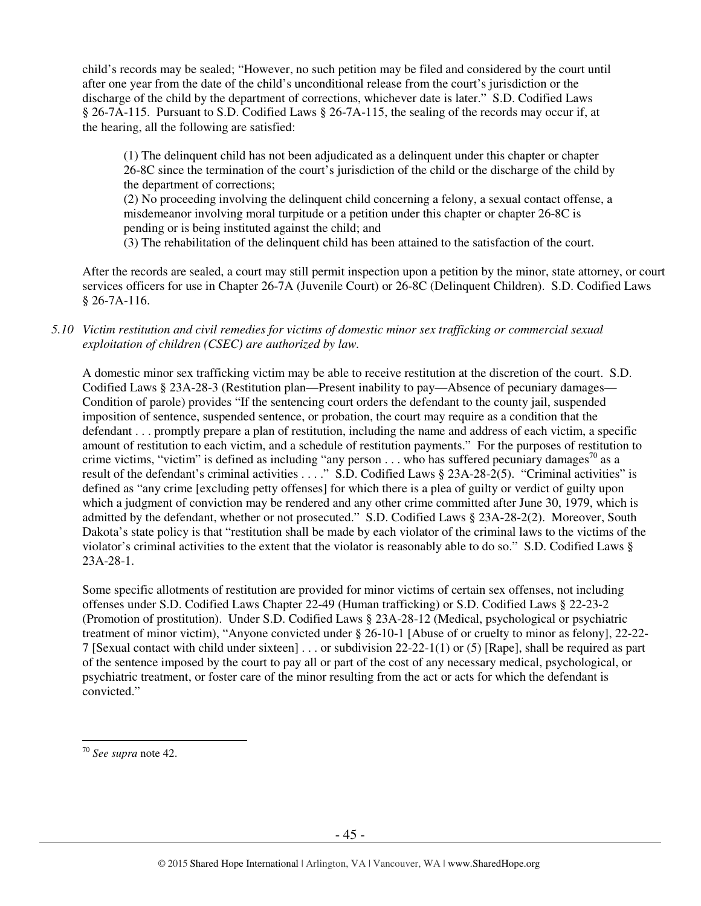child's records may be sealed; "However, no such petition may be filed and considered by the court until after one year from the date of the child's unconditional release from the court's jurisdiction or the discharge of the child by the department of corrections, whichever date is later." S.D. Codified Laws § 26-7A-115. Pursuant to S.D. Codified Laws § 26-7A-115, the sealing of the records may occur if, at the hearing, all the following are satisfied:

(1) The delinquent child has not been adjudicated as a delinquent under this chapter or chapter 26-8C since the termination of the court's jurisdiction of the child or the discharge of the child by the department of corrections;

(2) No proceeding involving the delinquent child concerning a felony, a sexual contact offense, a misdemeanor involving moral turpitude or a petition under this chapter or chapter 26-8C is pending or is being instituted against the child; and

(3) The rehabilitation of the delinquent child has been attained to the satisfaction of the court.

After the records are sealed, a court may still permit inspection upon a petition by the minor, state attorney, or court services officers for use in Chapter 26-7A (Juvenile Court) or 26-8C (Delinquent Children). S.D. Codified Laws § 26-7A-116.

#### *5.10 Victim restitution and civil remedies for victims of domestic minor sex trafficking or commercial sexual exploitation of children (CSEC) are authorized by law.*

A domestic minor sex trafficking victim may be able to receive restitution at the discretion of the court. S.D. Codified Laws § 23A-28-3 (Restitution plan—Present inability to pay—Absence of pecuniary damages— Condition of parole) provides "If the sentencing court orders the defendant to the county jail, suspended imposition of sentence, suspended sentence, or probation, the court may require as a condition that the defendant . . . promptly prepare a plan of restitution, including the name and address of each victim, a specific amount of restitution to each victim, and a schedule of restitution payments." For the purposes of restitution to crime victims, "victim" is defined as including "any person . . . who has suffered pecuniary damages<sup>70</sup> as a result of the defendant's criminal activities . . . ." S.D. Codified Laws § 23A-28-2(5). "Criminal activities" is defined as "any crime [excluding petty offenses] for which there is a plea of guilty or verdict of guilty upon which a judgment of conviction may be rendered and any other crime committed after June 30, 1979, which is admitted by the defendant, whether or not prosecuted." S.D. Codified Laws § 23A-28-2(2). Moreover, South Dakota's state policy is that "restitution shall be made by each violator of the criminal laws to the victims of the violator's criminal activities to the extent that the violator is reasonably able to do so." S.D. Codified Laws § 23A-28-1.

Some specific allotments of restitution are provided for minor victims of certain sex offenses, not including offenses under S.D. Codified Laws Chapter 22-49 (Human trafficking) or S.D. Codified Laws § 22-23-2 (Promotion of prostitution). Under S.D. Codified Laws § 23A-28-12 (Medical, psychological or psychiatric treatment of minor victim), "Anyone convicted under § 26-10-1 [Abuse of or cruelty to minor as felony], 22-22- 7 [Sexual contact with child under sixteen] . . . or subdivision 22-22-1(1) or (5) [Rape], shall be required as part of the sentence imposed by the court to pay all or part of the cost of any necessary medical, psychological, or psychiatric treatment, or foster care of the minor resulting from the act or acts for which the defendant is convicted."

 $\overline{a}$ <sup>70</sup> *See supra* note 42.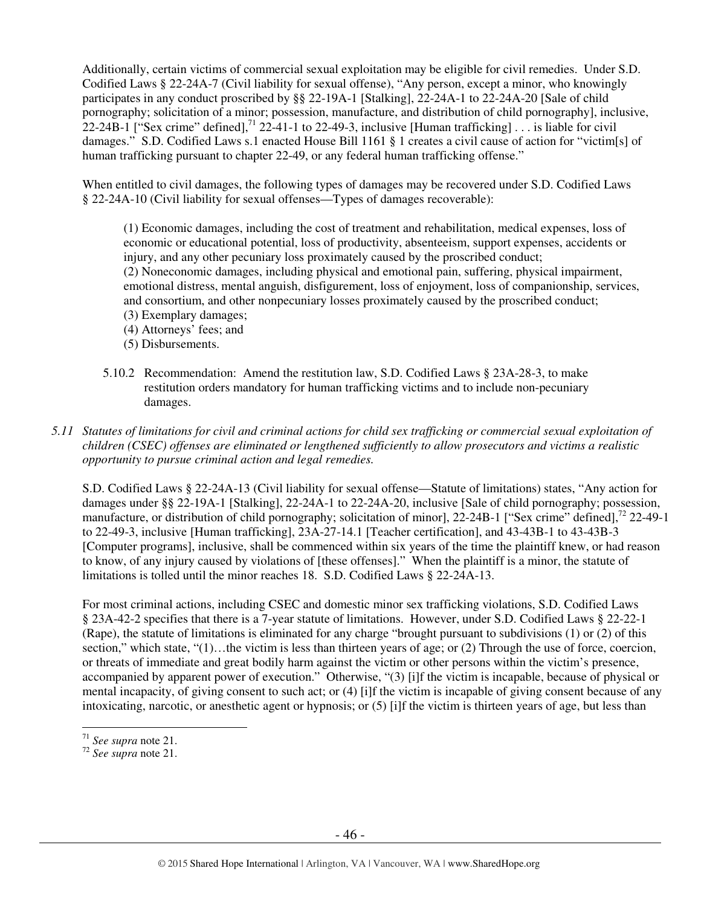Additionally, certain victims of commercial sexual exploitation may be eligible for civil remedies. Under S.D. Codified Laws § 22-24A-7 (Civil liability for sexual offense), "Any person, except a minor, who knowingly participates in any conduct proscribed by §§ 22-19A-1 [Stalking], 22-24A-1 to 22-24A-20 [Sale of child pornography; solicitation of a minor; possession, manufacture, and distribution of child pornography], inclusive, 22-24B-1 ["Sex crime" defined],<sup>71</sup> 22-41-1 to 22-49-3, inclusive [Human trafficking] . . . is liable for civil damages." S.D. Codified Laws s.1 enacted House Bill 1161 § 1 creates a civil cause of action for "victim[s] of human trafficking pursuant to chapter 22-49, or any federal human trafficking offense."

When entitled to civil damages, the following types of damages may be recovered under S.D. Codified Laws § 22-24A-10 (Civil liability for sexual offenses—Types of damages recoverable):

(1) Economic damages, including the cost of treatment and rehabilitation, medical expenses, loss of economic or educational potential, loss of productivity, absenteeism, support expenses, accidents or injury, and any other pecuniary loss proximately caused by the proscribed conduct; (2) Noneconomic damages, including physical and emotional pain, suffering, physical impairment, emotional distress, mental anguish, disfigurement, loss of enjoyment, loss of companionship, services, and consortium, and other nonpecuniary losses proximately caused by the proscribed conduct; (3) Exemplary damages;

- (4) Attorneys' fees; and
- (5) Disbursements.
- 5.10.2 Recommendation: Amend the restitution law, S.D. Codified Laws § 23A-28-3, to make restitution orders mandatory for human trafficking victims and to include non-pecuniary damages.

*5.11 Statutes of limitations for civil and criminal actions for child sex trafficking or commercial sexual exploitation of children (CSEC) offenses are eliminated or lengthened sufficiently to allow prosecutors and victims a realistic opportunity to pursue criminal action and legal remedies.* 

S.D. Codified Laws § 22-24A-13 (Civil liability for sexual offense—Statute of limitations) states, "Any action for damages under §§ 22-19A-1 [Stalking], 22-24A-1 to 22-24A-20, inclusive [Sale of child pornography; possession, manufacture, or distribution of child pornography; solicitation of minor], 22-24B-1 ["Sex crime" defined],<sup>72</sup> 22-49-1 to 22-49-3, inclusive [Human trafficking], 23A-27-14.1 [Teacher certification], and 43-43B-1 to 43-43B-3 [Computer programs], inclusive, shall be commenced within six years of the time the plaintiff knew, or had reason to know, of any injury caused by violations of [these offenses]." When the plaintiff is a minor, the statute of limitations is tolled until the minor reaches 18. S.D. Codified Laws § 22-24A-13.

For most criminal actions, including CSEC and domestic minor sex trafficking violations, S.D. Codified Laws § 23A-42-2 specifies that there is a 7-year statute of limitations. However, under S.D. Codified Laws § 22-22-1 (Rape), the statute of limitations is eliminated for any charge "brought pursuant to subdivisions (1) or (2) of this section," which state, " $(1)$ ... the victim is less than thirteen years of age; or  $(2)$  Through the use of force, coercion, or threats of immediate and great bodily harm against the victim or other persons within the victim's presence, accompanied by apparent power of execution." Otherwise, "(3) [i]f the victim is incapable, because of physical or mental incapacity, of giving consent to such act; or (4) [i]f the victim is incapable of giving consent because of any intoxicating, narcotic, or anesthetic agent or hypnosis; or (5) [i]f the victim is thirteen years of age, but less than

 $\overline{a}$ <sup>71</sup> *See supra* note 21.

<sup>72</sup> *See supra* note 21.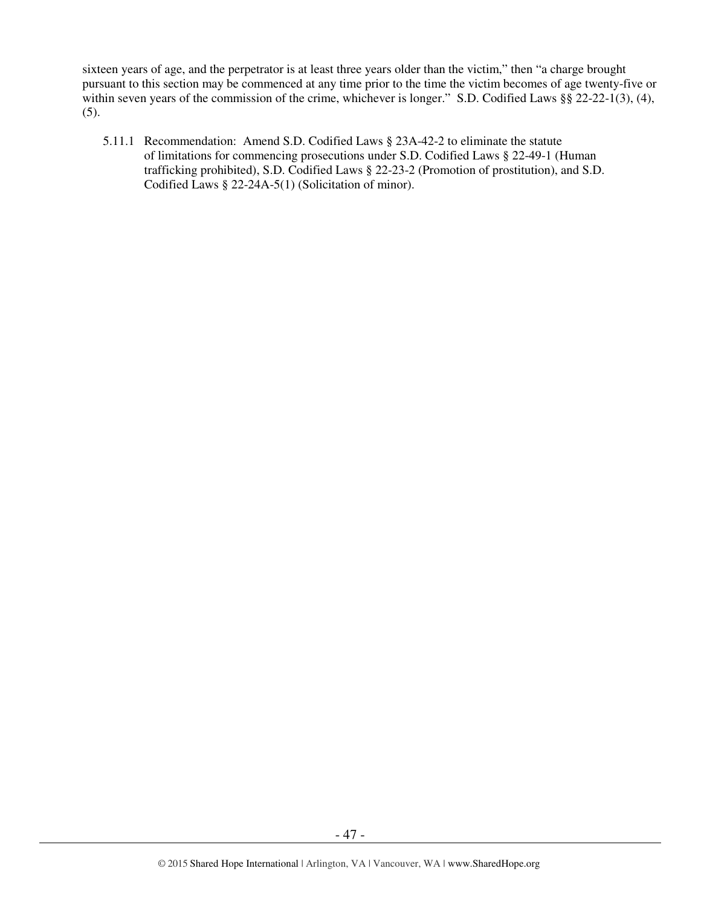sixteen years of age, and the perpetrator is at least three years older than the victim," then "a charge brought pursuant to this section may be commenced at any time prior to the time the victim becomes of age twenty-five or within seven years of the commission of the crime, whichever is longer." S.D. Codified Laws §§ 22-22-1(3), (4), (5).

5.11.1 Recommendation: Amend S.D. Codified Laws § 23A-42-2 to eliminate the statute of limitations for commencing prosecutions under S.D. Codified Laws § 22-49-1 (Human trafficking prohibited), S.D. Codified Laws § 22-23-2 (Promotion of prostitution), and S.D. Codified Laws § 22-24A-5(1) (Solicitation of minor).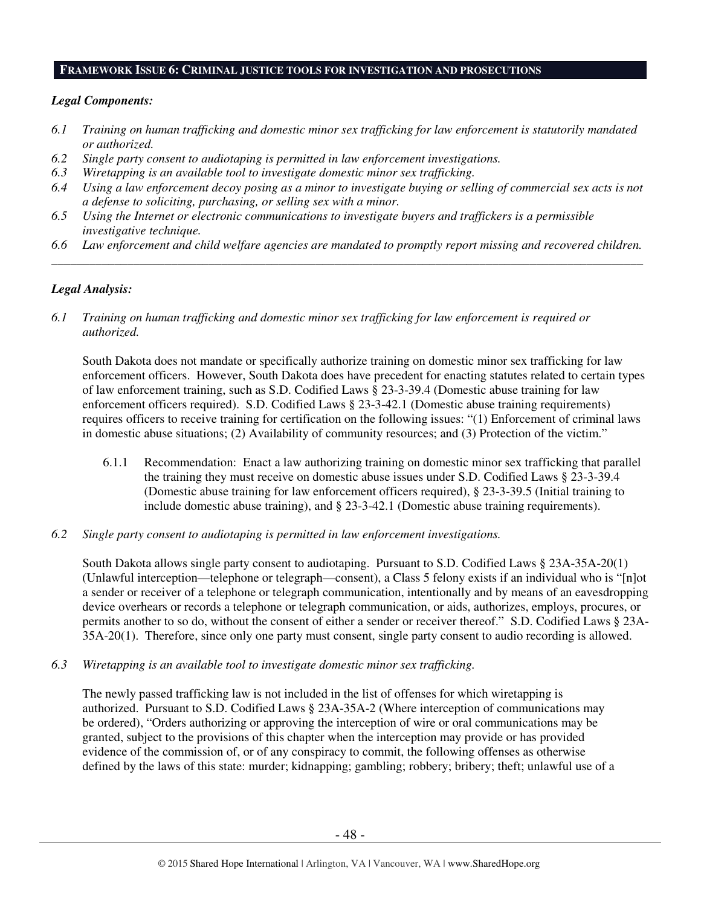#### **FRAMEWORK ISSUE 6: CRIMINAL JUSTICE TOOLS FOR INVESTIGATION AND PROSECUTIONS**

#### *Legal Components:*

- *6.1 Training on human trafficking and domestic minor sex trafficking for law enforcement is statutorily mandated or authorized.*
- *6.2 Single party consent to audiotaping is permitted in law enforcement investigations.*
- *6.3 Wiretapping is an available tool to investigate domestic minor sex trafficking.*
- *6.4 Using a law enforcement decoy posing as a minor to investigate buying or selling of commercial sex acts is not a defense to soliciting, purchasing, or selling sex with a minor.*
- *6.5 Using the Internet or electronic communications to investigate buyers and traffickers is a permissible investigative technique.*
- *6.6 Law enforcement and child welfare agencies are mandated to promptly report missing and recovered children. \_\_\_\_\_\_\_\_\_\_\_\_\_\_\_\_\_\_\_\_\_\_\_\_\_\_\_\_\_\_\_\_\_\_\_\_\_\_\_\_\_\_\_\_\_\_\_\_\_\_\_\_\_\_\_\_\_\_\_\_\_\_\_\_\_\_\_\_\_\_\_\_\_\_\_\_\_\_\_\_\_\_\_\_\_\_\_\_\_\_\_\_\_\_*

#### *Legal Analysis:*

*6.1 Training on human trafficking and domestic minor sex trafficking for law enforcement is required or authorized.*

South Dakota does not mandate or specifically authorize training on domestic minor sex trafficking for law enforcement officers. However, South Dakota does have precedent for enacting statutes related to certain types of law enforcement training, such as S.D. Codified Laws § 23-3-39.4 (Domestic abuse training for law enforcement officers required). S.D. Codified Laws § 23-3-42.1 (Domestic abuse training requirements) requires officers to receive training for certification on the following issues: "(1) Enforcement of criminal laws in domestic abuse situations; (2) Availability of community resources; and (3) Protection of the victim."

- 6.1.1 Recommendation: Enact a law authorizing training on domestic minor sex trafficking that parallel the training they must receive on domestic abuse issues under S.D. Codified Laws § 23-3-39.4 (Domestic abuse training for law enforcement officers required), § 23-3-39.5 (Initial training to include domestic abuse training), and § 23-3-42.1 (Domestic abuse training requirements).
- *6.2 Single party consent to audiotaping is permitted in law enforcement investigations.*

South Dakota allows single party consent to audiotaping. Pursuant to S.D. Codified Laws § 23A-35A-20(1) (Unlawful interception—telephone or telegraph—consent), a Class 5 felony exists if an individual who is "[n]ot a sender or receiver of a telephone or telegraph communication, intentionally and by means of an eavesdropping device overhears or records a telephone or telegraph communication, or aids, authorizes, employs, procures, or permits another to so do, without the consent of either a sender or receiver thereof." S.D. Codified Laws § 23A-35A-20(1). Therefore, since only one party must consent, single party consent to audio recording is allowed.

*6.3 Wiretapping is an available tool to investigate domestic minor sex trafficking.* 

The newly passed trafficking law is not included in the list of offenses for which wiretapping is authorized. Pursuant to S.D. Codified Laws § 23A-35A-2 (Where interception of communications may be ordered), "Orders authorizing or approving the interception of wire or oral communications may be granted, subject to the provisions of this chapter when the interception may provide or has provided evidence of the commission of, or of any conspiracy to commit, the following offenses as otherwise defined by the laws of this state: murder; kidnapping; gambling; robbery; bribery; theft; unlawful use of a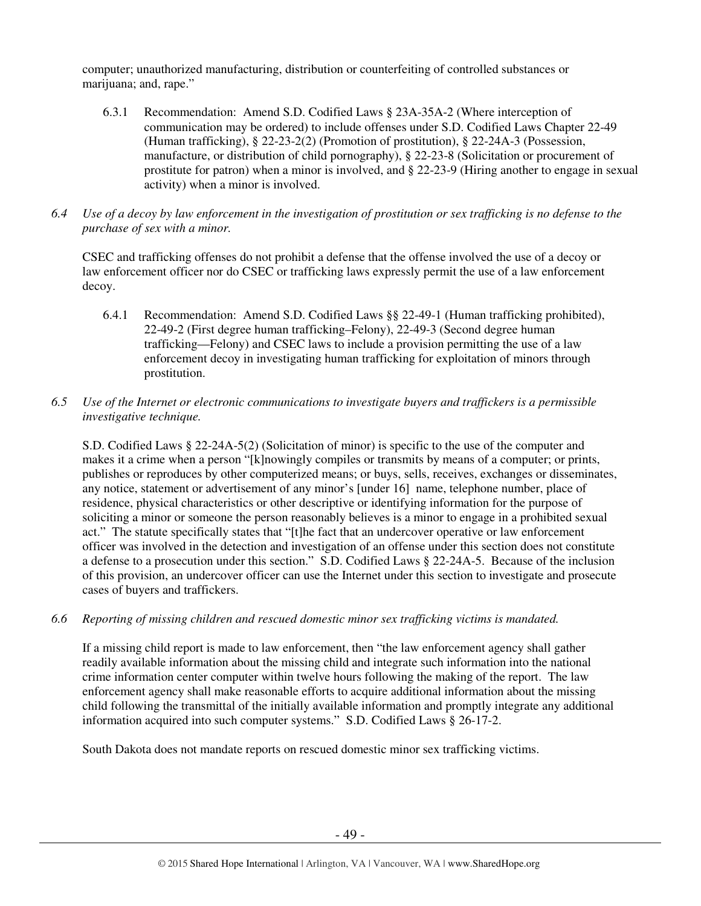computer; unauthorized manufacturing, distribution or counterfeiting of controlled substances or marijuana; and, rape."

- 6.3.1 Recommendation: Amend S.D. Codified Laws § 23A-35A-2 (Where interception of communication may be ordered) to include offenses under S.D. Codified Laws Chapter 22-49 (Human trafficking), § 22-23-2(2) (Promotion of prostitution), § 22-24A-3 (Possession, manufacture, or distribution of child pornography), § 22-23-8 (Solicitation or procurement of prostitute for patron) when a minor is involved, and § 22-23-9 (Hiring another to engage in sexual activity) when a minor is involved.
- *6.4 Use of a decoy by law enforcement in the investigation of prostitution or sex trafficking is no defense to the purchase of sex with a minor.*

CSEC and trafficking offenses do not prohibit a defense that the offense involved the use of a decoy or law enforcement officer nor do CSEC or trafficking laws expressly permit the use of a law enforcement decoy.

- 6.4.1 Recommendation: Amend S.D. Codified Laws §§ 22-49-1 (Human trafficking prohibited), 22-49-2 (First degree human trafficking–Felony), 22-49-3 (Second degree human trafficking—Felony) and CSEC laws to include a provision permitting the use of a law enforcement decoy in investigating human trafficking for exploitation of minors through prostitution.
- *6.5 Use of the Internet or electronic communications to investigate buyers and traffickers is a permissible investigative technique.*

S.D. Codified Laws § 22-24A-5(2) (Solicitation of minor) is specific to the use of the computer and makes it a crime when a person "[k]nowingly compiles or transmits by means of a computer; or prints, publishes or reproduces by other computerized means; or buys, sells, receives, exchanges or disseminates, any notice, statement or advertisement of any minor's [under 16] name, telephone number, place of residence, physical characteristics or other descriptive or identifying information for the purpose of soliciting a minor or someone the person reasonably believes is a minor to engage in a prohibited sexual act." The statute specifically states that "[t]he fact that an undercover operative or law enforcement officer was involved in the detection and investigation of an offense under this section does not constitute a defense to a prosecution under this section." S.D. Codified Laws § 22-24A-5. Because of the inclusion of this provision, an undercover officer can use the Internet under this section to investigate and prosecute cases of buyers and traffickers.

*6.6 Reporting of missing children and rescued domestic minor sex trafficking victims is mandated.* 

If a missing child report is made to law enforcement, then "the law enforcement agency shall gather readily available information about the missing child and integrate such information into the national crime information center computer within twelve hours following the making of the report. The law enforcement agency shall make reasonable efforts to acquire additional information about the missing child following the transmittal of the initially available information and promptly integrate any additional information acquired into such computer systems." S.D. Codified Laws § 26-17-2.

South Dakota does not mandate reports on rescued domestic minor sex trafficking victims.